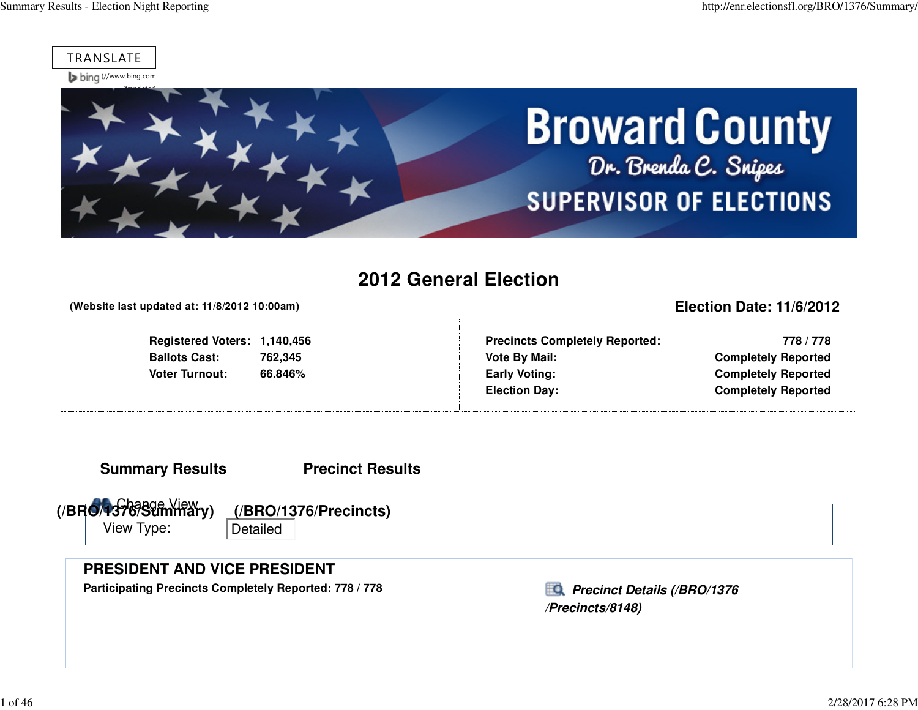



### **2012 General Election**

**(Website last updated at: 11/8/2012 10:00am)**

**Registered Voters: 1,140,456Ballots Cast: 762,345**66.846% **Voter Turnout: 66.846%**

**Precincts Completely Reported: 778 / 778 Vote By Mail: Completely Reported Early Voting: Completely ReportedElection Day: Completely Reported**

**Election Date: 11/6/2012**

**Summary Results**

**Precinct Results**

 Change View **(/BRO/1376/Summary)**View Type: Detailed**(/BRO/1376/Precincts)**

### **PRESIDENT AND VICE PRESIDENT**

Participating Precincts Completely Reported: 778 / 778*Precinct Details (/BRO/1376* 

**/Precincts/8148)**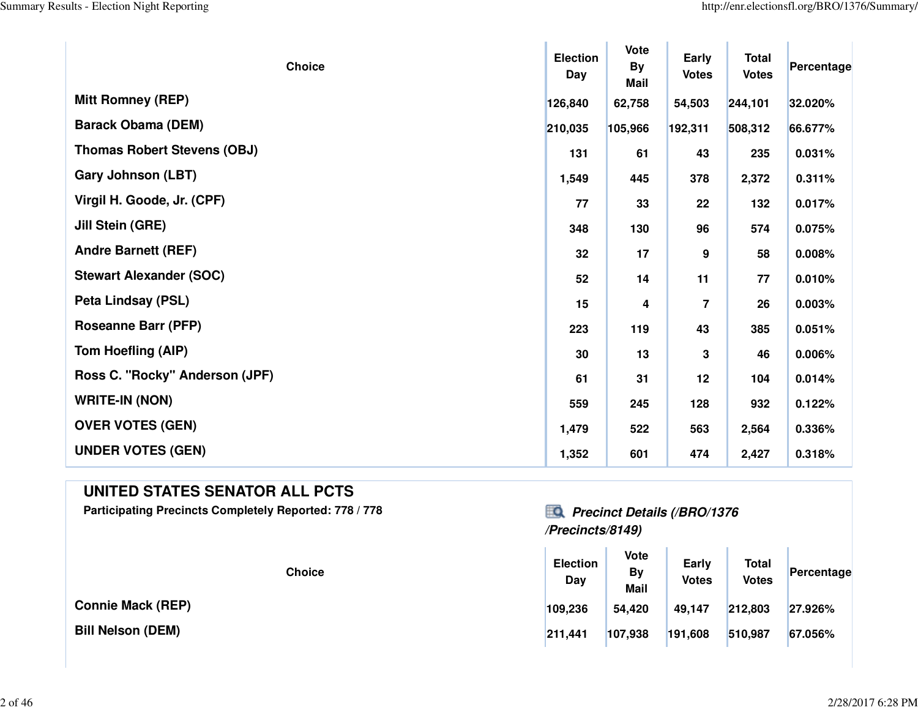Y.

 $\mathcal{A}$ 

| <b>Choice</b>                      | <b>Election</b><br>Day | <b>Vote</b><br><b>By</b><br>Mail | Early<br><b>Votes</b> | <b>Total</b><br><b>Votes</b> | Percentage |
|------------------------------------|------------------------|----------------------------------|-----------------------|------------------------------|------------|
| <b>Mitt Romney (REP)</b>           | 126,840                | 62,758                           | 54,503                | 244,101                      | 32.020%    |
| <b>Barack Obama (DEM)</b>          | 210,035                | 105,966                          | 192,311               | 508,312                      | 66.677%    |
| <b>Thomas Robert Stevens (OBJ)</b> | 131                    | 61                               | 43                    | 235                          | 0.031%     |
| <b>Gary Johnson (LBT)</b>          | 1,549                  | 445                              | 378                   | 2,372                        | 0.311%     |
| Virgil H. Goode, Jr. (CPF)         | 77                     | 33                               | 22                    | 132                          | 0.017%     |
| Jill Stein (GRE)                   | 348                    | 130                              | 96                    | 574                          | 0.075%     |
| <b>Andre Barnett (REF)</b>         | 32                     | 17                               | 9                     | 58                           | 0.008%     |
| <b>Stewart Alexander (SOC)</b>     | 52                     | 14                               | 11                    | 77                           | 0.010%     |
| <b>Peta Lindsay (PSL)</b>          | 15                     | 4                                | $\overline{7}$        | 26                           | 0.003%     |
| <b>Roseanne Barr (PFP)</b>         | 223                    | 119                              | 43                    | 385                          | 0.051%     |
| Tom Hoefling (AIP)                 | 30                     | 13                               | 3                     | 46                           | 0.006%     |
| Ross C. "Rocky" Anderson (JPF)     | 61                     | 31                               | 12                    | 104                          | 0.014%     |
| <b>WRITE-IN (NON)</b>              | 559                    | 245                              | 128                   | 932                          | 0.122%     |
| <b>OVER VOTES (GEN)</b>            | 1,479                  | 522                              | 563                   | 2,564                        | 0.336%     |
| <b>UNDER VOTES (GEN)</b>           | 1,352                  | 601                              | 474                   | 2,427                        | 0.318%     |

### **UNITED STATES SENATOR ALL PCTS**

**Participating Precincts Completely Reported: 778 / 778 Precinct Details (/BRO/1376**

**Connie Mack (REP)**

**Bill Nelson (DEM)**

# **/Precincts/8149)**

|     | <b>Choice</b> | <b>Election</b><br>Day | Vote<br>By<br><b>Mail</b> | Early<br><b>Votes</b> | <b>Total</b><br><b>Votes</b> | Percentage |  |
|-----|---------------|------------------------|---------------------------|-----------------------|------------------------------|------------|--|
| P): |               | 109,236                | 54,420                    | 49,147                | 212,803                      | 27.926%    |  |
|     |               | 211,441                | 107,938                   | 191,608               | 510,987                      | 67.056%    |  |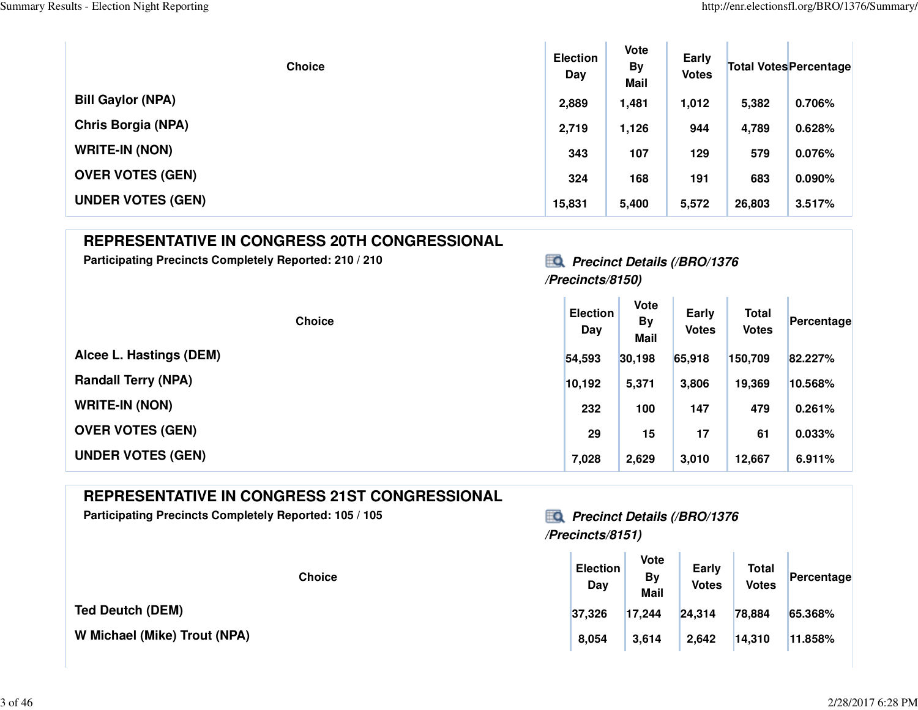| <b>Choice</b>            | <b>Election</b><br>Day | <b>Vote</b><br><b>By</b><br>Mail | Early<br><b>Votes</b> |        | <b>Total Votes Percentage</b> |
|--------------------------|------------------------|----------------------------------|-----------------------|--------|-------------------------------|
| <b>Bill Gaylor (NPA)</b> | 2,889                  | 1,481                            | 1,012                 | 5,382  | 0.706%                        |
| Chris Borgia (NPA)       | 2,719                  | 1,126                            | 944                   | 4,789  | 0.628%                        |
| <b>WRITE-IN (NON)</b>    | 343                    | 107                              | 129                   | 579    | 0.076%                        |
| <b>OVER VOTES (GEN)</b>  | 324                    | 168                              | 191                   | 683    | $0.090\%$                     |
| <b>UNDER VOTES (GEN)</b> | 15,831                 | 5,400                            | 5,572                 | 26,803 | 3.517%                        |

### **REPRESENTATIVE IN CONGRESS 20TH CONGRESSIONAL**

Participating Precincts Completely Reported: 210 / 210<br> **Participating Precinct Details (/BRO/1376** 

### **/Precincts/8150)**

| <b>Choice</b>              | <b>Election</b><br>Day | <b>Vote</b><br><b>By</b><br><b>Mail</b> | Early<br><b>Votes</b> | <b>Total</b><br><b>Votes</b> | Percentage |
|----------------------------|------------------------|-----------------------------------------|-----------------------|------------------------------|------------|
| Alcee L. Hastings (DEM)    | 54,593                 | 30,198                                  | 65,918                | 150,709                      | 82.227%    |
| <b>Randall Terry (NPA)</b> | 10,192                 | 5,371                                   | 3,806                 | 19,369                       | 10.568%    |
| <b>WRITE-IN (NON)</b>      | 232                    | 100                                     | 147                   | 479                          | 0.261%     |
| <b>OVER VOTES (GEN)</b>    | 29                     | 15                                      | 17                    | 61                           | 0.033%     |
| <b>UNDER VOTES (GEN)</b>   | 7,028                  | 2,629                                   | 3,010                 | 12,667                       | 6.911%     |

### **REPRESENTATIVE IN CONGRESS 21ST CONGRESSIONAL**

Participating Precincts Completely Reported: 105 / 105<br> **Precinct Details (/BRO/1376** 

**Ted Deutch (DEM)**

**W Michael (Mike) Trout (NPA)**

### **/Precincts/8151)**

| <b>Choice</b>      | <b>Election</b><br>Day | Vote<br><b>By</b><br><b>Mail</b> | Early<br><b>Votes</b> | <b>Total</b><br><b>Votes</b> | Percentage |
|--------------------|------------------------|----------------------------------|-----------------------|------------------------------|------------|
|                    | 37,326                 | 17,244                           | 24,314                | 78,884                       | 65.368%    |
| <b>Trout (NPA)</b> | 8,054                  | 3,614                            | 2,642                 | 14,310                       | 11.858%    |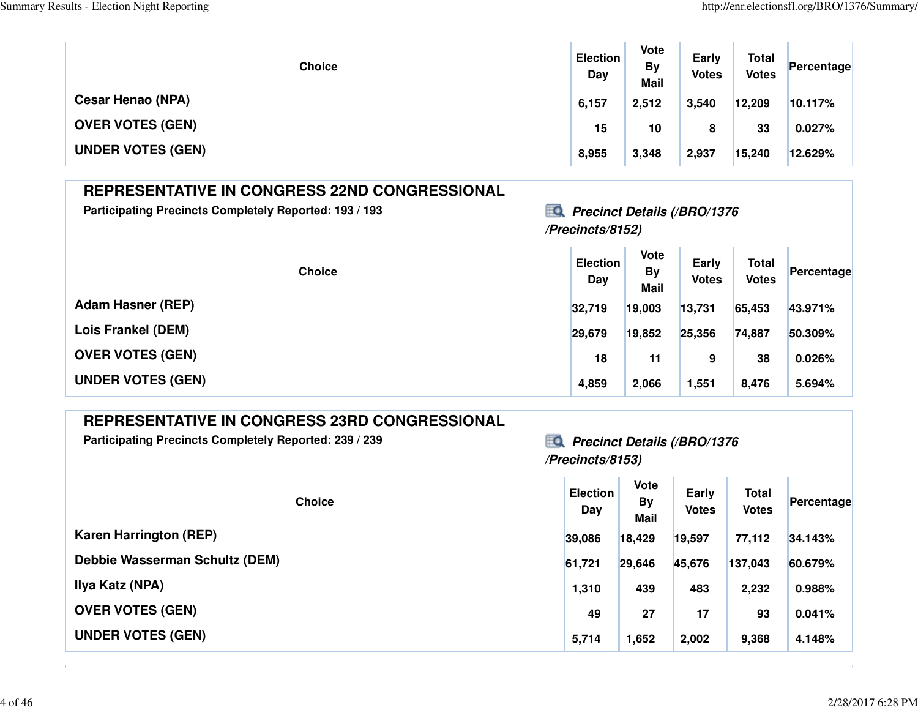| <b>Choice</b>            | <b>Election</b><br>Day | Vote<br><b>By</b><br><b>Mail</b> | Early<br><b>Votes</b> | <b>Total</b><br><b>Votes</b> | Percentage |
|--------------------------|------------------------|----------------------------------|-----------------------|------------------------------|------------|
| <b>Cesar Henao (NPA)</b> | 6,157                  | 2,512                            | 3,540                 | 12,209                       | 10.117%    |
| <b>OVER VOTES (GEN)</b>  | 15                     | 10                               | 8                     | 33                           | 0.027%     |
| <b>UNDER VOTES (GEN)</b> | 8,955                  | 3,348                            | 2,937                 | 15,240                       | 12.629%    |

| <b>REPRESENTATIVE IN CONGRESS 22ND CONGRESSIONAL</b>   |                                                               |                                  |                       |                              |            |  |  |
|--------------------------------------------------------|---------------------------------------------------------------|----------------------------------|-----------------------|------------------------------|------------|--|--|
| Participating Precincts Completely Reported: 193 / 193 | <b>Precinct Details (/BRO/1376)</b><br>ĦΟ<br>/Precincts/8152) |                                  |                       |                              |            |  |  |
| <b>Choice</b>                                          | <b>Election</b><br>Day                                        | <b>Vote</b><br><b>By</b><br>Mail | Early<br><b>Votes</b> | <b>Total</b><br><b>Votes</b> | Percentage |  |  |
| <b>Adam Hasner (REP)</b>                               | 32,719                                                        | 19,003                           | 13,731                | 65,453                       | 43.971%    |  |  |
| Lois Frankel (DEM)                                     | 29,679                                                        | 19,852                           | 25,356                | 74,887                       | 50.309%    |  |  |
| <b>OVER VOTES (GEN)</b>                                | 18                                                            | 11                               | 9                     | 38                           | 0.026%     |  |  |
| <b>UNDER VOTES (GEN)</b>                               | 4,859                                                         | 2,066                            | 1,551                 | 8,476                        | 5.694%     |  |  |

| Participating Precincts Completely Reported: 239 / 239 |  |  |  |  |
|--------------------------------------------------------|--|--|--|--|
|--------------------------------------------------------|--|--|--|--|

### **Participation Comparis Comparison Precinct Details (/BRO/1376 /Precincts/8153)**

| <b>Choice</b>                  | <b>Election</b><br>Day | Vote<br><b>By</b><br><b>Mail</b> | Early<br><b>Votes</b> | <b>Total</b><br><b>Votes</b> | Percentage |
|--------------------------------|------------------------|----------------------------------|-----------------------|------------------------------|------------|
| <b>Karen Harrington (REP)</b>  | 39,086                 | 18,429                           | 19,597                | 77,112                       | 34.143%    |
| Debbie Wasserman Schultz (DEM) | 61,721                 | 29,646                           | 45,676                | 137,043                      | 60.679%    |
| Ilya Katz (NPA)                | 1,310                  | 439                              | 483                   | 2,232                        | 0.988%     |
| <b>OVER VOTES (GEN)</b>        | 49                     | 27                               | 17                    | 93                           | 0.041%     |
| <b>UNDER VOTES (GEN)</b>       | 5,714                  | 1,652                            | 2,002                 | 9,368                        | 4.148%     |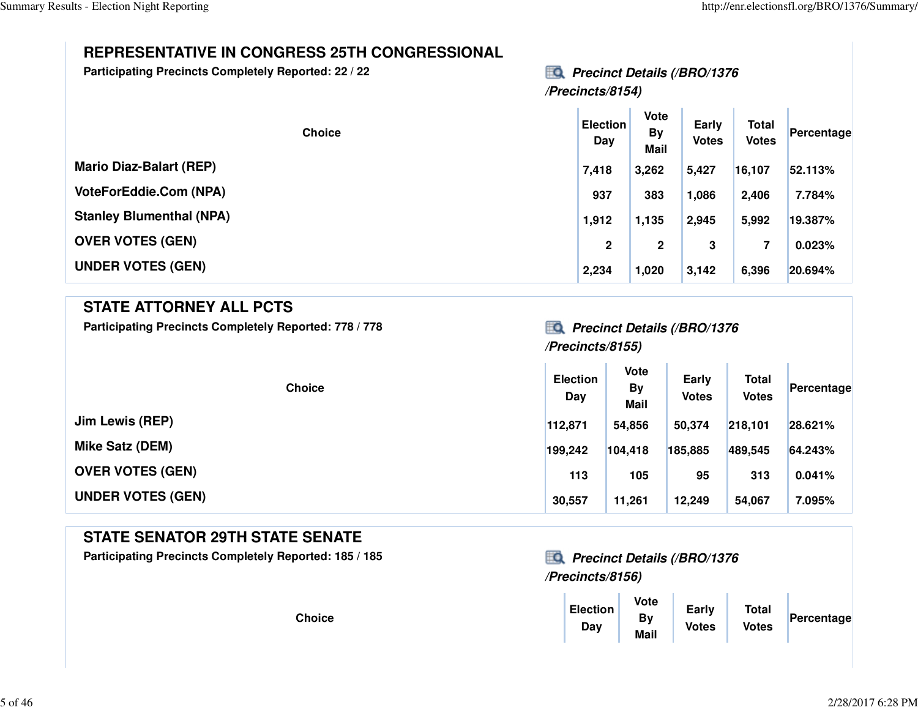### **REPRESENTATIVE IN CONGRESS 25TH CONGRESSIONAL**

**Participating Precincts Completely Reported: 22 / 2**

#### **22** Precinct Details (/BRO/1376 **/Precincts/8154)**

| <b>Choice</b>                   | <b>Election</b><br>Day | <b>Vote</b><br><b>By</b><br><b>Mail</b> | Early<br><b>Votes</b> | Total<br><b>Votes</b> | Percentage |
|---------------------------------|------------------------|-----------------------------------------|-----------------------|-----------------------|------------|
| <b>Mario Diaz-Balart (REP)</b>  | 7,418                  | 3,262                                   | 5,427                 | 16,107                | 52.113%    |
| <b>VoteForEddie.Com (NPA)</b>   | 937                    | 383                                     | 1,086                 | 2,406                 | 7.784%     |
| <b>Stanley Blumenthal (NPA)</b> | 1,912                  | 1,135                                   | 2,945                 | 5,992                 | 19.387%    |
| <b>OVER VOTES (GEN)</b>         | $\mathbf{2}$           | 2                                       | 3                     | 7                     | 0.023%     |
| <b>UNDER VOTES (GEN)</b>        | 2,234                  | 1,020                                   | 3,142                 | 6,396                 | 20.694%    |

#### **STATE ATTORNEY ALL PCTS**

Participating Precincts Completely Reported: 778 / 778*Precinct Details (/BRO/1376* 

### **/Precincts/8155)**

| <b>Choice</b>            | <b>Election</b><br>Day | <b>Vote</b><br>By<br><b>Mail</b> | Early<br><b>Votes</b> | <b>Total</b><br><b>Votes</b> | Percentage |
|--------------------------|------------------------|----------------------------------|-----------------------|------------------------------|------------|
| Jim Lewis (REP)          | 112,871                | 54,856                           | 50,374                | 218,101                      | 28.621%    |
| <b>Mike Satz (DEM)</b>   | 199,242                | 104,418                          | 185,885               | 489,545                      | 64.243%    |
| <b>OVER VOTES (GEN)</b>  | 113                    | 105                              | 95                    | 313                          | 0.041%     |
| <b>UNDER VOTES (GEN)</b> | 30,557                 | 11,261                           | 12,249                | 54,067                       | 7.095%     |

### **STATE SENATOR 29TH STATE SENATE**

**Participating Precincts Completely Reported: 185 / 185 Precinct Details (/BRO/1376**

**Choice**

# **/Precincts/8156)**

| е | Election<br>Day | Vote<br>By<br><b>Mail</b> | Early<br><b>Votes</b> | <b>Total</b><br><b>Votes</b> | Percentage |
|---|-----------------|---------------------------|-----------------------|------------------------------|------------|
|---|-----------------|---------------------------|-----------------------|------------------------------|------------|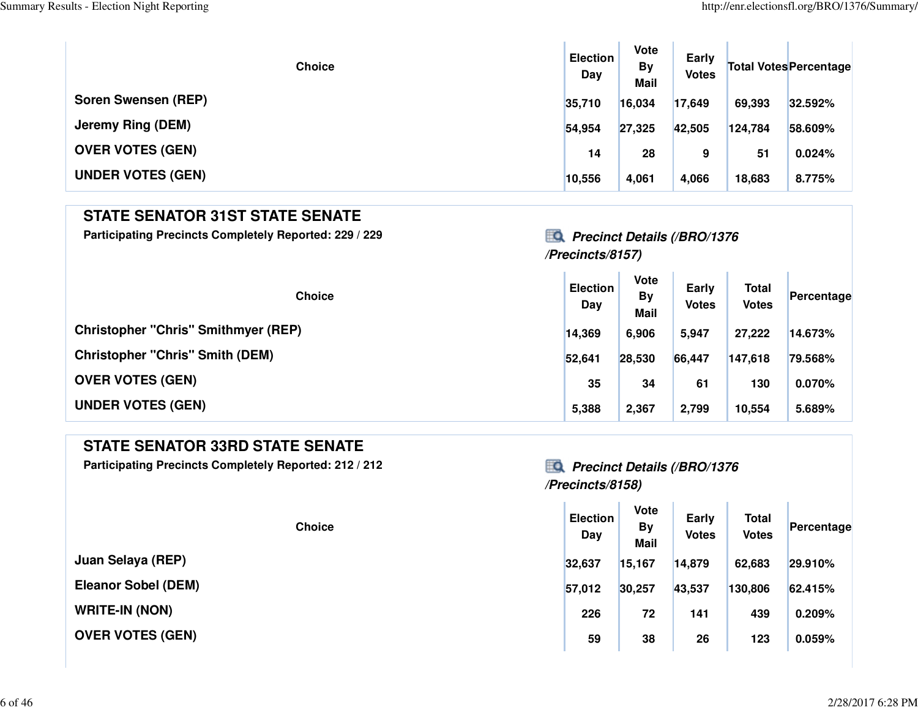| <b>Choice</b>            | <b>Election</b><br>Day | <b>Vote</b><br>By<br><b>Mail</b> | Early<br><b>Votes</b> |         | <b>Total Votes Percentage</b> |
|--------------------------|------------------------|----------------------------------|-----------------------|---------|-------------------------------|
| Soren Swensen (REP)      | 35,710                 | 16,034                           | 17,649                | 69,393  | 32.592%                       |
| <b>Jeremy Ring (DEM)</b> | 54,954                 | 27,325                           | 42,505                | 124,784 | 58.609%                       |
| <b>OVER VOTES (GEN)</b>  | 14                     | 28                               | 9                     | 51      | 0.024%                        |
| <b>UNDER VOTES (GEN)</b> | 10,556                 | 4,061                            | 4,066                 | 18,683  | 8.775%                        |

### **STATE SENATOR 31ST STATE SENATE**

**Participating Precincts Completely Reported: 229 / 229 Precinct Details (/BRO/1376**

# **/Precincts/8157)**

| <b>Choice</b>                              | <b>Election</b><br>Day | Vote<br><b>By</b><br><b>Mail</b> | Early<br><b>Votes</b> | <b>Total</b><br><b>Votes</b> | Percentage |
|--------------------------------------------|------------------------|----------------------------------|-----------------------|------------------------------|------------|
| <b>Christopher "Chris" Smithmyer (REP)</b> | 14,369                 | 6,906                            | 5,947                 | 27,222                       | 14.673%    |
| <b>Christopher "Chris" Smith (DEM)</b>     | 52.641                 | 28,530                           | 66,447                | 147,618                      | 79.568%    |
| <b>OVER VOTES (GEN)</b>                    | 35                     | 34                               | 61                    | 130                          | 0.070%     |
| <b>UNDER VOTES (GEN)</b>                   | 5,388                  | 2,367                            | 2,799                 | 10,554                       | 5.689%     |

### **STATE SENATOR 33RD STATE SENATE**

**Participating Precincts Completely Reported: 212 / 212 Precinct Details (/BRO/1376**

**Juan Selaya (REP)**

**Eleanor Sobel (DEM)**

**WRITE-IN (NON)**

**OVER VOTES (GEN)**

### **/Precincts/8158)**

| <b>Choice</b> | <b>Election</b><br><b>Day</b> | <b>Vote</b><br><b>By</b><br><b>Mail</b> | <b>Early</b><br><b>Votes</b> | <b>Total</b><br><b>Votes</b> | Percentage |  |
|---------------|-------------------------------|-----------------------------------------|------------------------------|------------------------------|------------|--|
| EP)           | 32,637                        | 15,167                                  | 14,879                       | 62,683                       | 29.910%    |  |
| DEM)          | 57,012                        | 30,257                                  | 43,537                       | 130,806                      | 62.415%    |  |
|               | 226                           | 72                                      | 141                          | 439                          | 0.209%     |  |
| <b>GEN)</b>   | 59                            | 38                                      | 26                           | 123                          | 0.059%     |  |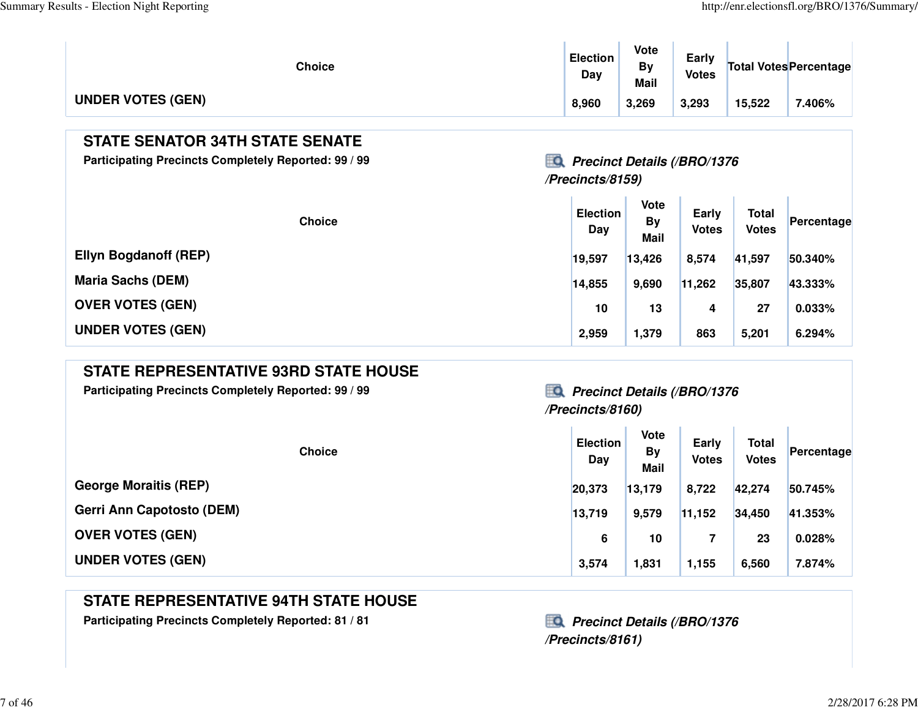$\mathbb{L}$ 

| <b>Choice</b>            | <b>Election</b><br>Day | Vote<br>Bv<br><b>Mail</b> | Early<br><b>Votes</b> |        | Total Votes Percentage |
|--------------------------|------------------------|---------------------------|-----------------------|--------|------------------------|
| <b>UNDER VOTES (GEN)</b> | 8,960                  | 3,269                     | 3,293                 | 15,522 | .406%                  |

### **STATE SENATOR 34TH STATE SENATE**

**Participating Precincts Completely Reported: 99 / 99 Precinct Details (/BRO/1376**

### **/Precincts/8159)**

| <b>Choice</b>                | <b>Election</b><br>Day | <b>Vote</b><br><b>By</b><br>Mail | <b>Early</b><br><b>Votes</b> | <b>Total</b><br><b>Votes</b> | Percentage |
|------------------------------|------------------------|----------------------------------|------------------------------|------------------------------|------------|
| <b>Ellyn Bogdanoff (REP)</b> | 19,597                 | 13,426                           | 8,574                        | 41,597                       | 50.340%    |
| <b>Maria Sachs (DEM)</b>     | 14,855                 | 9,690                            | 11,262                       | 35,807                       | 43.333%    |
| <b>OVER VOTES (GEN)</b>      | 10                     | 13                               | 4                            | 27                           | 0.033%     |
| <b>UNDER VOTES (GEN)</b>     | 2,959                  | 1,379                            | 863                          | 5,201                        | 6.294%     |

### **STATE REPRESENTATIVE 93RD STATE HOUSE**

Participating Precincts Completely Reported: 99 / 99<br>**Precinct Details (/BRO/1376** 

# **/Precincts/8160)**

| <b>Choice</b>                    | <b>Election</b><br>Day | <b>Vote</b><br><b>By</b><br><b>Mail</b> | Early<br><b>Votes</b> | <b>Total</b><br><b>Votes</b> | Percentage |
|----------------------------------|------------------------|-----------------------------------------|-----------------------|------------------------------|------------|
| <b>George Moraitis (REP)</b>     | 20,373                 | 13,179                                  | 8,722                 | 42,274                       | 50.745%    |
| <b>Gerri Ann Capotosto (DEM)</b> | 13,719                 | 9,579                                   | 11,152                | 34,450                       | 41.353%    |
| <b>OVER VOTES (GEN)</b>          | 6                      | 10                                      |                       | 23                           | 0.028%     |
| <b>UNDER VOTES (GEN)</b>         | 3,574                  | 1,831                                   | 1,155                 | 6,560                        | 7.874%     |

### **STATE REPRESENTATIVE 94TH STATE HOUSE**

Participating Precincts Completely Reported: 81 / 81<br> **Participating Precinct Details (/BRO/1376** 

**/Precincts/8161)**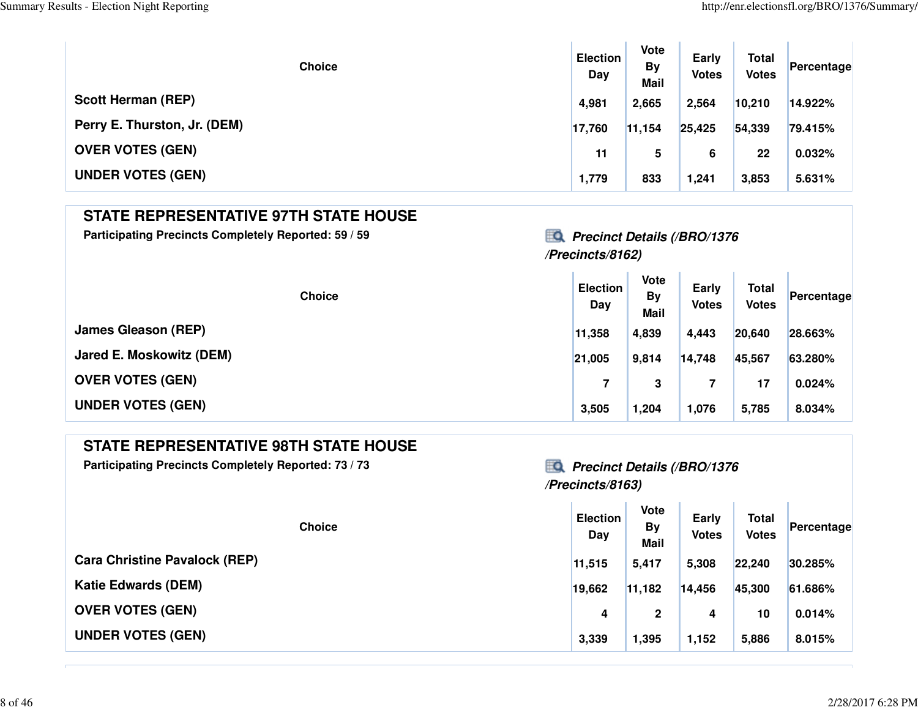| <b>Choice</b>                | <b>Election</b><br>Day | <b>Vote</b><br><b>By</b><br><b>Mail</b> | Early<br><b>Votes</b> | <b>Total</b><br><b>Votes</b> | Percentage |
|------------------------------|------------------------|-----------------------------------------|-----------------------|------------------------------|------------|
| <b>Scott Herman (REP)</b>    | 4,981                  | 2,665                                   | 2,564                 | 10,210                       | 14.922%    |
| Perry E. Thurston, Jr. (DEM) | 17,760                 | 11,154                                  | 25,425                | 54,339                       | 79.415%    |
| <b>OVER VOTES (GEN)</b>      | 11                     | 5                                       | 6                     | 22                           | 0.032%     |
| <b>UNDER VOTES (GEN)</b>     | 1,779                  | 833                                     | 1,241                 | 3,853                        | 5.631%     |

### **STATE REPRESENTATIVE 97TH STATE HOUSE**

Participating Precincts Completely Reported: 59 / 59<br>**Precinct Details (/BRO/1376** 

### **/Precincts/8162)**

| <b>Choice</b>              | <b>Election</b><br>Day | <b>Vote</b><br><b>By</b><br><b>Mail</b> | Early<br><b>Votes</b> | <b>Total</b><br><b>Votes</b> | Percentage |
|----------------------------|------------------------|-----------------------------------------|-----------------------|------------------------------|------------|
| <b>James Gleason (REP)</b> | 11,358                 | 4,839                                   | 4,443                 | 20,640                       | 28.663%    |
| Jared E. Moskowitz (DEM)   | 21,005                 | 9,814                                   | 14,748                | 45,567                       | 63.280%    |
| <b>OVER VOTES (GEN)</b>    |                        | 3                                       |                       | 17                           | 0.024%     |
| <b>UNDER VOTES (GEN)</b>   | 3,505                  | 1,204                                   | 1,076                 | 5,785                        | 8.034%     |

### **STATE REPRESENTATIVE 98TH STATE HOUSE**

Participating Precincts Completely Reported: 73 / 73<br>**Precinct Details (/BRO/1376** 

### **/Precincts/8163)**

The Co

| <b>Choice</b>                        | <b>Election</b><br>Day | Vote<br><b>By</b><br><b>Mail</b> | Early<br><b>Votes</b> | <b>Total</b><br><b>Votes</b> | Percentage |
|--------------------------------------|------------------------|----------------------------------|-----------------------|------------------------------|------------|
| <b>Cara Christine Pavalock (REP)</b> | 11,515                 | 5,417                            | 5,308                 | 22,240                       | 30.285%    |
| <b>Katie Edwards (DEM)</b>           | 19,662                 | 11,182                           | 14,456                | 45,300                       | 61.686%    |
| <b>OVER VOTES (GEN)</b>              | 4                      | 2                                | 4                     | 10                           | 0.014%     |
| <b>UNDER VOTES (GEN)</b>             | 3,339                  | 1,395                            | 1,152                 | 5,886                        | 8.015%     |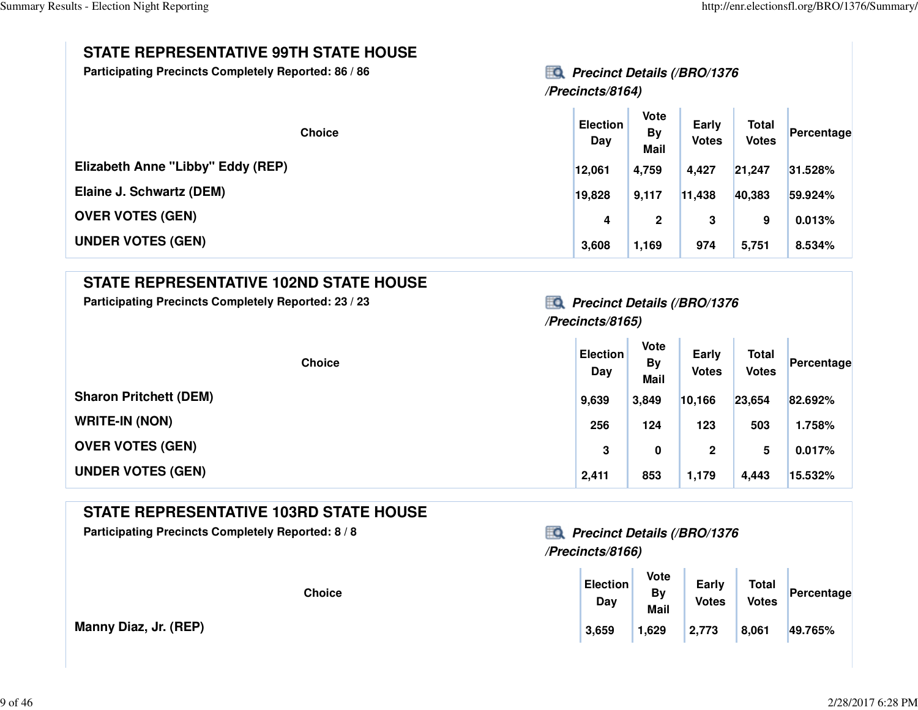### **STATE REPRESENTATIVE 99TH STATE HOUSE**

Participating Precincts Completely Reported: 86 / 86<br>**Precinct Details (/BRO/1376** 

**/Precincts/8164)**

| <b>Choice</b>                     | <b>Election</b><br>Day | <b>Vote</b><br><b>By</b><br><b>Mail</b> | Early<br><b>Votes</b> | <b>Total</b><br><b>Votes</b> | Percentage |
|-----------------------------------|------------------------|-----------------------------------------|-----------------------|------------------------------|------------|
| Elizabeth Anne "Libby" Eddy (REP) | 12,061                 | 4,759                                   | 4,427                 | 21,247                       | 31.528%    |
| Elaine J. Schwartz (DEM)          | 19,828                 | 9,117                                   | 11,438                | 40,383                       | 59.924%    |
| <b>OVER VOTES (GEN)</b>           | 4                      | 2                                       | 3                     | 9                            | 0.013%     |
| <b>UNDER VOTES (GEN)</b>          | 3,608                  | 1,169                                   | 974                   | 5,751                        | 8.534%     |

### **STATE REPRESENTATIVE 102ND STATE HOUSE**

Participating Precincts Completely Reported: 23 / 23<br>**Precinct Details (/BRO/1376** 

# **/Precincts/8165)**

| <b>Choice</b>                 | <b>Election</b><br>Day | <b>Vote</b><br><b>By</b><br><b>Mail</b> | Early<br><b>Votes</b> | <b>Total</b><br>Votes | Percentage |
|-------------------------------|------------------------|-----------------------------------------|-----------------------|-----------------------|------------|
| <b>Sharon Pritchett (DEM)</b> | 9,639                  | 3,849                                   | 10,166                | 23,654                | 82.692%    |
| <b>WRITE-IN (NON)</b>         | 256                    | 124                                     | 123                   | 503                   | 1.758%     |
| <b>OVER VOTES (GEN)</b>       | 3                      | 0                                       | $\mathbf{2}$          | 5                     | 0.017%     |
| <b>UNDER VOTES (GEN)</b>      | 2,411                  | 853                                     | 1,179                 | 4,443                 | 15.532%    |

### **STATE REPRESENTATIVE 103RD STATE HOUSE**

Participating Precincts Completely Reported: 8 / 8<br>**Precinct Details (/BRO/1376** 

**Manny Diaz, Jr. (REP)**

# **/Precincts/8166)**

| <b>Choice</b> | <b>Election</b><br>Day | Vote<br>By<br><b>Mail</b> | Early<br><b>Votes</b> | <b>Total</b><br><b>Votes</b> | Percentage |
|---------------|------------------------|---------------------------|-----------------------|------------------------------|------------|
|               | 3,659                  | 1,629                     | 2,773                 | 8,061                        | 49.765%    |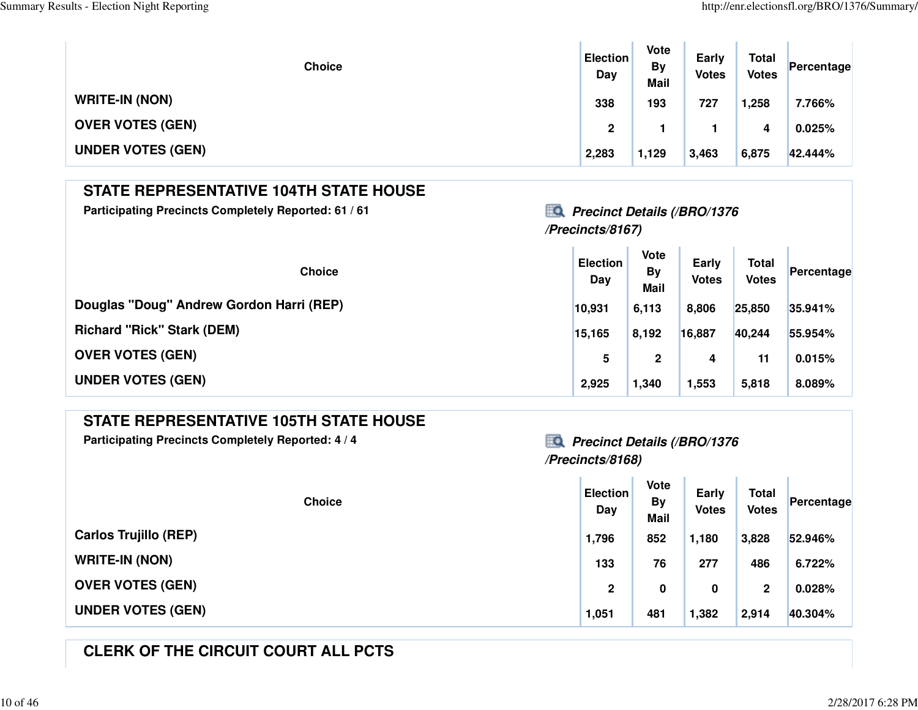| <b>Choice</b>            | <b>Election</b><br>Day | <b>Vote</b><br><b>By</b><br><b>Mail</b> | Early<br><b>Votes</b> | <b>Total</b><br><b>Votes</b> | Percentage |
|--------------------------|------------------------|-----------------------------------------|-----------------------|------------------------------|------------|
| <b>WRITE-IN (NON)</b>    | 338                    | 193                                     | 727                   | 1,258                        | 7.766%     |
| <b>OVER VOTES (GEN)</b>  | $\mathbf 2$            |                                         |                       | 4                            | 0.025%     |
| <b>UNDER VOTES (GEN)</b> | 2,283                  | 1,129                                   | 3,463                 | 6,875                        | 42.444%    |

### **STATE REPRESENTATIVE 104TH STATE HOUSE**

Participating Precincts Completely Reported: 61 / 61<br>**Precinct Details (/BRO/1376** 

# **/Precincts/8167)**

| <b>Choice</b>                            | <b>Election</b><br>Day | <b>Vote</b><br><b>By</b><br><b>Mail</b> | Early<br><b>Votes</b> | <b>Total</b><br><b>Votes</b> | Percentage |
|------------------------------------------|------------------------|-----------------------------------------|-----------------------|------------------------------|------------|
| Douglas "Doug" Andrew Gordon Harri (REP) | 10,931                 | 6,113                                   | 8,806                 | 25,850                       | 35.941%    |
| <b>Richard "Rick" Stark (DEM)</b>        | 15,165                 | 8,192                                   | 16,887                | 40,244                       | 55.954%    |
| <b>OVER VOTES (GEN)</b>                  | 5                      | $\mathbf{2}$                            | 4                     | 11                           | 0.015%     |
| <b>UNDER VOTES (GEN)</b>                 | 2,925                  | 1,340                                   | 1,553                 | 5,818                        | 8.089%     |

### **STATE REPRESENTATIVE 105TH STATE HOUSE**

Participating Precincts Completely Reported: 4/4<br>**Precinct Details (/BRO/1376** 

# **/Precincts/8168)**

| <b>Choice</b>                | <b>Election</b><br>Day | Vote<br><b>By</b><br><b>Mail</b> | Early<br><b>Votes</b> | <b>Total</b><br><b>Votes</b> | Percentage |
|------------------------------|------------------------|----------------------------------|-----------------------|------------------------------|------------|
| <b>Carlos Trujillo (REP)</b> | 1,796                  | 852                              | 1,180                 | 3,828                        | 52.946%    |
| <b>WRITE-IN (NON)</b>        | 133                    | 76                               | 277                   | 486                          | 6.722%     |
| <b>OVER VOTES (GEN)</b>      | $\mathbf 2$            | 0                                | 0                     | 2                            | 0.028%     |
| <b>UNDER VOTES (GEN)</b>     | 1,051                  | 481                              | 1,382                 | 2,914                        | 40.304%    |

### **CLERK OF THE CIRCUIT COURT ALL PCTS**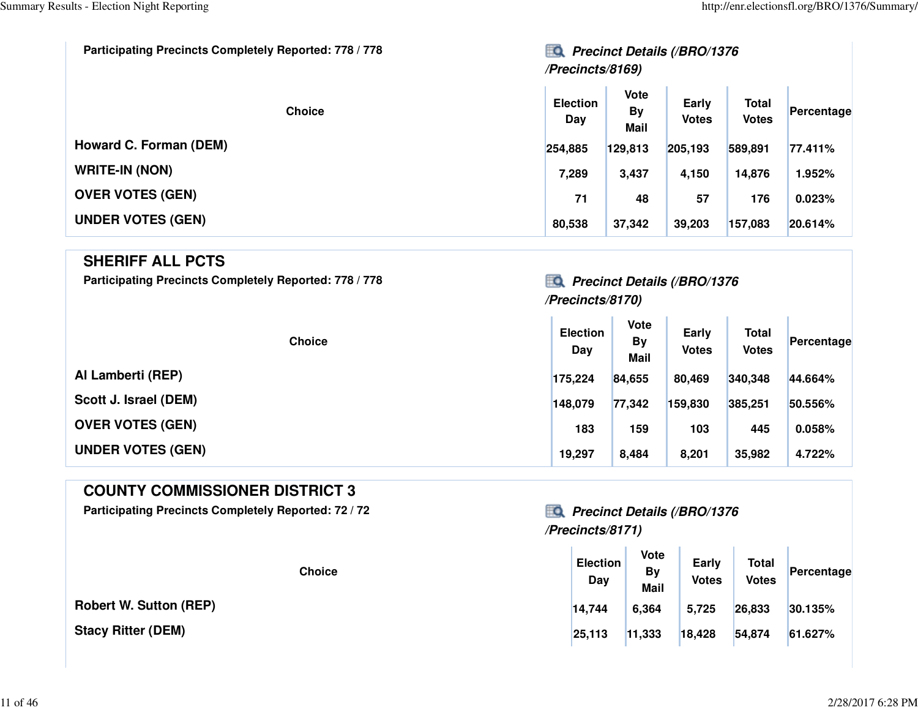| Participating Precincts Completely Reported: 778 / 778 | EQ<br><b>Precinct Details (/BRO/1376</b><br>/Precincts/8169) |                                         |                       |                              |            |  |  |
|--------------------------------------------------------|--------------------------------------------------------------|-----------------------------------------|-----------------------|------------------------------|------------|--|--|
| <b>Choice</b>                                          | <b>Election</b><br>Day                                       | <b>Vote</b><br><b>By</b><br><b>Mail</b> | Early<br><b>Votes</b> | <b>Total</b><br><b>Votes</b> | Percentage |  |  |
| Howard C. Forman (DEM)                                 | 254,885                                                      | 129,813                                 | 205,193               | 589,891                      | 77.411%    |  |  |
| <b>WRITE-IN (NON)</b>                                  | 7,289                                                        | 3,437                                   | 4,150                 | 14,876                       | 1.952%     |  |  |
| <b>OVER VOTES (GEN)</b>                                | 71                                                           | 48                                      | 57                    | 176                          | 0.023%     |  |  |
| <b>UNDER VOTES (GEN)</b>                               | 80,538                                                       | 37,342                                  | 39,203                | 157,083                      | 20.614%    |  |  |

#### **SHERIFF ALL PCTS**

Participating Precincts Completely Reported: 778 / 778*Precinct Details (/BRO/1376* 

### **/Precincts/8170)**

**Contract Contract** 

**College** 

| <b>Choice</b>            | <b>Election</b><br>Day | <b>Vote</b><br><b>By</b><br><b>Mail</b> | Early<br><b>Votes</b> | <b>Total</b><br><b>Votes</b> | Percentage |
|--------------------------|------------------------|-----------------------------------------|-----------------------|------------------------------|------------|
| Al Lamberti (REP)        | 175,224                | 84,655                                  | 80,469                | 340,348                      | 44.664%    |
| Scott J. Israel (DEM)    | 148,079                | 77,342                                  | 159,830               | 385,251                      | 50.556%    |
| <b>OVER VOTES (GEN)</b>  | 183                    | 159                                     | 103                   | 445                          | 0.058%     |
| <b>UNDER VOTES (GEN)</b> | 19,297                 | 8,484                                   | 8,201                 | 35,982                       | 4.722%     |

### **COUNTY COMMISSIONER DISTRICT 3**

Participating Precincts Completely Reported: 72 / 72 *Precinct Details (/BRO/1376* 

**Robert W. Sutton (REP)**

**Stacy Ritter (DEM)**

# **/Precincts/8171)**

| <b>Choice</b> | <b>Election</b><br>Day | <b>Vote</b><br><b>By</b><br><b>Mail</b> | Early<br><b>Votes</b> | <b>Total</b><br><b>Votes</b> | Percentage |  |
|---------------|------------------------|-----------------------------------------|-----------------------|------------------------------|------------|--|
| (REP)         | 14,744                 | 6,364                                   | 5,725                 | 26,833                       | 30.135%    |  |
|               | 25,113                 | 11,333                                  | 18,428                | 54,874                       | 61.627%    |  |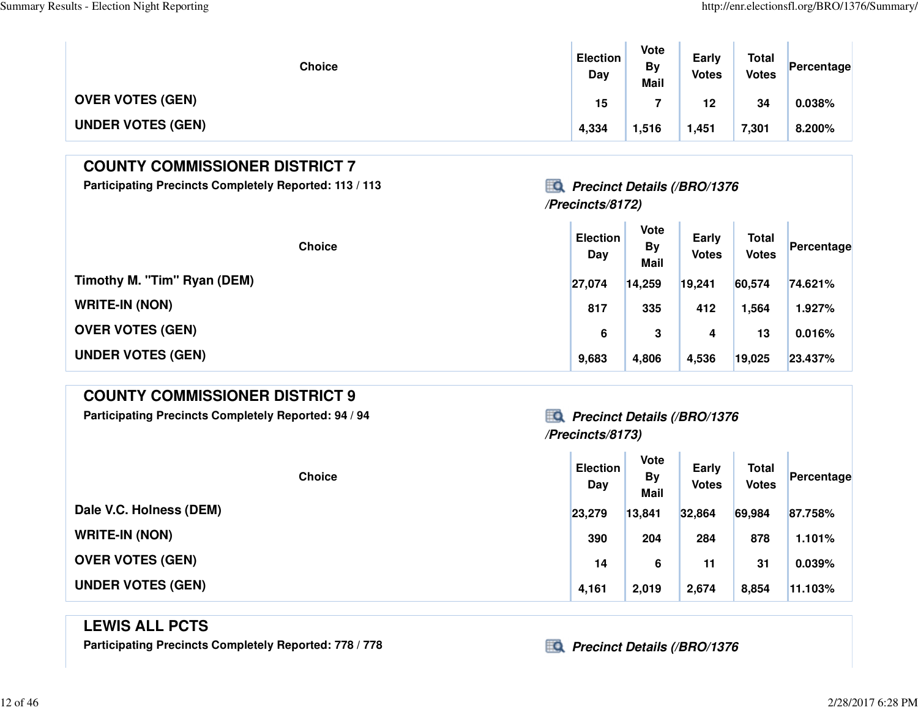| <b>Choice</b>            | <b>Election</b><br>Day | <b>Vote</b><br>By<br><b>Mail</b> | Early<br><b>Votes</b> | <b>Total</b><br><b>Votes</b> | Percentage |
|--------------------------|------------------------|----------------------------------|-----------------------|------------------------------|------------|
| <b>OVER VOTES (GEN)</b>  | 15                     |                                  | 12 <sub>2</sub>       | 34                           | 0.038%     |
| <b>UNDER VOTES (GEN)</b> | 4,334                  | 1,516                            | 1,451                 | 7,301                        | 8.200%     |

### **COUNTY COMMISSIONER DISTRICT 7**

Participating Precincts Completely Reported: 113 / 113 *Precinct Details (/BRO/1376* 

# **/Precincts/8172)**

| <b>Choice</b>               | <b>Election</b><br>Day | <b>Vote</b><br><b>By</b><br><b>Mail</b> | <b>Early</b><br><b>Votes</b> | <b>Total</b><br><b>Votes</b> | Percentage |
|-----------------------------|------------------------|-----------------------------------------|------------------------------|------------------------------|------------|
| Timothy M. "Tim" Ryan (DEM) | 27,074                 | 14,259                                  | 19,241                       | 60,574                       | 74.621%    |
| <b>WRITE-IN (NON)</b>       | 817                    | 335                                     | 412                          | ,564                         | 1.927%     |
| <b>OVER VOTES (GEN)</b>     | 6                      | 3                                       | 4                            | 13                           | 0.016%     |
| <b>UNDER VOTES (GEN)</b>    | 9,683                  | 4,806                                   | 4,536                        | 19,025                       | 23.437%    |

### **COUNTY COMMISSIONER DISTRICT 9**

**Participating Precincts Completely Reported: 94 / 94 Precinct Details (/BRO/1376**

# **/Precincts/8173)**

| <b>Choice</b>            | <b>Election</b><br>Day | <b>Vote</b><br><b>By</b><br><b>Mail</b> | Early<br><b>Votes</b> | <b>Total</b><br><b>Votes</b> | Percentage |
|--------------------------|------------------------|-----------------------------------------|-----------------------|------------------------------|------------|
| Dale V.C. Holness (DEM)  | 23,279                 | 13,841                                  | 32,864                | 69,984                       | 87.758%    |
| <b>WRITE-IN (NON)</b>    | 390                    | 204                                     | 284                   | 878                          | 1.101%     |
| <b>OVER VOTES (GEN)</b>  | 14                     | 6                                       | 11                    | 31                           | 0.039%     |
| <b>UNDER VOTES (GEN)</b> | 4,161                  | 2,019                                   | 2,674                 | 8,854                        | 11.103%    |

### **LEWIS ALL PCTS**

Participating Precincts Completely Reported: 778 / 778*Precinct Details (/BRO/1376*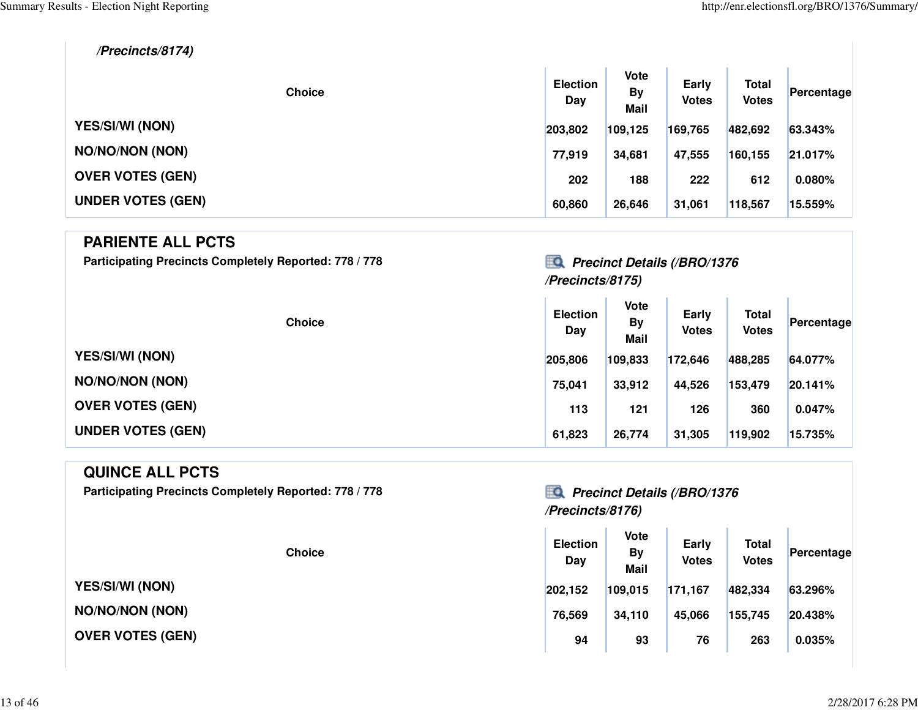T.

#### **/Precincts/8174)**

| <b>Choice</b>            | <b>Election</b><br>Day | <b>Vote</b><br><b>By</b><br><b>Mail</b> | Early<br><b>Votes</b> | <b>Total</b><br><b>Votes</b> | Percentage |
|--------------------------|------------------------|-----------------------------------------|-----------------------|------------------------------|------------|
| <b>YES/SI/WI (NON)</b>   | 203,802                | 109,125                                 | 169,765               | 482,692                      | 63.343%    |
| <b>NO/NO/NON (NON)</b>   | 77,919                 | 34,681                                  | 47,555                | 160,155                      | 21.017%    |
| <b>OVER VOTES (GEN)</b>  | 202                    | 188                                     | 222                   | 612                          | 0.080%     |
| <b>UNDER VOTES (GEN)</b> | 60,860                 | 26,646                                  | 31,061                | 118,567                      | 15.559%    |

### **PARIENTE ALL PCTS**

**Participating Precincts Completely Reported: 778 / 778 Precinct Details (/BRO/1376**

## **/Precincts/8175)**

| <b>Choice</b>            | <b>Election</b><br>Day | Vote<br><b>By</b><br><b>Mail</b> | Early<br><b>Votes</b> | <b>Total</b><br><b>Votes</b> | Percentage |
|--------------------------|------------------------|----------------------------------|-----------------------|------------------------------|------------|
| <b>YES/SI/WI (NON)</b>   | 205,806                | 109,833                          | 172,646               | 488,285                      | 64.077%    |
| <b>NO/NO/NON (NON)</b>   | 75,041                 | 33,912                           | 44,526                | 153,479                      | 20.141%    |
| <b>OVER VOTES (GEN)</b>  | 113                    | 121                              | 126                   | 360                          | 0.047%     |
| <b>UNDER VOTES (GEN)</b> | 61,823                 | 26,774                           | 31,305                | 119,902                      | 15.735%    |

#### **QUINCE ALL PCTS**

**Participating Precincts Completely Reported: 778 / 778 Precinct Details (/BRO/1376**

**YES/SI/WI (NON)**

**NO/NO/NON (NON)**

**OVER VOTES (GEN)**

# **/Precincts/8176)**

| <b>Election</b><br>Day | <b>Vote</b><br>By<br><b>Mail</b> | Early<br><b>Votes</b> | <b>Total</b><br><b>Votes</b> | Percentage |
|------------------------|----------------------------------|-----------------------|------------------------------|------------|
| 202,152                |                                  | 171,167               |                              | 63.296%    |
| 76,569                 | 34,110                           | 45,066                | 155,745                      | 20.438%    |
| 94                     | 93                               | 76                    | 263                          | 0.035%     |
|                        |                                  | 109,015               |                              | 482,334    |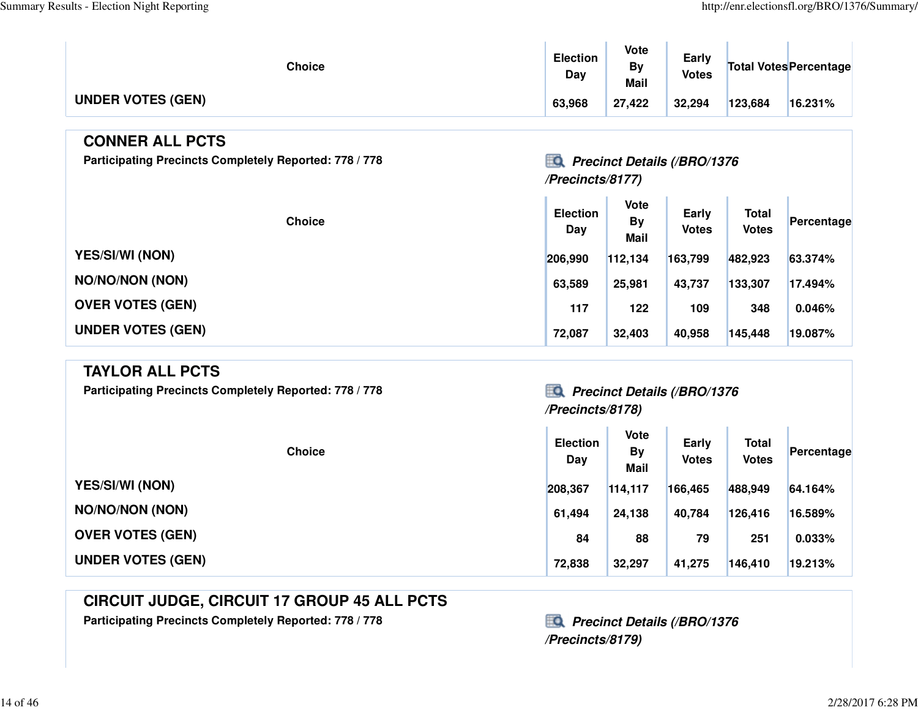T.

| <b>Choice</b>            | <b>Election</b><br>Dav | <b>Vote</b><br>Bv<br><b>Mail</b> | Early<br><b>Votes</b> |         | Total Votes Percentage |
|--------------------------|------------------------|----------------------------------|-----------------------|---------|------------------------|
| <b>UNDER VOTES (GEN)</b> | 63,968                 | 27,422                           | 32,294                | 123,684 | 16.231%                |

#### **CONNER ALL PCTS**

Participating Precincts Completely Reported: 778 / 778*Precinct Details (/BRO/1376* 

### **/Precincts/8177)**

**College** 

| <b>Choice</b>            | <b>Election</b><br>Day | Vote<br><b>By</b><br><b>Mail</b> | Early<br><b>Votes</b> | <b>Total</b><br><b>Votes</b> | Percentage |
|--------------------------|------------------------|----------------------------------|-----------------------|------------------------------|------------|
| <b>YES/SI/WI (NON)</b>   | 206.990                | 112.134                          | 163,799               | 482,923                      | 63.374%    |
| <b>NO/NO/NON (NON)</b>   | 63,589                 | 25,981                           | 43,737                | 133,307                      | 17.494%    |
| <b>OVER VOTES (GEN)</b>  | 117                    | 122                              | 109                   | 348                          | 0.046%     |
| <b>UNDER VOTES (GEN)</b> | 72,087                 | 32,403                           | 40,958                | 145,448                      | 19.087%    |

a.

 $\mathbb{R}^2$ 

#### **TAYLOR ALL PCTS**

Participating Precincts Completely Reported: 778 / 778*Precinct Details (/BRO/1376* 

# **/Precincts/8178)**

|                          | <b>Choice</b> | <b>Election</b><br>Day | <b>Vote</b><br><b>By</b><br><b>Mail</b> | Early<br><b>Votes</b> | <b>Total</b><br><b>Votes</b> | Percentage |
|--------------------------|---------------|------------------------|-----------------------------------------|-----------------------|------------------------------|------------|
| <b>YES/SI/WI (NON)</b>   |               | 208,367                | 114,117                                 | 166,465               | 488,949                      | 64.164%    |
| <b>NO/NO/NON (NON)</b>   |               | 61.494                 | 24,138                                  | 40,784                | 126,416                      | 16.589%    |
| <b>OVER VOTES (GEN)</b>  |               | 84                     | 88                                      | 79                    | 251                          | 0.033%     |
| <b>UNDER VOTES (GEN)</b> |               | 72,838                 | 32,297                                  | 41,275                | 146,410                      | 19.213%    |

### **CIRCUIT JUDGE, CIRCUIT 17 GROUP 45 ALL PCTS**

Participating Precincts Completely Reported: 778 / 778 **Precinct Details (/BRO/1376** 

**/Precincts/8179)**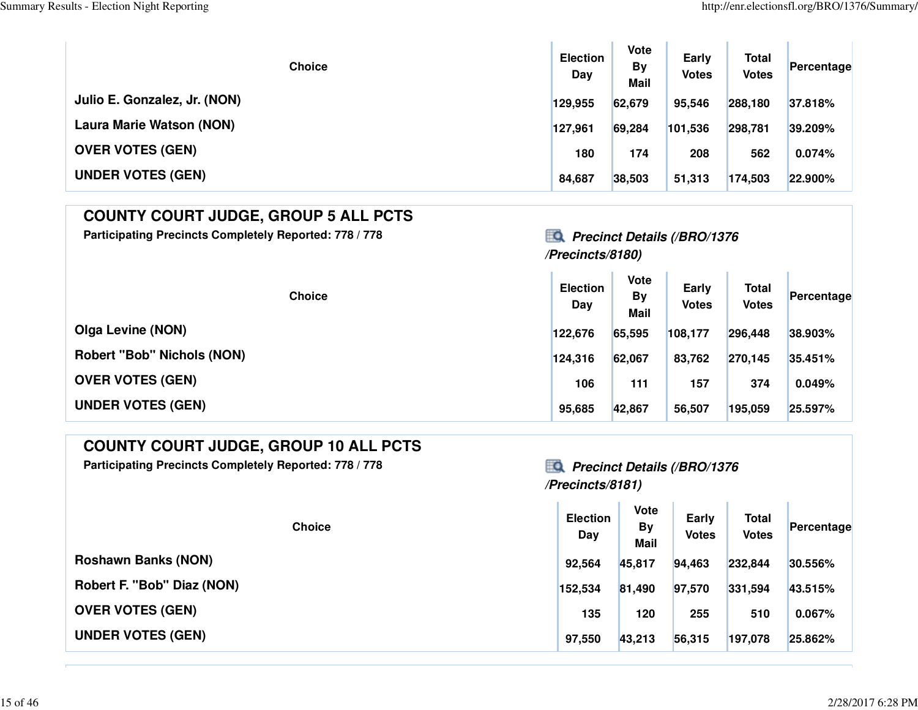$\mathbb T$ 

| <b>Choice</b>                   | <b>Election</b><br>Day | <b>Vote</b><br><b>By</b><br>Mail | Early<br><b>Votes</b> | <b>Total</b><br><b>Votes</b> | Percentage |
|---------------------------------|------------------------|----------------------------------|-----------------------|------------------------------|------------|
| Julio E. Gonzalez, Jr. (NON)    | 129,955                | 62,679                           | 95,546                | 288,180                      | 37.818%    |
| <b>Laura Marie Watson (NON)</b> | 127,961                | 69,284                           | 101,536               | 298,781                      | 39.209%    |
| <b>OVER VOTES (GEN)</b>         | 180                    | 174                              | 208                   | 562                          | 0.074%     |
| <b>UNDER VOTES (GEN)</b>        | 84,687                 | 38,503                           | 51,313                | 174,503                      | 22.900%    |

| <b>COUNTY COURT JUDGE, GROUP 5 ALL PCTS</b> |
|---------------------------------------------|
|---------------------------------------------|

Participating Precincts Completely Reported: 778 / 778 **Precinct Details (/BRO/1376** 

# **/Precincts/8180)**

| <b>Choice</b>                     | <b>Election</b><br>Day | <b>Vote</b><br><b>By</b><br>Mail | Early<br><b>Votes</b> | <b>Total</b><br><b>Votes</b> | Percentage |
|-----------------------------------|------------------------|----------------------------------|-----------------------|------------------------------|------------|
| <b>Olga Levine (NON)</b>          | 122,676                | 65,595                           | 108,177               | 296,448                      | 38.903%    |
| <b>Robert "Bob" Nichols (NON)</b> | 124.316                | 62,067                           | 83,762                | 270,145                      | 35.451%    |
| <b>OVER VOTES (GEN)</b>           | 106                    | 111                              | 157                   | 374                          | 0.049%     |
| <b>UNDER VOTES (GEN)</b>          | 95,685                 | 42,867                           | 56,507                | 195,059                      | 25.597%    |

### **COUNTY COURT JUDGE, GROUP 10 ALL PCTS**

Participating Precincts Completely Reported: 778 / 778 **Precinct Details (/BRO/1376** 

### **/Precincts/8181)**

| <b>Choice</b>              | <b>Election</b><br>Day | <b>Vote</b><br><b>By</b><br><b>Mail</b> | Early<br><b>Votes</b> | <b>Total</b><br><b>Votes</b> | Percentage |
|----------------------------|------------------------|-----------------------------------------|-----------------------|------------------------------|------------|
| <b>Roshawn Banks (NON)</b> | 92,564                 | 45,817                                  | 94,463                | 232,844                      | 30.556%    |
| Robert F. "Bob" Diaz (NON) | 152,534                | 81,490                                  | 97,570                | 331,594                      | 43.515%    |
| <b>OVER VOTES (GEN)</b>    | 135                    | 120                                     | 255                   | 510                          | 0.067%     |
| <b>UNDER VOTES (GEN)</b>   | 97,550                 | 43,213                                  | 56,315                | 197,078                      | 25.862%    |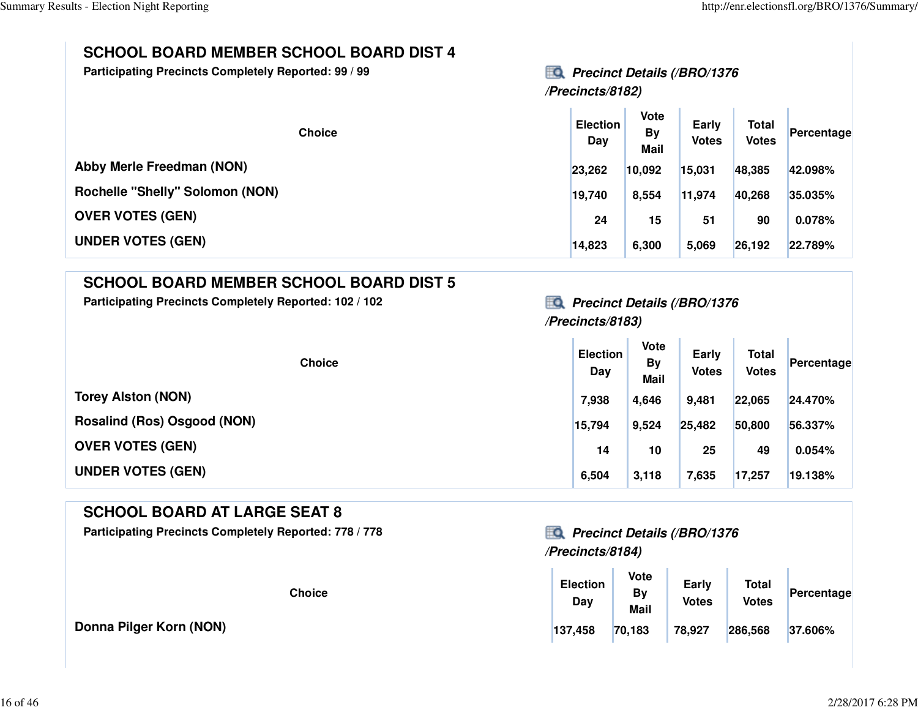### **SCHOOL BOARD MEMBER SCHOOL BOARD DIST 4**

**Participating Precincts Completely Reported: 99 / 9**

**19** Precinct Details (/BRO/1376 **/Precincts/8182)**

| <b>Choice</b>                          | <b>Election</b><br>Day | <b>Vote</b><br><b>By</b><br><b>Mail</b> | Early<br><b>Votes</b> | <b>Total</b><br><b>Votes</b> | Percentage |
|----------------------------------------|------------------------|-----------------------------------------|-----------------------|------------------------------|------------|
| <b>Abby Merle Freedman (NON)</b>       | 23,262                 | 10,092                                  | 15,031                | 48,385                       | 42.098%    |
| <b>Rochelle "Shelly" Solomon (NON)</b> | 19,740                 | 8,554                                   | 11,974                | 40,268                       | 35.035%    |
| <b>OVER VOTES (GEN)</b>                | 24                     | 15                                      | 51                    | 90                           | 0.078%     |
| <b>UNDER VOTES (GEN)</b>               | 14,823                 | 6,300                                   | 5,069                 | 26,192                       | 22.789%    |

### **SCHOOL BOARD MEMBER SCHOOL BOARD DIST 5**

Participating Precincts Completely Reported: 102 / 102<br>**Precinct Details (/BRO/1376** 

## **/Precincts/8183)**

| <b>Choice</b>               | <b>Election</b><br>Day | <b>Vote</b><br><b>By</b><br><b>Mail</b> | Early<br><b>Votes</b> | Total<br><b>Votes</b> | Percentage |
|-----------------------------|------------------------|-----------------------------------------|-----------------------|-----------------------|------------|
| <b>Torey Alston (NON)</b>   | 7,938                  | 4,646                                   | 9,481                 | 22,065                | 24.470%    |
| Rosalind (Ros) Osgood (NON) | 15,794                 | 9,524                                   | 25,482                | 50,800                | 56.337%    |
| <b>OVER VOTES (GEN)</b>     | 14                     | 10                                      | 25                    | 49                    | 0.054%     |
| <b>UNDER VOTES (GEN)</b>    | 6,504                  | 3,118                                   | 7,635                 | 17,257                | 19.138%    |

### **SCHOOL BOARD AT LARGE SEAT 8**

Participating Precincts Completely Reported: 778 / 778*Precinct Details (/BRO/1376* 

**Donna Pilger Korn (NON)**

# **/Precincts/8184)**

| <b>Choice</b> | <b>Election</b><br>Day | Vote<br><b>By</b><br><b>Mail</b> | Early<br><b>Votes</b> | <b>Total</b><br><b>Votes</b> | Percentage |
|---------------|------------------------|----------------------------------|-----------------------|------------------------------|------------|
|               | 137,458                | 70,183                           | 78,927                | 286,568                      | 37.606%    |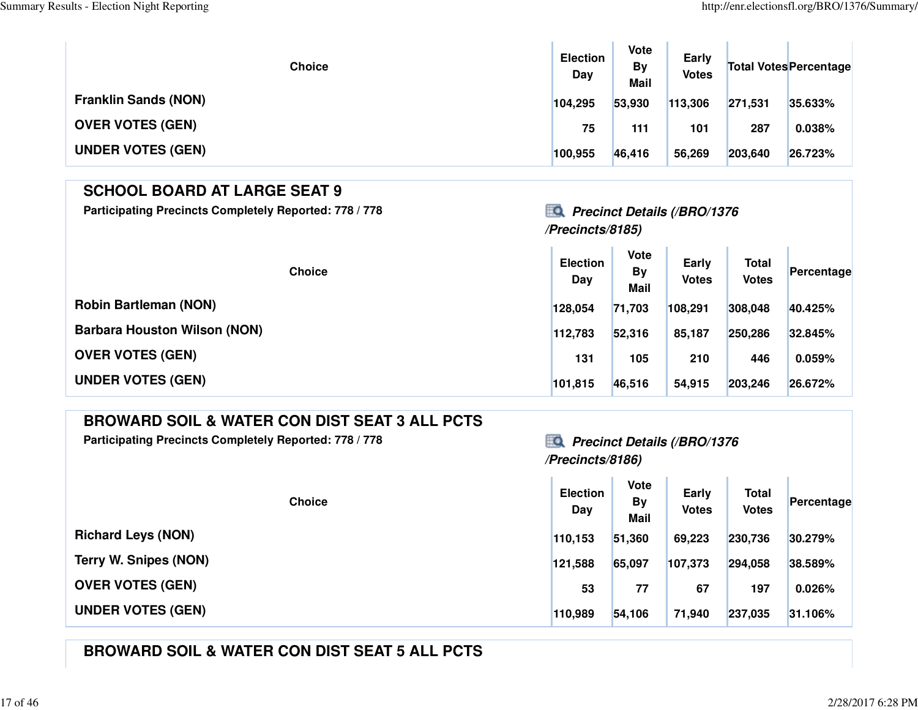| <b>Choice</b>               | <b>Election</b><br>Day | <b>Vote</b><br><b>By</b><br><b>Mail</b> | Early<br><b>Votes</b> |         | <b>Total Votes Percentage</b> |
|-----------------------------|------------------------|-----------------------------------------|-----------------------|---------|-------------------------------|
| <b>Franklin Sands (NON)</b> | 104,295                | 53,930                                  | 113,306               | 271,531 | 35.633%                       |
| <b>OVER VOTES (GEN)</b>     | 75                     | 111                                     | 101                   | 287     | 0.038%                        |
| <b>UNDER VOTES (GEN)</b>    | 100,955                | 46,416                                  | 56,269                | 203,640 | 26.723%                       |

### **SCHOOL BOARD AT LARGE SEAT 9**

Participating Precincts Completely Reported: 778 / 778*Precinct Details (/BRO/1376* 

### **/Precincts/8185)**

| <b>Choice</b>                       | <b>Election</b><br>Day | <b>Vote</b><br><b>By</b><br><b>Mail</b> | Early<br><b>Votes</b> | <b>Total</b><br><b>Votes</b> | Percentage |
|-------------------------------------|------------------------|-----------------------------------------|-----------------------|------------------------------|------------|
| <b>Robin Bartleman (NON)</b>        | 128,054                | 71,703                                  | 108,291               | 308,048                      | 40.425%    |
| <b>Barbara Houston Wilson (NON)</b> | 112,783                | 52,316                                  | 85,187                | 250,286                      | 32.845%    |
| <b>OVER VOTES (GEN)</b>             | 131                    | 105                                     | 210                   | 446                          | 0.059%     |
| <b>UNDER VOTES (GEN)</b>            | 101,815                | 46,516                                  | 54,915                | 203,246                      | 26.672%    |

### **BROWARD SOIL & WATER CON DIST SEAT 3 ALL PCTS**

Participating Precincts Completely Reported: 778 / 778 **Precinct Details (/BRO/1376** 

### **/Precincts/8186)**

 $\sim$ 

 $\mathbf{r}$ 

| <b>Choice</b>                | <b>Election</b><br>Day | <b>Vote</b><br><b>By</b><br><b>Mail</b> | Early<br><b>Votes</b> | <b>Total</b><br><b>Votes</b> | Percentage |
|------------------------------|------------------------|-----------------------------------------|-----------------------|------------------------------|------------|
| <b>Richard Leys (NON)</b>    | 110.153                | 51,360                                  | 69,223                | 230,736                      | 30.279%    |
| <b>Terry W. Snipes (NON)</b> | 121,588                | 65,097                                  | 107,373               | 294,058                      | 38.589%    |
| <b>OVER VOTES (GEN)</b>      | 53                     | 77                                      | 67                    | 197                          | 0.026%     |
| <b>UNDER VOTES (GEN)</b>     | 110,989                | 54,106                                  | 71,940                | 237,035                      | 31.106%    |

### **BROWARD SOIL & WATER CON DIST SEAT 5 ALL PCTS**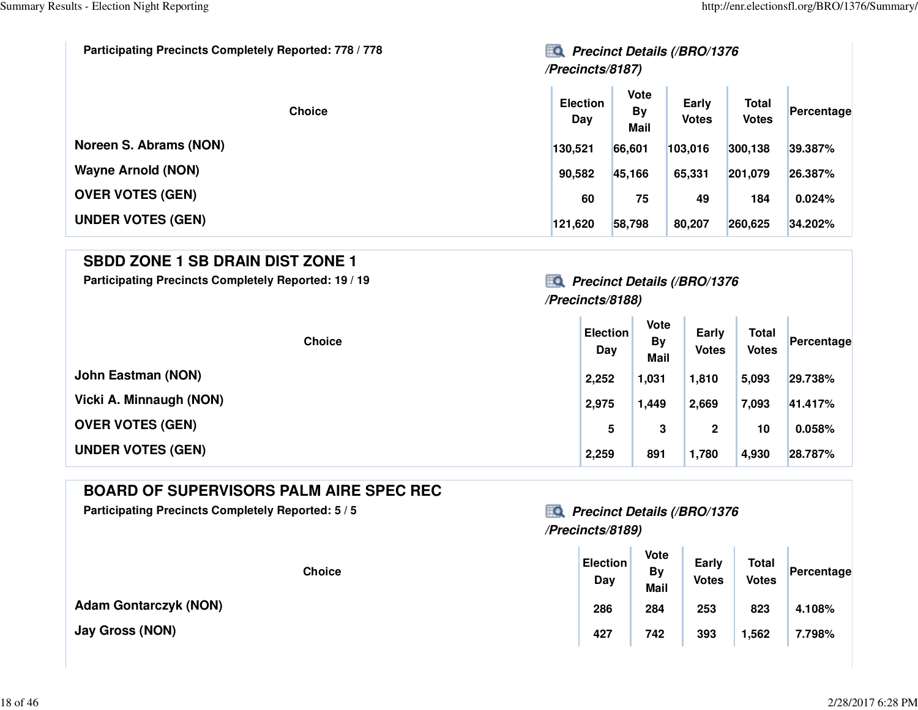| Participating Precincts Completely Reported: 778 / 778 | <b>Precinct Details (/BRO/1376</b> |                                  |                       |                              |            |
|--------------------------------------------------------|------------------------------------|----------------------------------|-----------------------|------------------------------|------------|
| <b>Choice</b>                                          | <b>Election</b><br>Day             | <b>Vote</b><br><b>By</b><br>Mail | Early<br><b>Votes</b> | <b>Total</b><br><b>Votes</b> | Percentage |
| Noreen S. Abrams (NON)                                 | 130,521                            | 66,601                           | 103,016               | 300,138                      | 39.387%    |
| <b>Wayne Arnold (NON)</b>                              | 90,582                             | 45,166                           | 65,331                | 201,079                      | 26.387%    |
| <b>OVER VOTES (GEN)</b>                                | 60                                 | 75                               | 49                    | 184                          | 0.024%     |
| <b>UNDER VOTES (GEN)</b>                               | 121,620                            | 58,798                           | 80,207                | 260,625                      | 34.202%    |

#### **SBDD ZONE 1 SB DRAIN DIST ZONE 1**

Participating Precincts Completely Reported: 19 / 19 *Precinct Details (/BRO/1376* 

### **/Precincts/8188)**

| <b>Choice</b>            | <b>Election</b><br>Day | Vote<br>By<br><b>Mail</b> | Early<br><b>Votes</b> | <b>Total</b><br><b>Votes</b> | Percentage |
|--------------------------|------------------------|---------------------------|-----------------------|------------------------------|------------|
| John Eastman (NON)       | 2,252                  | 1,031                     | 1,810                 | 5,093                        | 29.738%    |
| Vicki A. Minnaugh (NON)  | 2,975                  | 1,449                     | 2,669                 | 7,093                        | 41.417%    |
| <b>OVER VOTES (GEN)</b>  | 5                      | 3                         | $\mathbf{2}$          | 10                           | 0.058%     |
| <b>UNDER VOTES (GEN)</b> | 2,259                  | 891                       | 1,780                 | 4,930                        | 28.787%    |

### **BOARD OF SUPERVISORS PALM AIRE SPEC REC**

Participating Precincts Completely Reported: 5 / 5<br>**Precinct Details (/BRO/1376** 

### **/Precincts/8189)**

| <b>Choice</b> | <b>Election</b><br>Day | <b>Vote</b><br><b>By</b><br><b>Mail</b> | <b>Early</b><br><b>Votes</b> | <b>Total</b><br><b>Votes</b> | Percentage |
|---------------|------------------------|-----------------------------------------|------------------------------|------------------------------|------------|
| k (NON)       | 286                    | 284                                     | 253                          | 823                          | 4.108%     |
|               | 427                    | 742                                     | 393                          | 1,562                        | 7.798%     |

**Adam Gontarczyk (NON)**

**Jay Gross (NON)**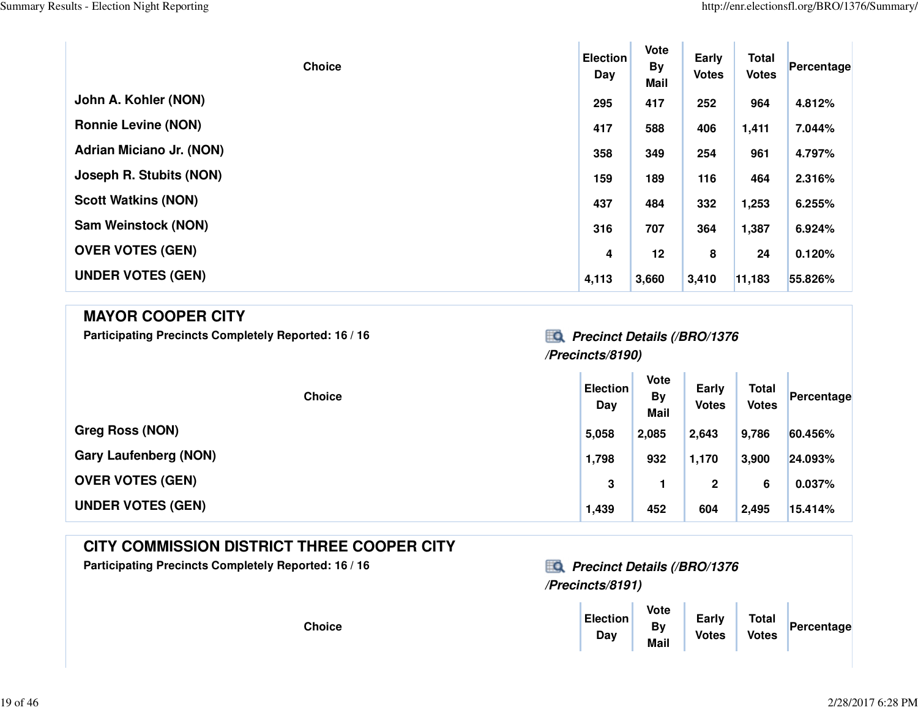| <b>Choice</b>              | <b>Election</b><br>Day | Vote<br>By<br><b>Mail</b> | Early<br><b>Votes</b> | <b>Total</b><br><b>Votes</b> | Percentage |
|----------------------------|------------------------|---------------------------|-----------------------|------------------------------|------------|
| John A. Kohler (NON)       | 295                    | 417                       | 252                   | 964                          | 4.812%     |
| <b>Ronnie Levine (NON)</b> | 417                    | 588                       | 406                   | 1,411                        | 7.044%     |
| Adrian Miciano Jr. (NON)   | 358                    | 349                       | 254                   | 961                          | 4.797%     |
| Joseph R. Stubits (NON)    | 159                    | 189                       | 116                   | 464                          | 2.316%     |
| <b>Scott Watkins (NON)</b> | 437                    | 484                       | 332                   | 1,253                        | 6.255%     |
| <b>Sam Weinstock (NON)</b> | 316                    | 707                       | 364                   | 1,387                        | 6.924%     |
| <b>OVER VOTES (GEN)</b>    | 4                      | 12                        | 8                     | 24                           | 0.120%     |
| <b>UNDER VOTES (GEN)</b>   | 4,113                  | 3,660                     | 3,410                 | 11,183                       | 55.826%    |

| <b>MAYOR COOPER CITY</b><br>Participating Precincts Completely Reported: 16 / 16 | <b>Precinct Details (/BRO/1376</b> |                                  |                       |                              |            |
|----------------------------------------------------------------------------------|------------------------------------|----------------------------------|-----------------------|------------------------------|------------|
|                                                                                  | /Precincts/8190)                   |                                  |                       |                              |            |
| <b>Choice</b>                                                                    | <b>Election</b><br>Day             | Vote<br><b>By</b><br><b>Mail</b> | Early<br><b>Votes</b> | <b>Total</b><br><b>Votes</b> | Percentage |
| $Q_{max}$ $R_{max}$ (MAN)                                                        |                                    |                                  |                       |                              |            |

| <b>Greg Ross (NON)</b>       | 5,058 | 2,085 | 2,643 | 9,786 | 60.456% |
|------------------------------|-------|-------|-------|-------|---------|
| <b>Gary Laufenberg (NON)</b> | 1,798 | 932   | 1,170 | 3,900 | 24.093% |
| <b>OVER VOTES (GEN)</b>      | 3     |       | 2     |       | 0.037%  |
| <b>UNDER VOTES (GEN)</b>     | 1,439 | 452   | 604   | 2,495 | 15.414% |

### **CITY COMMISSION DISTRICT THREE COOPER CITY**

Participating Precincts Completely Reported: 16 / 16<br>**Precinct Details (/BRO/1376** 



| е | <b>Election</b><br>Day | Vote<br>By<br><b>Mail</b> | Early<br><b>Votes</b> | <b>Total</b><br><b>Votes</b> | Percentage |
|---|------------------------|---------------------------|-----------------------|------------------------------|------------|
|---|------------------------|---------------------------|-----------------------|------------------------------|------------|

**Choice**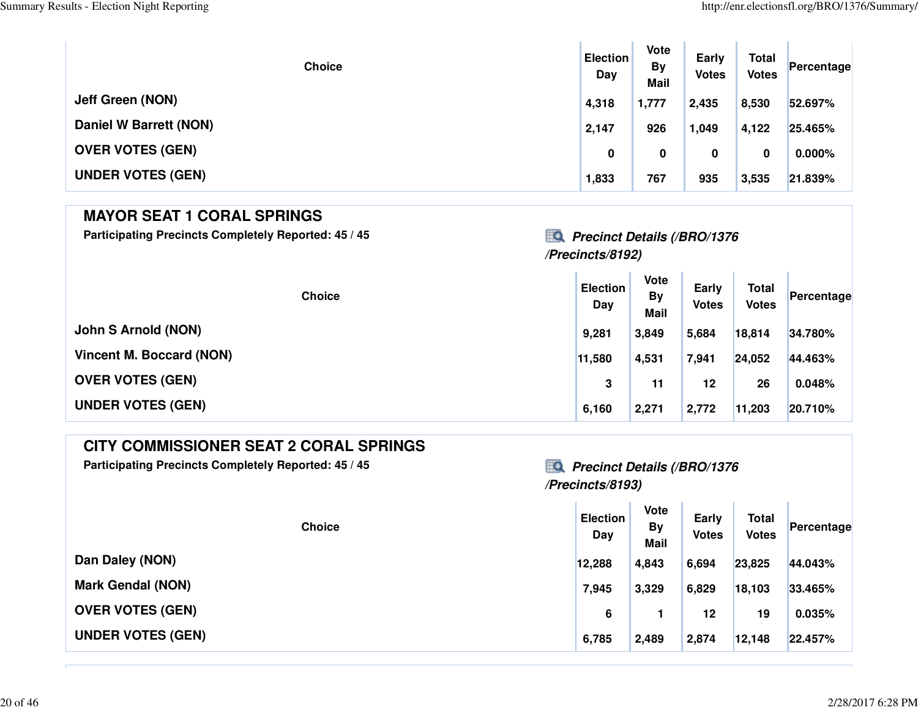**T** 

| <b>Choice</b>            | <b>Election</b><br>Day | Vote<br><b>By</b><br>Mail | Early<br><b>Votes</b> | <b>Total</b><br><b>Votes</b> | Percentage |
|--------------------------|------------------------|---------------------------|-----------------------|------------------------------|------------|
| <b>Jeff Green (NON)</b>  | 4,318                  | 1,777                     | 2,435                 | 8,530                        | 52.697%    |
| Daniel W Barrett (NON)   | 2,147                  | 926                       | 1,049                 | 4,122                        | 25.465%    |
| <b>OVER VOTES (GEN)</b>  | 0                      | 0                         | 0                     | 0                            | $0.000\%$  |
| <b>UNDER VOTES (GEN)</b> | 1,833                  | 767                       | 935                   | 3,535                        | 21.839%    |

### **MAYOR SEAT 1 CORAL SPRINGS**

**Participating Precincts Completely Reported: 45 / 45 Precinct Details (/BRO/1376**

# **/Precincts/8192)**

| <b>Choice</b>              | <b>Election</b><br>Day | Vote<br><b>By</b><br><b>Mail</b> | Early<br><b>Votes</b> | <b>Total</b><br><b>Votes</b> | Percentage |
|----------------------------|------------------------|----------------------------------|-----------------------|------------------------------|------------|
| <b>John S Arnold (NON)</b> | 9,281                  | 3,849                            | 5,684                 | 18,814                       | 34.780%    |
| Vincent M. Boccard (NON)   | 11,580                 | 4,531                            | 7,941                 | 24,052                       | 44.463%    |
| <b>OVER VOTES (GEN)</b>    | 3                      | 11                               | 12                    | 26                           | 0.048%     |
| <b>UNDER VOTES (GEN)</b>   | 6,160                  | 2,271                            | 2,772                 | 11,203                       | 20.710%    |

### **CITY COMMISSIONER SEAT 2 CORAL SPRINGS**

Participating Precincts Completely Reported: 45 / 45<br>**Precinct Details (/BRO/1376** 

### **/Precincts/8193)**

| <b>Choice</b>            | <b>Election</b><br>Day | Vote<br><b>By</b><br><b>Mail</b> | Early<br><b>Votes</b> | <b>Total</b><br><b>Votes</b> | Percentage |
|--------------------------|------------------------|----------------------------------|-----------------------|------------------------------|------------|
| Dan Daley (NON)          | 12,288                 | 4,843                            | 6,694                 | 23,825                       | 44.043%    |
| <b>Mark Gendal (NON)</b> | 7,945                  | 3,329                            | 6,829                 | 18,103                       | 33.465%    |
| <b>OVER VOTES (GEN)</b>  | 6                      |                                  | 12                    | 19                           | 0.035%     |
| <b>UNDER VOTES (GEN)</b> | 6,785                  | 2,489                            | 2,874                 | 12,148                       | 22.457%    |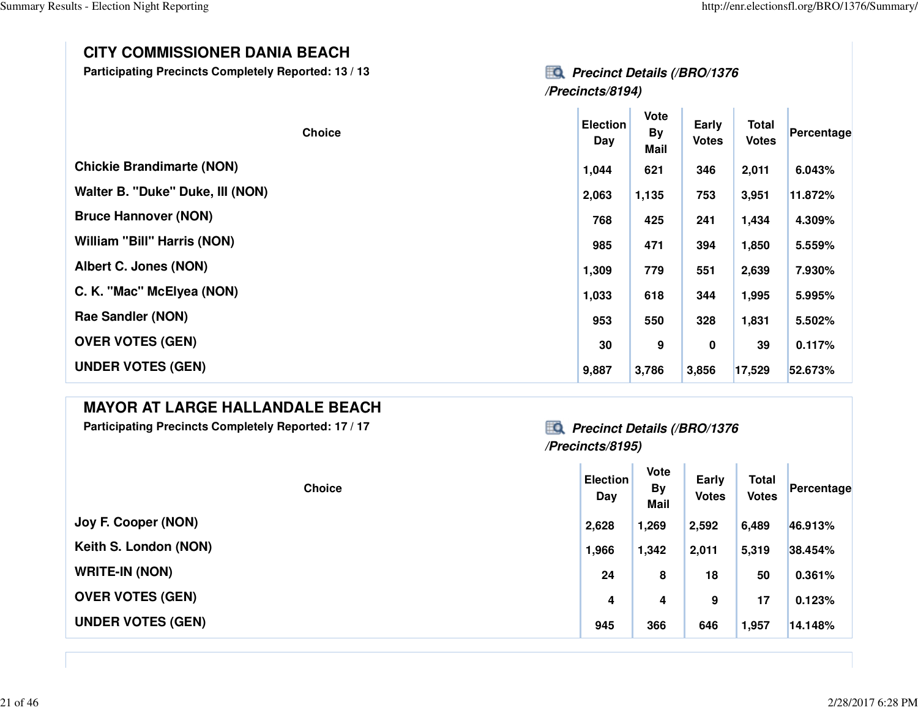#### **CITY COMMISSIONER DANIA BEACH**

**Participating Precincts Completely Reported: 13 / 13 Precinct Details (/BRO/1376**

| <b>Precinct Details (/BRO/1376</b> |
|------------------------------------|
| /Precincts/8194)                   |

| <b>Choice</b>                      | <b>Election</b><br>Day | <b>Vote</b><br><b>By</b><br><b>Mail</b> | Early<br><b>Votes</b> | <b>Total</b><br><b>Votes</b> | Percentage |
|------------------------------------|------------------------|-----------------------------------------|-----------------------|------------------------------|------------|
| <b>Chickie Brandimarte (NON)</b>   | 1,044                  | 621                                     | 346                   | 2,011                        | 6.043%     |
| Walter B. "Duke" Duke, III (NON)   | 2,063                  | 1,135                                   | 753                   | 3,951                        | 11.872%    |
| <b>Bruce Hannover (NON)</b>        | 768                    | 425                                     | 241                   | 1,434                        | 4.309%     |
| <b>William "Bill" Harris (NON)</b> | 985                    | 471                                     | 394                   | 1,850                        | 5.559%     |
| Albert C. Jones (NON)              | 1,309                  | 779                                     | 551                   | 2,639                        | 7.930%     |
| C. K. "Mac" McElyea (NON)          | 1,033                  | 618                                     | 344                   | 1,995                        | 5.995%     |
| <b>Rae Sandler (NON)</b>           | 953                    | 550                                     | 328                   | 1,831                        | 5.502%     |
| <b>OVER VOTES (GEN)</b>            | 30                     | 9                                       | 0                     | 39                           | 0.117%     |
| <b>UNDER VOTES (GEN)</b>           | 9,887                  | 3,786                                   | 3,856                 | 17,529                       | 52.673%    |

#### **MAYOR AT LARGE HALLANDALE BEACH**

Participating Precincts Completely Reported: 17 / 17 *Precinct Details (/BRO/1376* 

### **/Precincts/8195)**

| <b>Choice</b>            | <b>Election</b><br>Day | <b>Vote</b><br><b>By</b><br><b>Mail</b> | Early<br><b>Votes</b> | <b>Total</b><br><b>Votes</b> | Percentage |
|--------------------------|------------------------|-----------------------------------------|-----------------------|------------------------------|------------|
| Joy F. Cooper (NON)      | 2,628                  | 1,269                                   | 2,592                 | 6,489                        | 46.913%    |
| Keith S. London (NON)    | 1,966                  | 1,342                                   | 2,011                 | 5,319                        | 38.454%    |
| <b>WRITE-IN (NON)</b>    | 24                     | 8                                       | 18                    | 50                           | 0.361%     |
| <b>OVER VOTES (GEN)</b>  | 4                      | 4                                       | 9                     | 17                           | 0.123%     |
| <b>UNDER VOTES (GEN)</b> | 945                    | 366                                     | 646                   | 1,957                        | 14.148%    |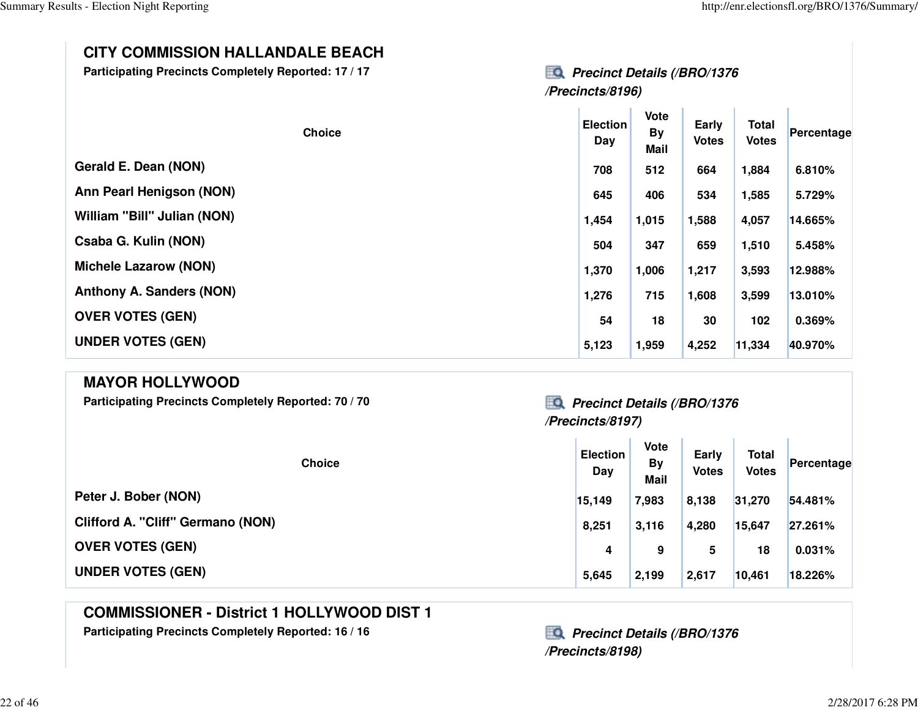**Early Votes Total Votes Percentage**

### **CITY COMMISSION HALLANDALE BEACH**

**Participating Precincts Completely Reported: 17 / 17** 

| <b>Precinct Details (/BRO/1376</b> |
|------------------------------------|
| /Precincts/8196)                   |

10

 $\sim$ 

10

×.

| <b>Choice</b>                   | <b>Election</b><br>Day | <b>Vote</b><br><b>By</b><br>Mail | Early<br><b>Votes</b> | <b>Total</b><br><b>Votes</b> | Percentage |
|---------------------------------|------------------------|----------------------------------|-----------------------|------------------------------|------------|
| Gerald E. Dean (NON)            | 708                    | 512                              | 664                   | 1,884                        | 6.810%     |
| Ann Pearl Henigson (NON)        | 645                    | 406                              | 534                   | 1,585                        | 5.729%     |
| William "Bill" Julian (NON)     | 1,454                  | 1,015                            | 1,588                 | 4,057                        | 14.665%    |
| Csaba G. Kulin (NON)            | 504                    | 347                              | 659                   | 1,510                        | 5.458%     |
| <b>Michele Lazarow (NON)</b>    | 1,370                  | 1,006                            | 1,217                 | 3,593                        | 12.988%    |
| <b>Anthony A. Sanders (NON)</b> | 1,276                  | 715                              | 1,608                 | 3,599                        | 13.010%    |
| <b>OVER VOTES (GEN)</b>         | 54                     | 18                               | 30                    | 102                          | 0.369%     |
| <b>UNDER VOTES (GEN)</b>        | 5,123                  | 1,959                            | 4,252                 | 11,334                       | 40.970%    |

#### **MAYOR HOLLYWOOD**

Participating Precincts Completely Reported: 70 / 70 *Precinct Details (/BRO/1376* 

**ChoiceElection Day**

**Peter J. Bober (NON)15,149 7,983 8,138 31,270 54.481%**

**Clifford A. "Cliff" Germano (NON)8,251 3,116 4,280 15,647 27.261%**

**OVER VOTES (GEN)4 9 5 18 0.031%**

**UNDER VOTES (GEN)5,645 2,199 2,617 10,461 18.226%**

### **COMMISSIONER - District 1 HOLLYWOOD DIST 1**

Participating Precincts Completely Reported: 16 / 16<br>**Precinct Details (/BRO/1376** 

**/Precincts/8198)**

**Election By Bay Mail** 

**/Precincts/8197)**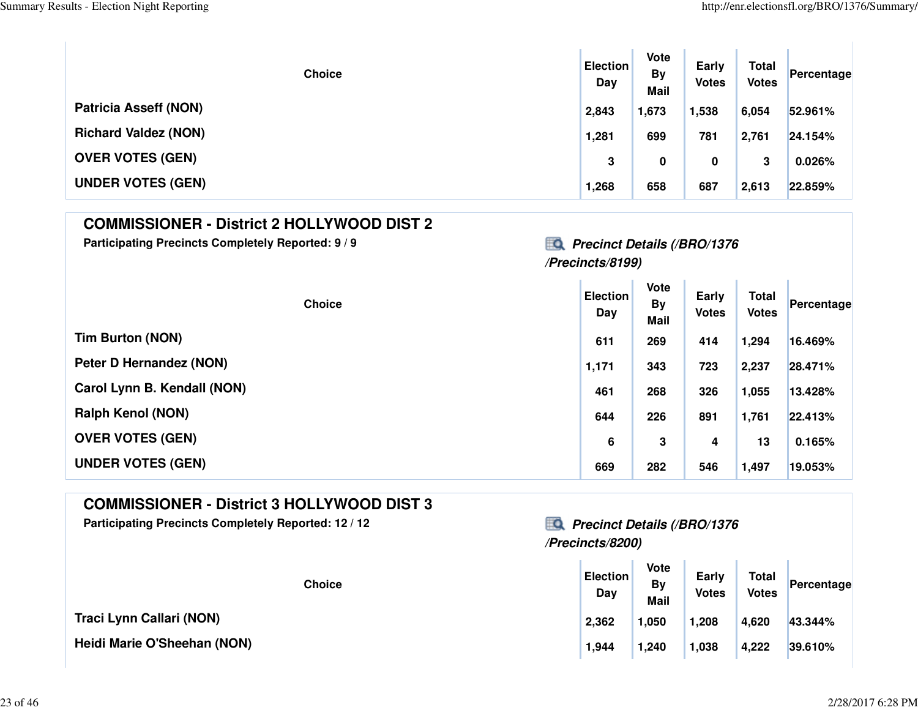| <b>Choice</b>                | <b>Election</b><br>Day | Vote<br><b>By</b><br><b>Mail</b> | Early<br><b>Votes</b> | <b>Total</b><br><b>Votes</b> | Percentage |
|------------------------------|------------------------|----------------------------------|-----------------------|------------------------------|------------|
| <b>Patricia Asseff (NON)</b> | 2,843                  | 1,673                            | 1,538                 | 6,054                        | 52.961%    |
| <b>Richard Valdez (NON)</b>  | 1,281                  | 699                              | 781                   | 2,761                        | 24.154%    |
| <b>OVER VOTES (GEN)</b>      | 3                      | 0                                | 0                     | 3                            | 0.026%     |
| <b>UNDER VOTES (GEN)</b>     | 1,268                  | 658                              | 687                   | 2,613                        | 22.859%    |

#### **COMMISSIONER - District 2 HOLLYWOOD DIST 2**

Participating Precincts Completely Reported: 9 / 9<br>**Precinct Details (/BRO/1376** 

# **/Precincts/8199)**

| <b>Choice</b>               | <b>Election</b><br>Day | Vote<br><b>By</b><br><b>Mail</b> | Early<br><b>Votes</b> | <b>Total</b><br><b>Votes</b> | Percentage |
|-----------------------------|------------------------|----------------------------------|-----------------------|------------------------------|------------|
| <b>Tim Burton (NON)</b>     | 611                    | 269                              | 414                   | 1,294                        | 16.469%    |
| Peter D Hernandez (NON)     | 1,171                  | 343                              | 723                   | 2,237                        | 28.471%    |
| Carol Lynn B. Kendall (NON) | 461                    | 268                              | 326                   | 1,055                        | 13.428%    |
| <b>Ralph Kenol (NON)</b>    | 644                    | 226                              | 891                   | 1,761                        | 22.413%    |
| <b>OVER VOTES (GEN)</b>     | 6                      | 3                                | 4                     | 13                           | 0.165%     |
| <b>UNDER VOTES (GEN)</b>    | 669                    | 282                              | 546                   | 1,497                        | 19.053%    |

### **COMMISSIONER - District 3 HOLLYWOOD DIST 3**

Participating Precincts Completely Reported: 12 / 12<br>**Precinct Details (/BRO/1376** 

### **/Precincts/8200)**

| <b>Choice</b> | <b>Election</b><br>Day | Vote<br>By<br><b>Mail</b> | Early<br><b>Votes</b> | <b>Total</b><br><b>Votes</b> | Percentage |
|---------------|------------------------|---------------------------|-----------------------|------------------------------|------------|
|               | 2,362                  | 1,050                     | 1,208                 | 4,620                        | 43.344%    |
| (NON)         | 1,944                  | 1,240                     | 1,038                 | 4,222                        | 39.610%    |

**Traci Lynn Callari (NON)**

**Heidi Marie O'Sheehan (NON)**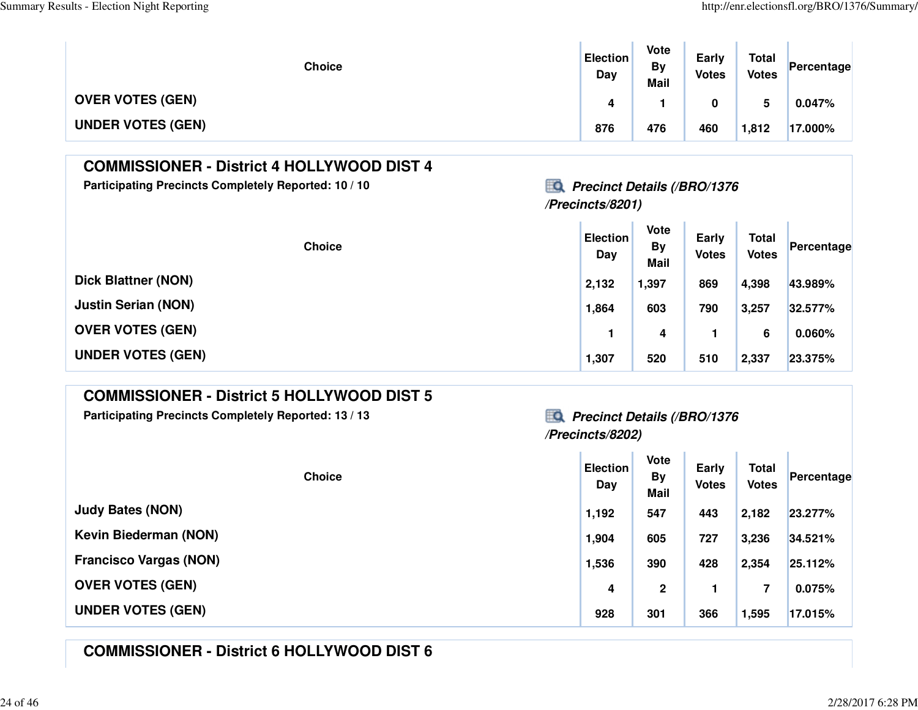| <b>Choice</b>            | <b>Election</b><br>Day | <b>Vote</b><br><b>By</b><br><b>Mail</b> | Early<br><b>Votes</b> | <b>Total</b><br><b>Votes</b> | Percentage |
|--------------------------|------------------------|-----------------------------------------|-----------------------|------------------------------|------------|
| <b>OVER VOTES (GEN)</b>  | 4                      |                                         |                       |                              | $0.047\%$  |
| <b>UNDER VOTES (GEN)</b> | 876                    | 476                                     | 460                   | 1,812                        | 17.000%    |

### **COMMISSIONER - District 4 HOLLYWOOD DIST 4**

Participating Precincts Completely Reported: 10 / 10<br>**Precinct Details (/BRO/1376** 

### **/Precincts/8201)**

| <b>Choice</b>              | <b>Election</b><br>Day | <b>Vote</b><br><b>By</b><br><b>Mail</b> | Early<br><b>Votes</b> | <b>Total</b><br><b>Votes</b> | Percentage |
|----------------------------|------------------------|-----------------------------------------|-----------------------|------------------------------|------------|
| <b>Dick Blattner (NON)</b> | 2,132                  | 1,397                                   | 869                   | 4,398                        | 43.989%    |
| <b>Justin Serian (NON)</b> | 1,864                  | 603                                     | 790                   | 3,257                        | 32.577%    |
| <b>OVER VOTES (GEN)</b>    |                        | 4                                       |                       | 6                            | 0.060%     |
| <b>UNDER VOTES (GEN)</b>   | 1,307                  | 520                                     | 510                   | 2,337                        | 23.375%    |

### **COMMISSIONER - District 5 HOLLYWOOD DIST 5**

Participating Precincts Completely Reported: 13 / 13<br>**Precinct Details (/BRO/1376** 

# **/Precincts/8202)**

**The Contract** 

| <b>Choice</b>                 | <b>Election</b><br>Day | <b>Vote</b><br><b>By</b><br><b>Mail</b> | Early<br><b>Votes</b> | <b>Total</b><br><b>Votes</b> | Percentage |
|-------------------------------|------------------------|-----------------------------------------|-----------------------|------------------------------|------------|
| <b>Judy Bates (NON)</b>       | 1,192                  | 547                                     | 443                   | 2,182                        | 23.277%    |
| <b>Kevin Biederman (NON)</b>  | 1,904                  | 605                                     | 727                   | 3,236                        | 34.521%    |
| <b>Francisco Vargas (NON)</b> | 1,536                  | 390                                     | 428                   | 2,354                        | 25.112%    |
| <b>OVER VOTES (GEN)</b>       | 4                      | $\mathbf 2$                             |                       | 7                            | 0.075%     |
| <b>UNDER VOTES (GEN)</b>      | 928                    | 301                                     | 366                   | 1,595                        | 17.015%    |

### **COMMISSIONER - District 6 HOLLYWOOD DIST 6**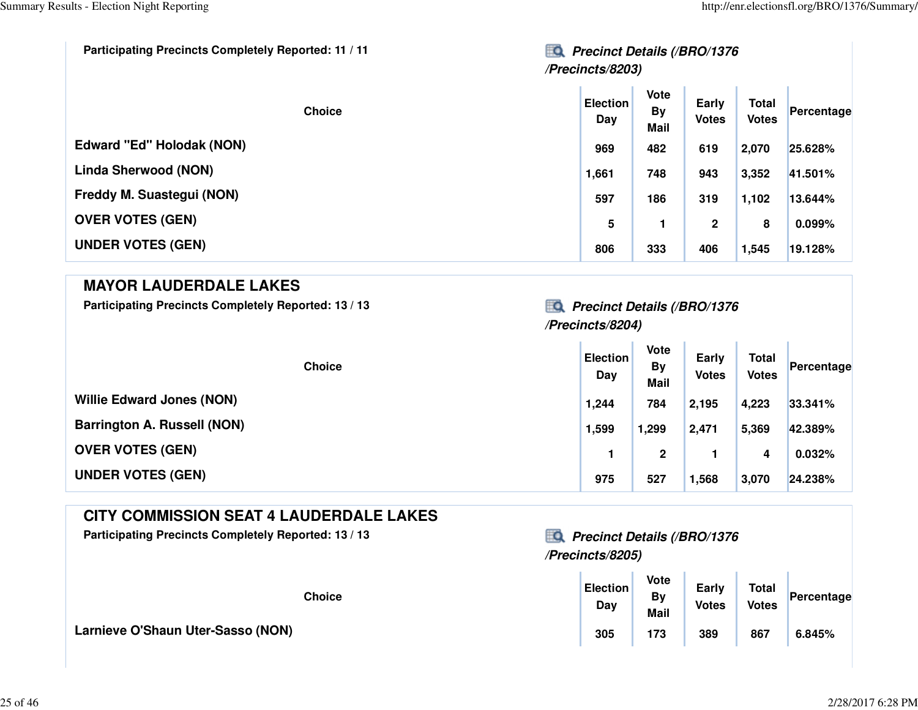| <b>Participating Precincts Completely Reported: 11 / 11</b><br>HО<br><b>Precinct Details (/BRO/1376</b><br>/Precincts/8203) |                        |                                  |                       |                              |            |
|-----------------------------------------------------------------------------------------------------------------------------|------------------------|----------------------------------|-----------------------|------------------------------|------------|
| <b>Choice</b>                                                                                                               | <b>Election</b><br>Day | <b>Vote</b><br>By<br><b>Mail</b> | Early<br><b>Votes</b> | <b>Total</b><br><b>Votes</b> | Percentage |
| Edward "Ed" Holodak (NON)                                                                                                   | 969                    | 482                              | 619                   | 2,070                        | 25.628%    |
| <b>Linda Sherwood (NON)</b>                                                                                                 | 1,661                  | 748                              | 943                   | 3,352                        | 41.501%    |
| Freddy M. Suastegui (NON)                                                                                                   | 597                    | 186                              | 319                   | 1,102                        | 13.644%    |
| <b>OVER VOTES (GEN)</b>                                                                                                     | 5                      |                                  | $\mathbf{2}$          | 8                            | 0.099%     |
| <b>UNDER VOTES (GEN)</b>                                                                                                    | 806                    | 333                              | 406                   | 1,545                        | 19.128%    |

### **MAYOR LAUDERDALE LAKES**

Participating Precincts Completely Reported: 13 / 13 *Precinct Details (/BRO/1376* 

### **/Precincts/8204)**

 $\mathbf{u}$  .

 $\mathcal{A}^{\mathcal{A}}$ 

| <b>Choice</b>                      | <b>Election</b><br>Day | Vote<br><b>By</b><br><b>Mail</b> | Early<br><b>Votes</b> | <b>Total</b><br><b>Votes</b> | Percentage |
|------------------------------------|------------------------|----------------------------------|-----------------------|------------------------------|------------|
| <b>Willie Edward Jones (NON)</b>   | 1,244                  | 784                              | 2,195                 | 4,223                        | 33.341%    |
| <b>Barrington A. Russell (NON)</b> | 1,599                  | 1,299                            | 2,471                 | 5,369                        | 42.389%    |
| <b>OVER VOTES (GEN)</b>            |                        | 2                                |                       | 4                            | 0.032%     |
| <b>UNDER VOTES (GEN)</b>           | 975                    | 527                              | 1,568                 | 3,070                        | 24.238%    |

### **CITY COMMISSION SEAT 4 LAUDERDALE LAKES**

Participating Precincts Completely Reported: 13 / 13<br>**Precinct Details (/BRO/1376** 

**Larnieve O'Shaun Uter-Sasso (NON)**

# **/Precincts/8205)**

| <b>Choice</b> | <b>Election</b><br>Day | Vote<br>By<br><b>Mail</b> | Early<br><b>Votes</b> | <b>Total</b><br><b>Votes</b> | Percentage |
|---------------|------------------------|---------------------------|-----------------------|------------------------------|------------|
|               | 305                    | 173                       | 389                   | 867                          | 6.845%     |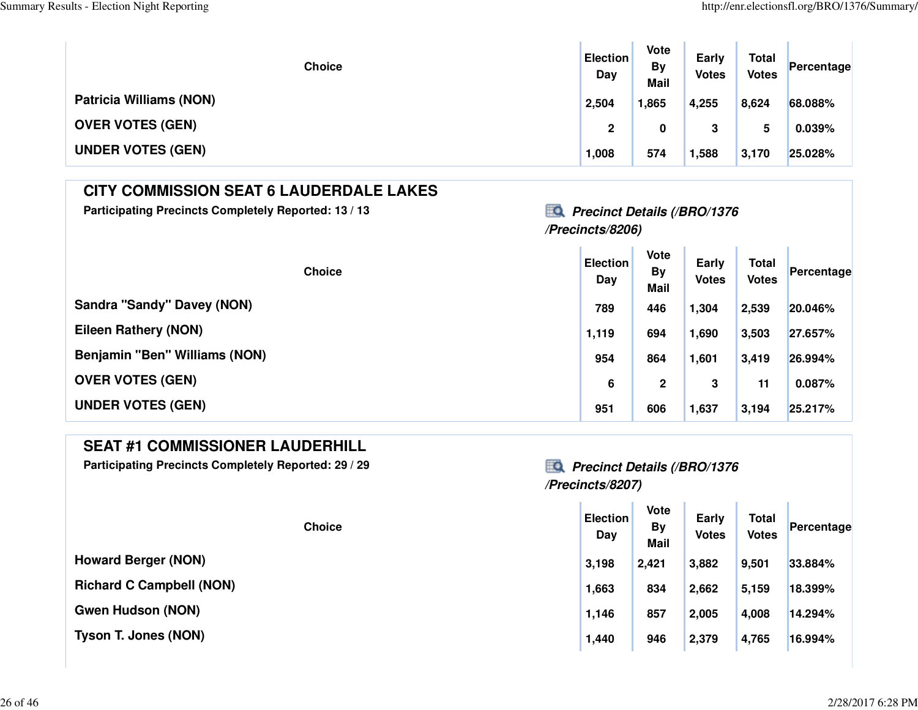| <b>Choice</b>                  | <b>Election</b><br>Day | Vote<br><b>By</b><br><b>Mail</b> | Early<br><b>Votes</b> | <b>Total</b><br><b>Votes</b> | Percentage |
|--------------------------------|------------------------|----------------------------------|-----------------------|------------------------------|------------|
| <b>Patricia Williams (NON)</b> | 2,504                  | 1,865                            | 4,255                 | 8,624                        | 68.088%    |
| <b>OVER VOTES (GEN)</b>        | 2                      | 0                                | 3                     |                              | 0.039%     |
| <b>UNDER VOTES (GEN)</b>       | 1,008                  | 574                              | 1,588                 | 3,170                        | 25.028%    |

### **CITY COMMISSION SEAT 6 LAUDERDALE LAKES**

Participating Precincts Completely Reported: 13 / 13<br>**Precinct Details (/BRO/1376** 

### **/Precincts/8206)**

| <b>Choice</b>                     | <b>Election</b><br>Day | <b>Vote</b><br><b>By</b><br><b>Mail</b> | Early<br><b>Votes</b> | <b>Total</b><br><b>Votes</b> | Percentage |
|-----------------------------------|------------------------|-----------------------------------------|-----------------------|------------------------------|------------|
| <b>Sandra "Sandy" Davey (NON)</b> | 789                    | 446                                     | 1,304                 | 2,539                        | 20.046%    |
| Eileen Rathery (NON)              | 1,119                  | 694                                     | 1,690                 | 3,503                        | 27.657%    |
| Benjamin "Ben" Williams (NON)     | 954                    | 864                                     | 1,601                 | 3,419                        | 26.994%    |
| <b>OVER VOTES (GEN)</b>           | 6                      | $\mathbf{2}$                            | 3                     | 11                           | 0.087%     |
| <b>UNDER VOTES (GEN)</b>          | 951                    | 606                                     | 1,637                 | 3,194                        | 25.217%    |

### **SEAT #1 COMMISSIONER LAUDERHILL**

**Participating Precincts Completely Reported: 29 / 29 Precinct Details (/BRO/1376**

### **/Precincts/8207)**

| <b>Choice</b>                   | <b>Election</b><br>Day | <b>Vote</b><br><b>By</b><br><b>Mail</b> | Early<br><b>Votes</b> | <b>Total</b><br><b>Votes</b> | Percentage |
|---------------------------------|------------------------|-----------------------------------------|-----------------------|------------------------------|------------|
| <b>Howard Berger (NON)</b>      | 3,198                  | 2,421                                   | 3,882                 | 9,501                        | 33.884%    |
| <b>Richard C Campbell (NON)</b> | 1,663                  | 834                                     | 2,662                 | 5,159                        | 18.399%    |
| <b>Gwen Hudson (NON)</b>        | 1,146                  | 857                                     | 2,005                 | 4,008                        | 14.294%    |
| <b>Tyson T. Jones (NON)</b>     | 1,440                  | 946                                     | 2,379                 | 4,765                        | 16.994%    |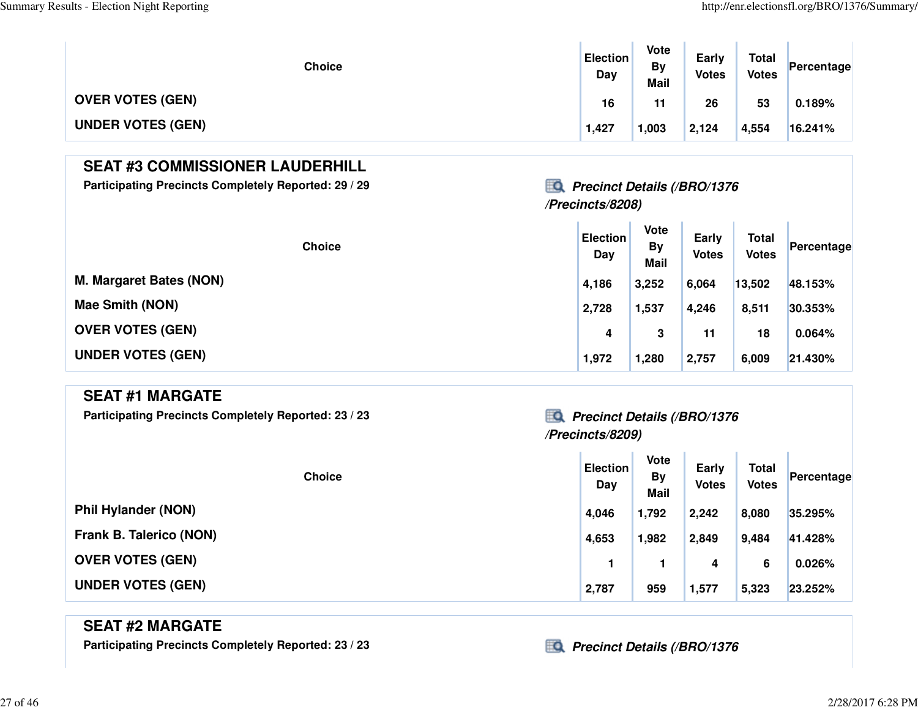$\mathbb T$ 

| <b>Choice</b>            | <b>Election</b><br>Day | Vote<br>By<br><b>Mail</b> | Early<br><b>Votes</b> | <b>Total</b><br><b>Votes</b> | Percentage |
|--------------------------|------------------------|---------------------------|-----------------------|------------------------------|------------|
| <b>OVER VOTES (GEN)</b>  | 16                     | 11                        | 26                    | 53                           | 0.189%     |
| <b>UNDER VOTES (GEN)</b> | 1,427                  | 1,003                     | 2,124                 | 4,554                        | 16.241%    |

### **SEAT #3 COMMISSIONER LAUDERHILL**

**Participating Precincts Completely Reported: 29 / 29 Precinct Details (/BRO/1376**

### **/Precincts/8208)**

| <b>Choice</b>                  | <b>Election</b><br>Day | <b>Vote</b><br>By<br><b>Mail</b> | Early<br><b>Votes</b> | <b>Total</b><br><b>Votes</b> | Percentage |
|--------------------------------|------------------------|----------------------------------|-----------------------|------------------------------|------------|
| <b>M. Margaret Bates (NON)</b> | 4,186                  | 3,252                            | 6,064                 | 13,502                       | 48.153%    |
| <b>Mae Smith (NON)</b>         | 2,728                  | 1,537                            | 4,246                 | 8,511                        | 30.353%    |
| <b>OVER VOTES (GEN)</b>        | 4                      | 3                                | 11                    | 18                           | 0.064%     |
| <b>UNDER VOTES (GEN)</b>       | 1,972                  | 1,280                            | 2,757                 | 6,009                        | 21.430%    |

#### **SEAT #1 MARGATE**

Participating Precincts Completely Reported: 23 / 23 *Precinct Details (/BRO/1376* 

# **/Precincts/8209)**

T.

| <b>Choice</b>              | <b>Election</b><br>Day | <b>Vote</b><br><b>By</b><br>Mail | Early<br><b>Votes</b> | <b>Total</b><br><b>Votes</b> | Percentage |
|----------------------------|------------------------|----------------------------------|-----------------------|------------------------------|------------|
| <b>Phil Hylander (NON)</b> | 4,046                  | 1,792                            | 2,242                 | 8,080                        | 35.295%    |
| Frank B. Talerico (NON)    | 4,653                  | 1,982                            | 2,849                 | 9,484                        | 41.428%    |
| <b>OVER VOTES (GEN)</b>    |                        |                                  | 4                     | 6                            | 0.026%     |
| <b>UNDER VOTES (GEN)</b>   | 2,787                  | 959                              | 1,577                 | 5,323                        | 23.252%    |

### **SEAT #2 MARGATE**

Participating Precincts Completely Reported: 23 / 23 *Precinct Details (/BRO/1376*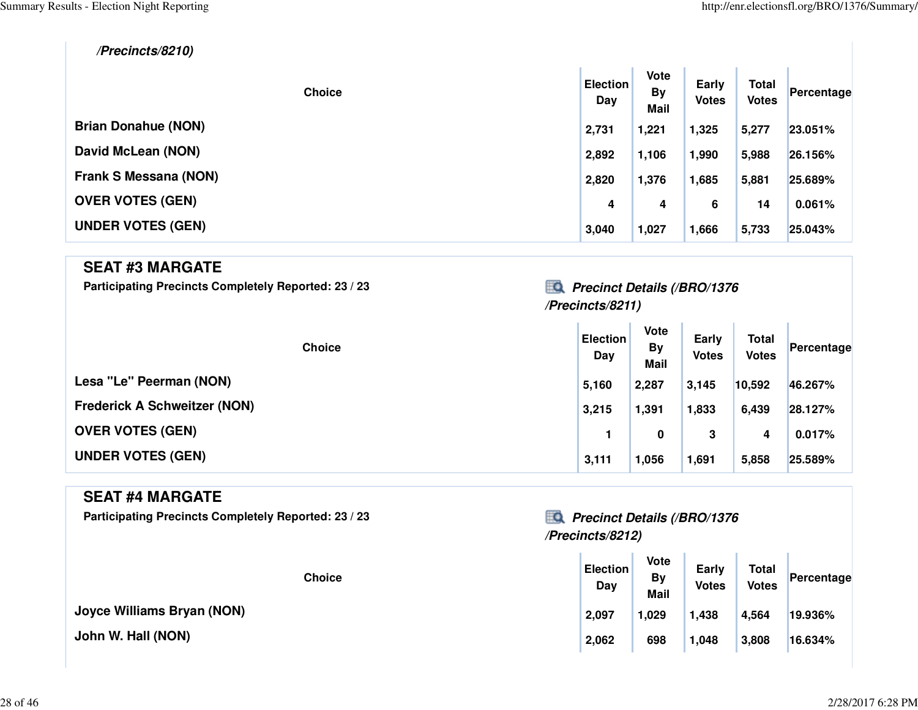$\sim 10^7$ 

**/Precincts/8210)**

| <b>Choice</b>                | <b>Election</b><br>Day | <b>Vote</b><br><b>By</b><br><b>Mail</b> | <b>Early</b><br><b>Votes</b> | <b>Total</b><br><b>Votes</b> | Percentage |
|------------------------------|------------------------|-----------------------------------------|------------------------------|------------------------------|------------|
| <b>Brian Donahue (NON)</b>   | 2,731                  | 1,221                                   | 1,325                        | 5,277                        | 23.051%    |
| David McLean (NON)           | 2,892                  | 1,106                                   | 1,990                        | 5,988                        | 26.156%    |
| <b>Frank S Messana (NON)</b> | 2,820                  | 1,376                                   | 1,685                        | 5,881                        | 25.689%    |
| <b>OVER VOTES (GEN)</b>      | 4                      | 4                                       | 6                            | 14                           | 0.061%     |
| <b>UNDER VOTES (GEN)</b>     | 3,040                  | 1,027                                   | 1,666                        | 5,733                        | 25.043%    |

#### **SEAT #3 MARGATE**

Participating Precincts Completely Reported: 23 / 23 *Precinct Details (/BRO/1376* 

### **/Precincts/8211)**

 $\mathbf{r}$  .

n.

| <b>Choice</b>                       | <b>Election</b><br>Day | <b>Vote</b><br>By<br><b>Mail</b> | Early<br><b>Votes</b> | <b>Total</b><br><b>Votes</b> | Percentage |
|-------------------------------------|------------------------|----------------------------------|-----------------------|------------------------------|------------|
| Lesa "Le" Peerman (NON)             | 5,160                  | 2,287                            | 3,145                 | 10,592                       | 46.267%    |
| <b>Frederick A Schweitzer (NON)</b> | 3,215                  | 1,391                            | 1,833                 | 6,439                        | 28.127%    |
| <b>OVER VOTES (GEN)</b>             |                        | 0                                | 3                     | 4                            | 0.017%     |
| <b>UNDER VOTES (GEN)</b>            | 3,111                  | 1,056                            | 1,691                 | 5,858                        | 25.589%    |

### **SEAT #4 MARGATE**

Participating Precincts Completely Reported: 23 / 23 *Precinct Details (/BRO/1376* 

**Joyce Williams Bryan (NON)**

**John W. Hall (NON)**

### **/Precincts/8212)**

| <b>Choice</b> | <b>Election</b><br>Day | <b>Vote</b><br><b>By</b><br><b>Mail</b> | Early<br><b>Votes</b> | <b>Total</b><br><b>Votes</b> | Percentage |  |
|---------------|------------------------|-----------------------------------------|-----------------------|------------------------------|------------|--|
| /an (NON)     | 2,097                  | 1,029                                   | 1,438                 | 4,564                        | 19.936%    |  |
|               | 2,062                  | 698                                     | 1,048                 | 3,808                        | 16.634%    |  |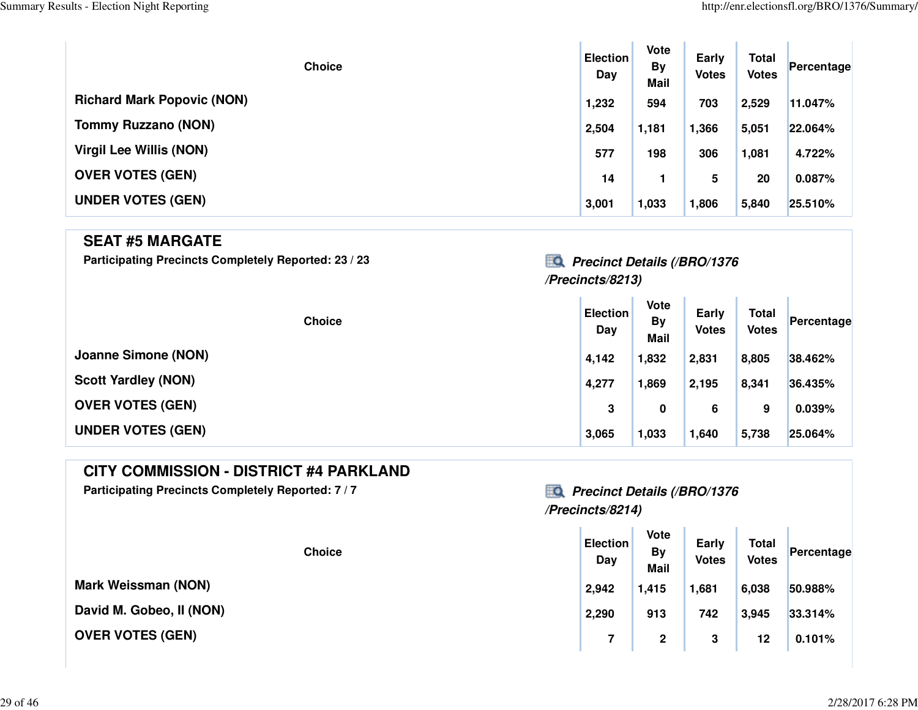| <b>Choice</b>                     | <b>Election</b><br>Day | Vote<br><b>By</b><br><b>Mail</b> | Early<br><b>Votes</b> | <b>Total</b><br><b>Votes</b> | Percentage |
|-----------------------------------|------------------------|----------------------------------|-----------------------|------------------------------|------------|
| <b>Richard Mark Popovic (NON)</b> | 1,232                  | 594                              | 703                   | 2,529                        | 11.047%    |
| <b>Tommy Ruzzano (NON)</b>        | 2,504                  | 1,181                            | 1,366                 | 5,051                        | 22.064%    |
| <b>Virgil Lee Willis (NON)</b>    | 577                    | 198                              | 306                   | 1,081                        | 4.722%     |
| <b>OVER VOTES (GEN)</b>           | 14                     |                                  | 5                     | 20                           | 0.087%     |
| <b>UNDER VOTES (GEN)</b>          | 3,001                  | 1,033                            | 1,806                 | 5,840                        | 25.510%    |

#### **SEAT #5 MARGATE**

Participating Precincts Completely Reported: 23 / 23 *Precinct Details (/BRO/1376* 

### **/Precincts/8213)**

| <b>Choice</b>              | <b>Election</b><br>Day | <b>Vote</b><br>By<br><b>Mail</b> | Early<br><b>Votes</b> | <b>Total</b><br><b>Votes</b> | Percentage |
|----------------------------|------------------------|----------------------------------|-----------------------|------------------------------|------------|
| <b>Joanne Simone (NON)</b> | 4,142                  | 1,832                            | 2,831                 | 8,805                        | 38.462%    |
| <b>Scott Yardley (NON)</b> | 4,277                  | 1,869                            | 2,195                 | 8,341                        | 36.435%    |
| <b>OVER VOTES (GEN)</b>    | 3                      | 0                                | 6                     | 9                            | 0.039%     |
| <b>UNDER VOTES (GEN)</b>   | 3,065                  | 1,033                            | 1,640                 | 5,738                        | 25.064%    |

### **CITY COMMISSION - DISTRICT #4 PARKLAND**

Participating Precincts Completely Reported: 7 / 7<br>**Precinct Details (/BRO/1376** 

## **/Precincts/8214)**

| <b>Choice</b> | <b>Election</b><br>Day | Vote<br>By<br><b>Mail</b> | <b>Early</b><br><b>Votes</b> | <b>Total</b><br><b>Votes</b> | Percentage |
|---------------|------------------------|---------------------------|------------------------------|------------------------------|------------|
| )N)           | 2,942                  | 1,415                     | 1,681                        | 6,038                        | 50.988%    |
| NON)          | 2,290                  | 913                       | 742                          | 3,945                        | 33.314%    |
|               |                        | 2                         | 3                            | 12                           | 0.101%     |

**Mark Weissman (NON)**

**David M. Gobeo, II (NON)**

**OVER VOTES (GEN)**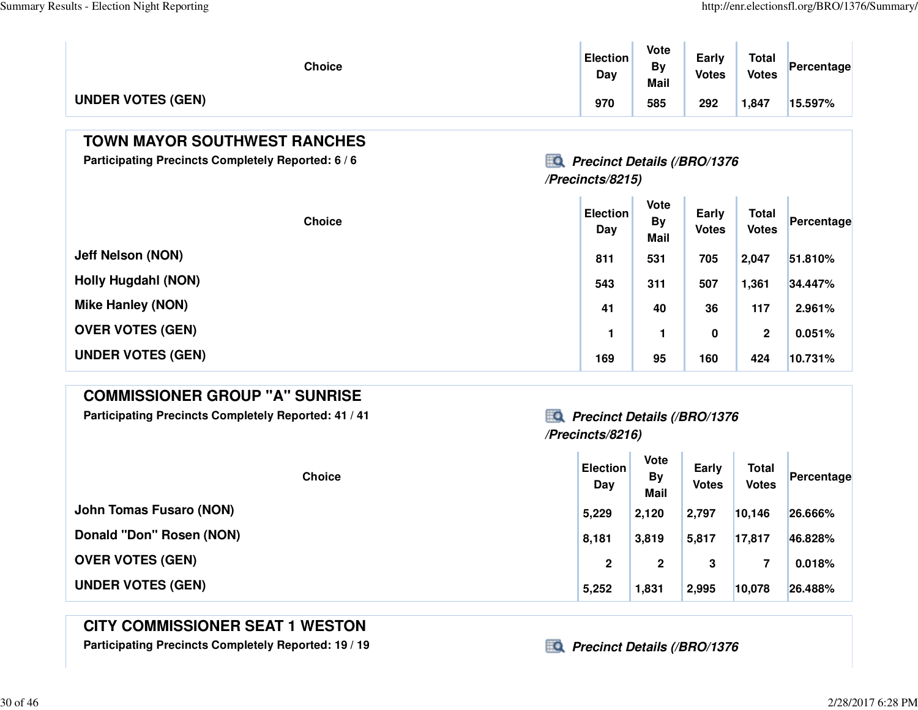| <b>Choice</b>            | <b>Election</b><br>Day | Vote<br>By<br><b>Mail</b> | Early<br><b>Votes</b> | <b>Total</b><br><b>Votes</b> | Percentage |
|--------------------------|------------------------|---------------------------|-----------------------|------------------------------|------------|
| <b>UNDER VOTES (GEN)</b> | 970                    | 585                       | 292                   | 1,847                        | 15.597%    |

### **TOWN MAYOR SOUTHWEST RANCHES**

**Participating Precincts Completely Reported: 6 / 6 Precinct Details (/BRO/1376**

### **/Precincts/8215)**

| <b>Choice</b>              | <b>Election</b><br>Day | Vote<br><b>By</b><br><b>Mail</b> | Early<br><b>Votes</b> | <b>Total</b><br><b>Votes</b> | Percentage |
|----------------------------|------------------------|----------------------------------|-----------------------|------------------------------|------------|
| <b>Jeff Nelson (NON)</b>   | 811                    | 531                              | 705                   | 2,047                        | 51.810%    |
| <b>Holly Hugdahl (NON)</b> | 543                    | 311                              | 507                   | 1,361                        | 34.447%    |
| <b>Mike Hanley (NON)</b>   | 41                     | 40                               | 36                    | 117                          | 2.961%     |
| <b>OVER VOTES (GEN)</b>    |                        | 1                                | 0                     | $\mathbf 2$                  | 0.051%     |
| <b>UNDER VOTES (GEN)</b>   | 169                    | 95                               | 160                   | 424                          | 10.731%    |

#### **COMMISSIONER GROUP "A" SUNRISE**

**Participating Precincts Completely Reported: 41 / 41 Precinct Details (/BRO/1376**

# **/Precincts/8216)**

| <b>Choice</b>                  | <b>Election</b><br>Day | <b>Vote</b><br><b>By</b><br><b>Mail</b> | Early<br><b>Votes</b> | <b>Total</b><br><b>Votes</b> | Percentage |
|--------------------------------|------------------------|-----------------------------------------|-----------------------|------------------------------|------------|
| <b>John Tomas Fusaro (NON)</b> | 5,229                  | 2,120                                   | 2,797                 | 10,146                       | 26.666%    |
| Donald "Don" Rosen (NON)       | 8,181                  | 3,819                                   | 5,817                 | 17,817                       | 46.828%    |
| <b>OVER VOTES (GEN)</b>        | 2                      | 2                                       | 3                     | 7                            | 0.018%     |
| <b>UNDER VOTES (GEN)</b>       | 5,252                  | 1,831                                   | 2,995                 | 10,078                       | 26.488%    |

### **CITY COMMISSIONER SEAT 1 WESTON**

**Participating Precincts Completely Reported: 19 / 19 Precinct Details (/BRO/1376**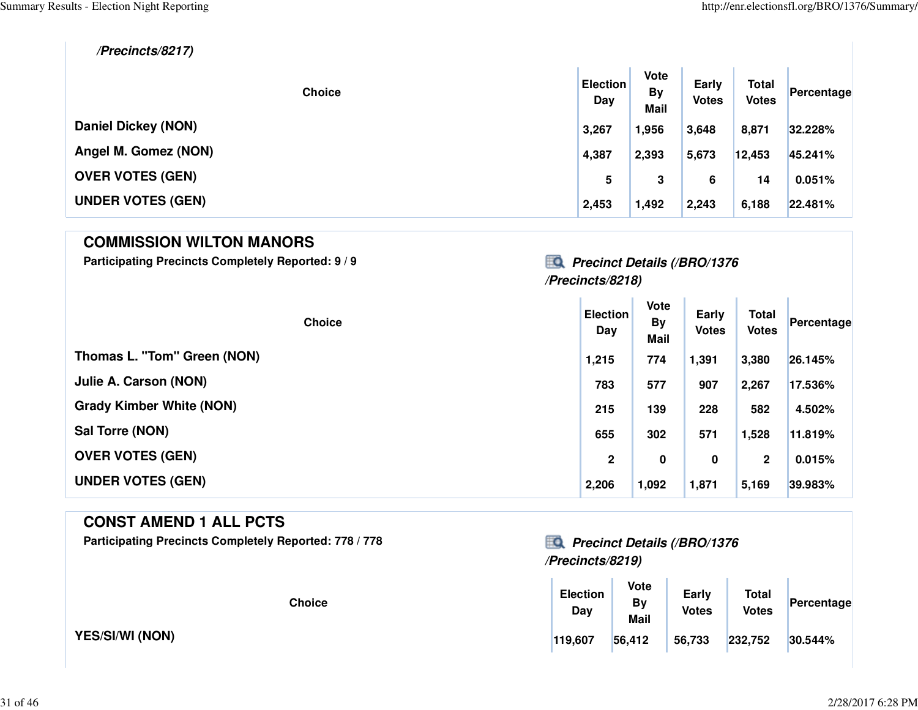**/Precincts/8217)**

| <b>Choice</b>              | <b>Election</b><br>Day | <b>Vote</b><br><b>By</b><br><b>Mail</b> | Early<br><b>Votes</b> | <b>Total</b><br><b>Votes</b> | Percentage |
|----------------------------|------------------------|-----------------------------------------|-----------------------|------------------------------|------------|
| <b>Daniel Dickey (NON)</b> | 3,267                  | 1,956                                   | 3,648                 | 8,871                        | 32.228%    |
| Angel M. Gomez (NON)       | 4,387                  | 2,393                                   | 5,673                 | 12,453                       | 45.241%    |
| <b>OVER VOTES (GEN)</b>    | 5                      | 3                                       | 6                     | 14                           | 0.051%     |
| <b>UNDER VOTES (GEN)</b>   | 2,453                  | 1,492                                   | 2,243                 | 6,188                        | 22.481%    |

#### **COMMISSION WILTON MANORS**

**Participating Precincts Completely Reported: 9 / 9 Precinct Details (/BRO/1376**

### **/Precincts/8218)**

 $\mathbf{r}$ 

| <b>Choice</b>                   | <b>Election</b><br>Day | Vote<br><b>By</b><br><b>Mail</b> | Early<br><b>Votes</b> | <b>Total</b><br><b>Votes</b> | Percentage |
|---------------------------------|------------------------|----------------------------------|-----------------------|------------------------------|------------|
| Thomas L. "Tom" Green (NON)     | 1,215                  | 774                              | 1,391                 | 3,380                        | 26.145%    |
| Julie A. Carson (NON)           | 783                    | 577                              | 907                   | 2,267                        | 17.536%    |
| <b>Grady Kimber White (NON)</b> | 215                    | 139                              | 228                   | 582                          | 4.502%     |
| Sal Torre (NON)                 | 655                    | 302                              | 571                   | 1,528                        | 11.819%    |
| <b>OVER VOTES (GEN)</b>         | $\mathbf{2}$           | 0                                | 0                     | $\mathbf{2}$                 | 0.015%     |
| <b>UNDER VOTES (GEN)</b>        | 2,206                  | 1,092                            | 1,871                 | 5,169                        | 39.983%    |

#### **CONST AMEND 1 ALL PCTS**

**Participating Precincts Completely Reported: 778 / 778 Precinct Details (/BRO/1376**

**YES/SI/WI (NON)**

## **/Precincts/8219)**

| <b>Choice</b> | <b>Election</b><br>Day | Vote<br>By<br><b>Mail</b> | Early<br><b>Votes</b> | <b>Total</b><br><b>Votes</b> | Percentage |
|---------------|------------------------|---------------------------|-----------------------|------------------------------|------------|
|               | 119,607                | 56,412                    | 56,733                | 232,752                      | 30.544%    |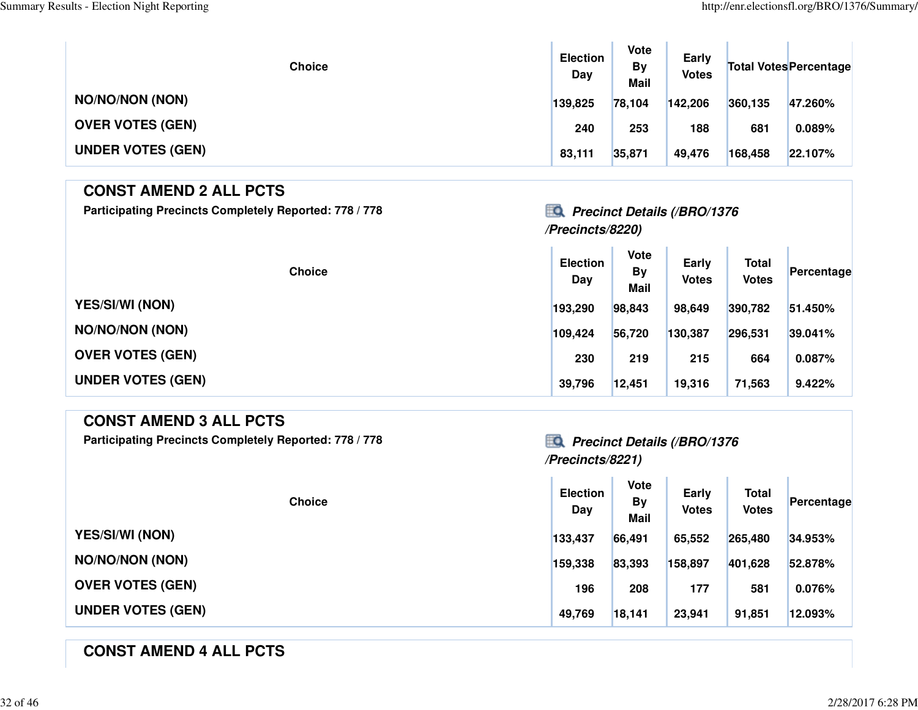| <b>Choice</b>            | <b>Election</b><br>Day | <b>Vote</b><br><b>By</b><br><b>Mail</b> | Early<br><b>Votes</b> |         | <b>Total Votes Percentage</b> |
|--------------------------|------------------------|-----------------------------------------|-----------------------|---------|-------------------------------|
| <b>NO/NO/NON (NON)</b>   | 139,825                | 78,104                                  | 142,206               | 360,135 | 47.260%                       |
| <b>OVER VOTES (GEN)</b>  | 240                    | 253                                     | 188                   | 681     | 0.089%                        |
| <b>UNDER VOTES (GEN)</b> | 83,111                 | 35,871                                  | 49,476                | 168,458 | 22.107%                       |

### **CONST AMEND 2 ALL PCTSParticipating Precincts Completely Reported: 778 / 778 Precinct Details (/BRO/1376**

### **/Precincts/8220)**

| <b>Choice</b>            | <b>Election</b><br>Day | Vote<br><b>By</b><br><b>Mail</b> | Early<br><b>Votes</b> | <b>Total</b><br><b>Votes</b> | Percentage |
|--------------------------|------------------------|----------------------------------|-----------------------|------------------------------|------------|
| <b>YES/SI/WI (NON)</b>   | 193,290                | 98,843                           | 98,649                | 390,782                      | 51.450%    |
| <b>NO/NO/NON (NON)</b>   | 109,424                | 56,720                           | 130,387               | 296,531                      | 39.041%    |
| <b>OVER VOTES (GEN)</b>  | 230                    | 219                              | 215                   | 664                          | 0.087%     |
| <b>UNDER VOTES (GEN)</b> | 39,796                 | 12,451                           | 19,316                | 71,563                       | 9.422%     |

### **CONST AMEND 3 ALL PCTS**

**Participating Precincts Completely Reported: 778 / 778 Precinct Details (/BRO/1376**

# **/Precincts/8221)**

| <b>Choice</b>            | <b>Election</b><br>Day | <b>Vote</b><br>By<br><b>Mail</b> | Early<br><b>Votes</b> | <b>Total</b><br><b>Votes</b> | Percentage |
|--------------------------|------------------------|----------------------------------|-----------------------|------------------------------|------------|
| <b>YES/SI/WI (NON)</b>   | 133,437                | 66,491                           | 65,552                | 265,480                      | 34.953%    |
| <b>NO/NO/NON (NON)</b>   | 159,338                | 83,393                           | 158,897               | 401,628                      | 52.878%    |
| <b>OVER VOTES (GEN)</b>  | 196                    | 208                              | 177                   | 581                          | 0.076%     |
| <b>UNDER VOTES (GEN)</b> | 49,769                 | 18,141                           | 23,941                | 91,851                       | 12.093%    |

### **CONST AMEND 4 ALL PCTS**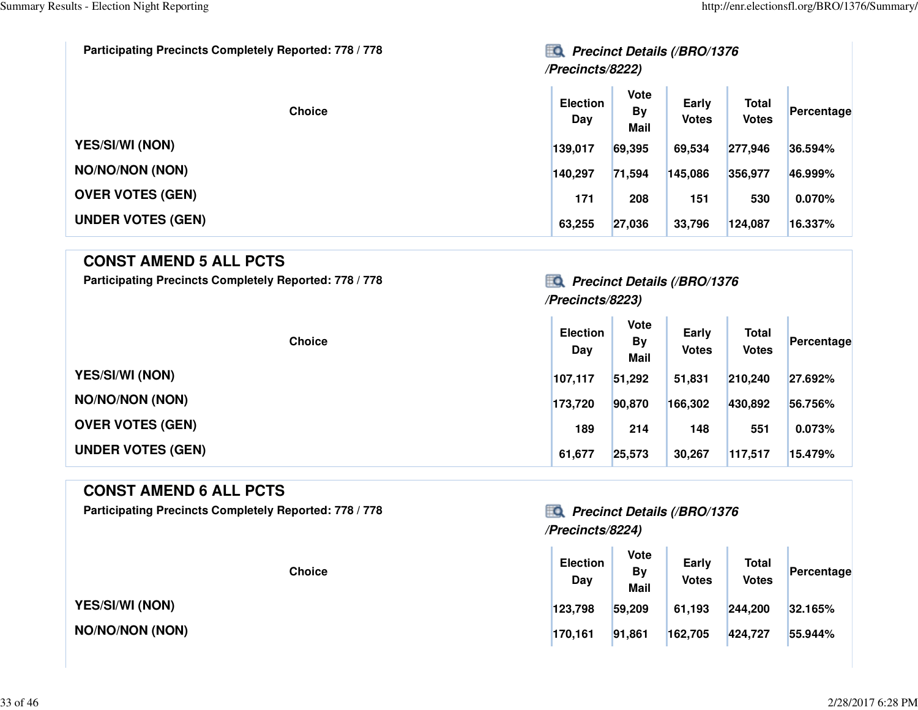| Participating Precincts Completely Reported: 778 / 778 | EQ<br><b>Precinct Details (/BRO/1376</b><br>/Precincts/8222) |                                         |                       |                              |            |  |  |
|--------------------------------------------------------|--------------------------------------------------------------|-----------------------------------------|-----------------------|------------------------------|------------|--|--|
| <b>Choice</b>                                          | <b>Election</b><br>Day                                       | <b>Vote</b><br><b>By</b><br><b>Mail</b> | Early<br><b>Votes</b> | <b>Total</b><br><b>Votes</b> | Percentage |  |  |
| <b>YES/SI/WI (NON)</b>                                 | 139,017                                                      | 69,395                                  | 69,534                | 277,946                      | 36.594%    |  |  |
| <b>NO/NO/NON (NON)</b>                                 | 140,297                                                      | 71,594                                  | 145,086               | 356,977                      | 46.999%    |  |  |
| <b>OVER VOTES (GEN)</b>                                | 171                                                          | 208                                     | 151                   | 530                          | 0.070%     |  |  |
| <b>UNDER VOTES (GEN)</b>                               | 63,255                                                       | 27,036                                  | 33,796                | 124,087                      | 16.337%    |  |  |

#### **CONST AMEND 5 ALL PCTS**

Participating Precincts Completely Reported: 778 / 778*Precinct Details (/BRO/1376* 

### **/Precincts/8223)**

ο¥.

 $\mathcal{L}^{\mathcal{L}}$ 

| <b>Choice</b>            | <b>Election</b><br>Day | <b>Vote</b><br><b>By</b><br><b>Mail</b> | Early<br><b>Votes</b> | <b>Total</b><br><b>Votes</b> | Percentage |
|--------------------------|------------------------|-----------------------------------------|-----------------------|------------------------------|------------|
| <b>YES/SI/WI (NON)</b>   | 107,117                | 51,292                                  | 51,831                | 210,240                      | 27.692%    |
| <b>NO/NO/NON (NON)</b>   | 173,720                | 90,870                                  | 166,302               | 430,892                      | 56.756%    |
| <b>OVER VOTES (GEN)</b>  | 189                    | 214                                     | 148                   | 551                          | 0.073%     |
| <b>UNDER VOTES (GEN)</b> | 61,677                 | 25,573                                  | 30,267                | 117,517                      | 15.479%    |

#### **CONST AMEND 6 ALL PCTS**

Participating Precincts Completely Reported: 778 / 778*Precinct Details (/BRO/1376* 

**YES/SI/WI (NON)**

**NO/NO/NON (NON)**

## **/Precincts/8224)**

| <b>Choice</b> | <b>Election</b><br>Day | <b>Vote</b><br>By<br><b>Mail</b> | Early<br><b>Votes</b> | <b>Total</b><br><b>Votes</b> | Percentage |
|---------------|------------------------|----------------------------------|-----------------------|------------------------------|------------|
|               | 123,798                | 59,209                           | 61,193                | 244,200                      | 32.165%    |
| XN)           | 170,161                | 91,861                           | 162,705               | 424,727                      | 55.944%    |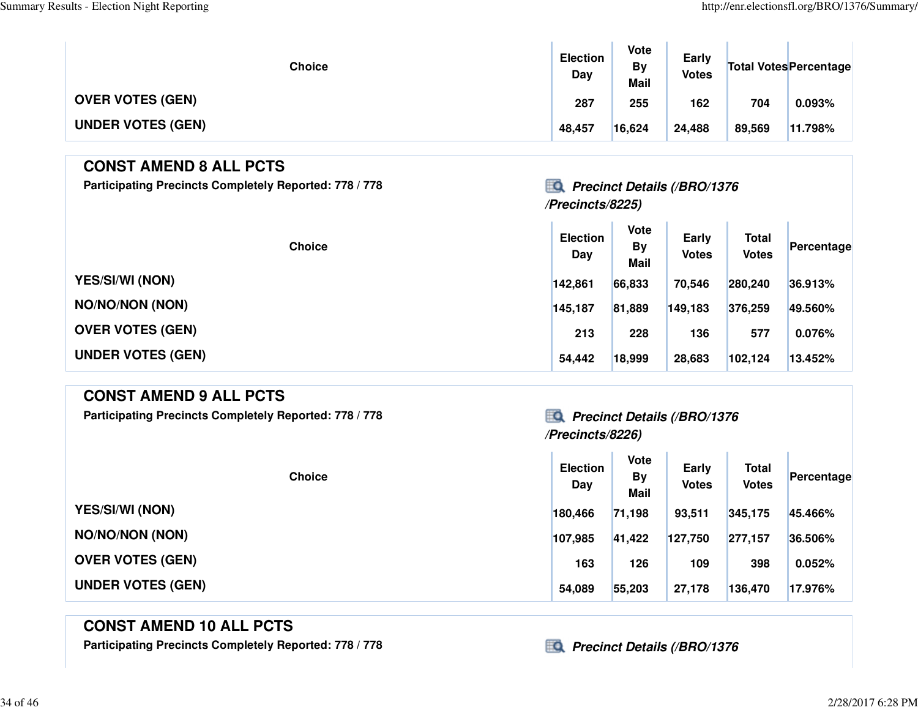| Choice                   | <b>Election</b><br>Day | Vote<br>By<br><b>Mail</b> | Early<br><b>Votes</b> |        | <b>Total Votes Percentage</b> |
|--------------------------|------------------------|---------------------------|-----------------------|--------|-------------------------------|
| <b>OVER VOTES (GEN)</b>  | 287                    | 255                       | 162                   | 704    | 0.093%                        |
| <b>UNDER VOTES (GEN)</b> | 48,457                 | 16,624                    | 24,488                | 89,569 | 11.798%                       |

### **CONST AMEND 8 ALL PCTS**

**Participating Precincts Completely Reported: 778 / 778 Precinct Details (/BRO/1376**

## **/Precincts/8225)**

| <b>Choice</b>            | <b>Election</b><br>Day | <b>Vote</b><br>By<br><b>Mail</b> | Early<br><b>Votes</b> | <b>Total</b><br><b>Votes</b> | Percentage |
|--------------------------|------------------------|----------------------------------|-----------------------|------------------------------|------------|
| <b>YES/SI/WI (NON)</b>   | 142,861                | 66,833                           | 70,546                | 280,240                      | 36.913%    |
| <b>NO/NO/NON (NON)</b>   | 145,187                | 81,889                           | 149,183               | 376,259                      | 49.560%    |
| <b>OVER VOTES (GEN)</b>  | 213                    | 228                              | 136                   | 577                          | 0.076%     |
| <b>UNDER VOTES (GEN)</b> | 54,442                 | 18,999                           | 28,683                | 102,124                      | 13.452%    |

### **CONST AMEND 9 ALL PCTS**

**Participating Precincts Completely Reported: 778 / 778 Precinct Details (/BRO/1376**

| <b>Choice</b>            | <b>Election</b><br>Day | <b>Vote</b><br>By<br><b>Mail</b> | Early<br><b>Votes</b> | <b>Total</b><br><b>Votes</b> | Percentage |
|--------------------------|------------------------|----------------------------------|-----------------------|------------------------------|------------|
| <b>YES/SI/WI (NON)</b>   | 180,466                | 71,198                           | 93,511                | 345,175                      | 45.466%    |
| <b>NO/NO/NON (NON)</b>   | 107,985                | 41,422                           | 127,750               | 277,157                      | 36.506%    |
| <b>OVER VOTES (GEN)</b>  | 163                    | 126                              | 109                   | 398                          | 0.052%     |
| <b>UNDER VOTES (GEN)</b> | 54,089                 | 55,203                           | 27,178                | 136,470                      | 17.976%    |

### **CONST AMEND 10 ALL PCTS**

Participating Precincts Completely Reported: 778 / 778*Precinct Details (/BRO/1376* 

**/Precincts/8226)**

34 of 46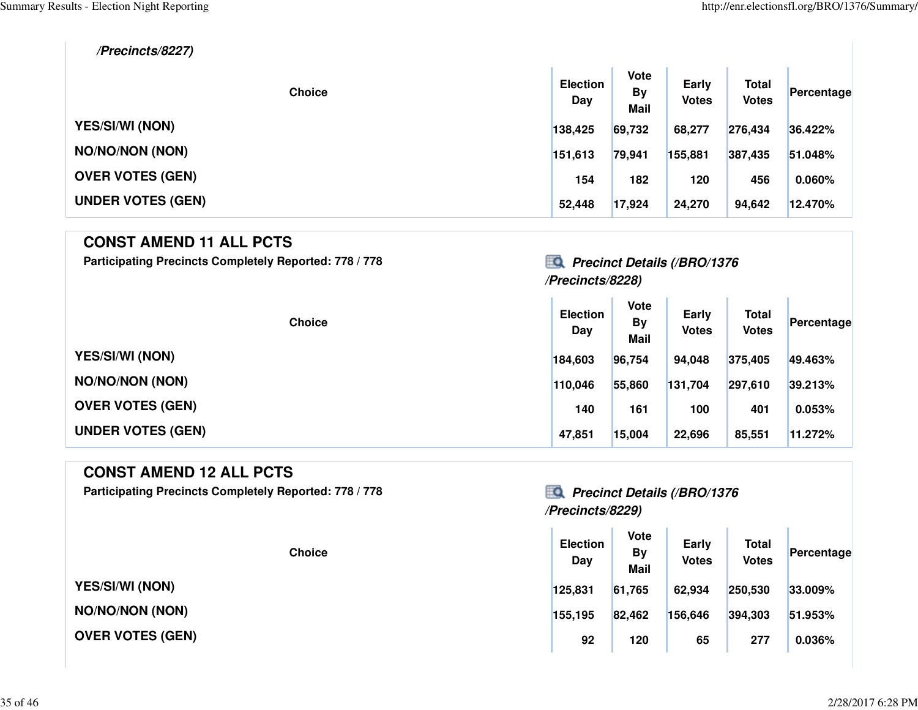**/Precincts/8227)**

| <b>Choice</b>            | <b>Election</b><br>Day | <b>Vote</b><br><b>By</b><br>Mail | Early<br><b>Votes</b> | <b>Total</b><br><b>Votes</b> | Percentage |
|--------------------------|------------------------|----------------------------------|-----------------------|------------------------------|------------|
| <b>YES/SI/WI (NON)</b>   | 138,425                | 69,732                           | 68,277                | 276,434                      | 36.422%    |
| <b>NO/NO/NON (NON)</b>   | 151,613                | 79,941                           | 155,881               | 387,435                      | 51.048%    |
| <b>OVER VOTES (GEN)</b>  | 154                    | 182                              | 120                   | 456                          | 0.060%     |
| <b>UNDER VOTES (GEN)</b> | 52,448                 | 17,924                           | 24,270                | 94,642                       | 12.470%    |

 $\mathbf{r}$  .

#### **CONST AMEND 11 ALL PCTS**

Participating Precincts Completely Reported: 778 / 778*Precinct Details (/BRO/1376* 

# **/Precincts/8228)**

| <b>Choice</b>            | <b>Election</b><br>Day | <b>Vote</b><br><b>By</b><br><b>Mail</b> | Early<br><b>Votes</b> | <b>Total</b><br><b>Votes</b> | Percentage |
|--------------------------|------------------------|-----------------------------------------|-----------------------|------------------------------|------------|
| <b>YES/SI/WI (NON)</b>   | 184,603                | 96,754                                  | 94,048                | 375,405                      | 49.463%    |
| <b>NO/NO/NON (NON)</b>   | 110,046                | 55,860                                  | 131,704               | 297,610                      | 39.213%    |
| <b>OVER VOTES (GEN)</b>  | 140                    | 161                                     | 100                   | 401                          | 0.053%     |
| <b>UNDER VOTES (GEN)</b> | 47,851                 | 15,004                                  | 22,696                | 85,551                       | 11.272%    |

#### **CONST AMEND 12 ALL PCTS**

**Participating Precincts Completely Reported: 778 / 778 Precinct Details (/BRO/1376**

**YES/SI/WI (NON)**

**NO/NO/NON (NON)**

**OVER VOTES (GEN)**

# **/Precincts/8229)**

| <b>Choice</b> | <b>Election</b><br>Day | <b>Vote</b><br>By<br><b>Mail</b> | Early<br><b>Votes</b> | <b>Total</b><br><b>Votes</b> | Percentage |
|---------------|------------------------|----------------------------------|-----------------------|------------------------------|------------|
|               | 125,831                | 61,765                           | 62,934                | 250,530                      | 33.009%    |
| )N)           | 155,195                | 82,462                           | 156,646               | 394,303                      | 51.953%    |
| <b>GEN)</b>   | 92                     | 120                              | 65                    | 277                          | 0.036%     |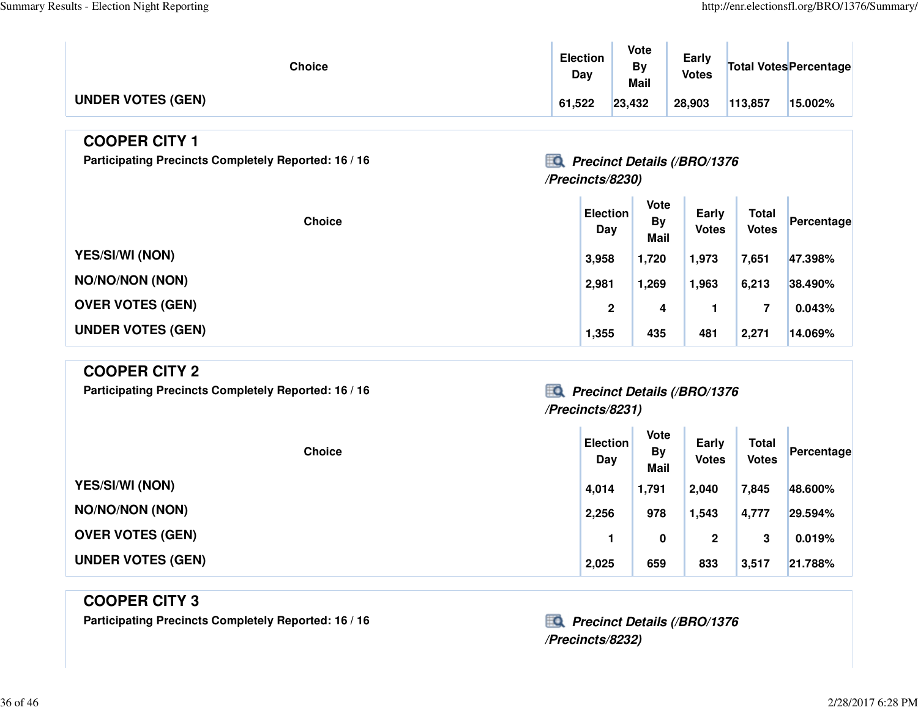T.

| Choice                   | <b>Election</b><br>Dav | <b>Vote</b><br>Bv<br>Mail | Early<br><b>Votes</b> |         | Total Votes Percentage |
|--------------------------|------------------------|---------------------------|-----------------------|---------|------------------------|
| <b>UNDER VOTES (GEN)</b> | 61,522                 | 23,432                    | 28,903                | 113,857 | 15.002%                |

#### **COOPER CITY 1**

Participating Precincts Completely Reported: 16 / 16 *Precinct Details (/BRO/1376* 

### **/Precincts/8230)**

| <b>Choice</b>            | <b>Election</b><br>Day | <b>Vote</b><br><b>By</b><br><b>Mail</b> | Early<br><b>Votes</b> | <b>Total</b><br><b>Votes</b> | Percentage |
|--------------------------|------------------------|-----------------------------------------|-----------------------|------------------------------|------------|
| <b>YES/SI/WI (NON)</b>   | 3,958                  | 1,720                                   | 1,973                 | 7,651                        | 47.398%    |
| <b>NO/NO/NON (NON)</b>   | 2,981                  | <b>269.</b>                             | 1,963                 | 6,213                        | 38.490%    |
| <b>OVER VOTES (GEN)</b>  | $\mathbf{2}$           | 4                                       |                       | 7                            | 0.043%     |
| <b>UNDER VOTES (GEN)</b> | 1,355                  | 435                                     | 481                   | 2,271                        | 14.069%    |

### **COOPER CITY 2**

**Participating Precincts Completely Reported: 16 / 16 Precinct Details (/BRO/1376**

# **/Precincts/8231)**

| <b>Choice</b>            | <b>Election</b><br>Day | <b>Vote</b><br><b>By</b><br><b>Mail</b> | Early<br><b>Votes</b> | <b>Total</b><br><b>Votes</b> | Percentage |
|--------------------------|------------------------|-----------------------------------------|-----------------------|------------------------------|------------|
| <b>YES/SI/WI (NON)</b>   | 4,014                  | 1,791                                   | 2,040                 | 7,845                        | 48.600%    |
| <b>NO/NO/NON (NON)</b>   | 2,256                  | 978                                     | 1,543                 | 4,777                        | 29.594%    |
| <b>OVER VOTES (GEN)</b>  |                        | 0                                       | 2                     | 3                            | 0.019%     |
| <b>UNDER VOTES (GEN)</b> | 2,025                  | 659                                     | 833                   | 3,517                        | 21.788%    |

### **COOPER CITY 3**

Participating Precincts Completely Reported: 16 / 16 *Precinct Details (/BRO/1376* 

**/Precincts/8232)**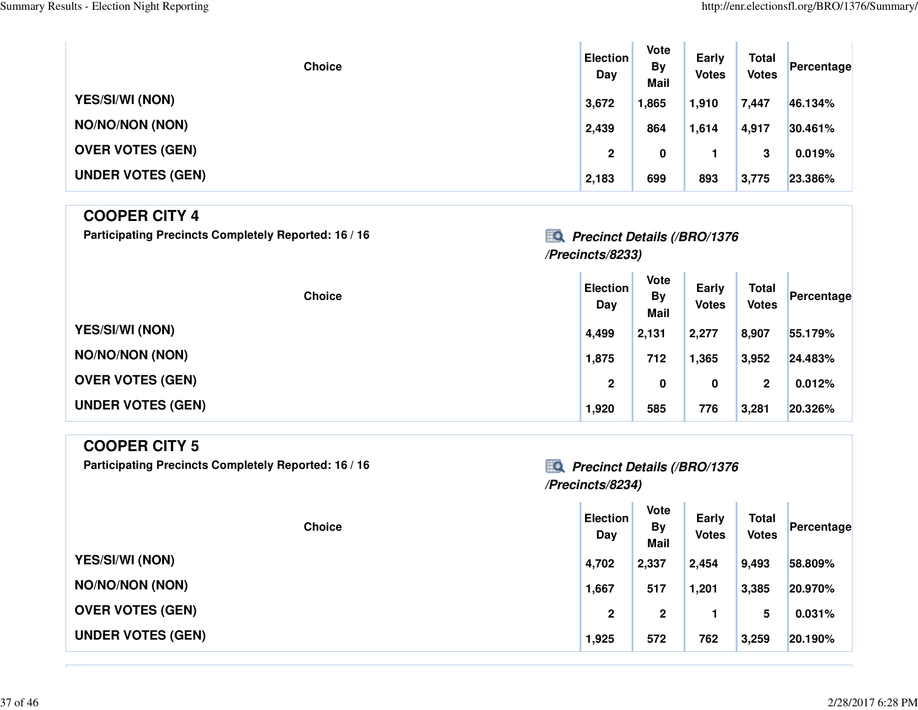| <b>Choice</b>            | <b>Election</b><br>Day | Vote<br><b>By</b><br><b>Mail</b> | Early<br><b>Votes</b> | <b>Total</b><br><b>Votes</b> | Percentage |
|--------------------------|------------------------|----------------------------------|-----------------------|------------------------------|------------|
| <b>YES/SI/WI (NON)</b>   | 3,672                  | 1,865                            | 1,910                 | 7,447                        | 46.134%    |
| <b>NO/NO/NON (NON)</b>   | 2,439                  | 864                              | 1,614                 | 4,917                        | 30.461%    |
| <b>OVER VOTES (GEN)</b>  | $\mathbf{2}$           | 0                                |                       | 3                            | 0.019%     |
| <b>UNDER VOTES (GEN)</b> | 2,183                  | 699                              | 893                   | 3,775                        | 23.386%    |

### **COOPER CITY 4**

Participating Precincts Completely Reported: 16 / 16 *Precinct Details (/BRO/1376* 

# **/Precincts/8233)**

| <b>Choice</b>            | <b>Election</b><br>Day | <b>Vote</b><br><b>By</b><br><b>Mail</b> | Early<br><b>Votes</b> | <b>Total</b><br><b>Votes</b> | Percentage |
|--------------------------|------------------------|-----------------------------------------|-----------------------|------------------------------|------------|
| <b>YES/SI/WI (NON)</b>   | 4,499                  | 2,131                                   | 2,277                 | 8,907                        | 55.179%    |
| <b>NO/NO/NON (NON)</b>   | 1,875                  | 712                                     | 1,365                 | 3,952                        | 24.483%    |
| <b>OVER VOTES (GEN)</b>  | $\mathbf{2}$           | 0                                       | 0                     | 2                            | 0.012%     |
| <b>UNDER VOTES (GEN)</b> | 1,920                  | 585                                     | 776                   | 3,281                        | 20.326%    |

| <b>COOPER CITY 5</b>                                 |                                          |                                  |                       |                              |            |
|------------------------------------------------------|------------------------------------------|----------------------------------|-----------------------|------------------------------|------------|
| Participating Precincts Completely Reported: 16 / 16 | <b>Precinct Details (/BRO/1376</b><br>≣Q |                                  |                       |                              |            |
|                                                      | /Precincts/8234)                         |                                  |                       |                              |            |
| <b>Choice</b>                                        | <b>Election</b><br>Day                   | Vote<br><b>By</b><br><b>Mail</b> | Early<br><b>Votes</b> | <b>Total</b><br><b>Votes</b> | Percentage |
| <b>YES/SI/WI (NON)</b>                               | 4,702                                    | 2,337                            | 2,454                 | 9,493                        | 58.809%    |
| <b>NO/NO/NON (NON)</b>                               | 1,667                                    | 517                              | 1,201                 | 3,385                        | 20.970%    |
| <b>OVER VOTES (GEN)</b>                              | $\boldsymbol{2}$                         | $\mathbf{2}$                     |                       | 5                            | 0.031%     |
| <b>UNDER VOTES (GEN)</b>                             | 1,925                                    | 572                              | 762                   | 3,259                        | 20.190%    |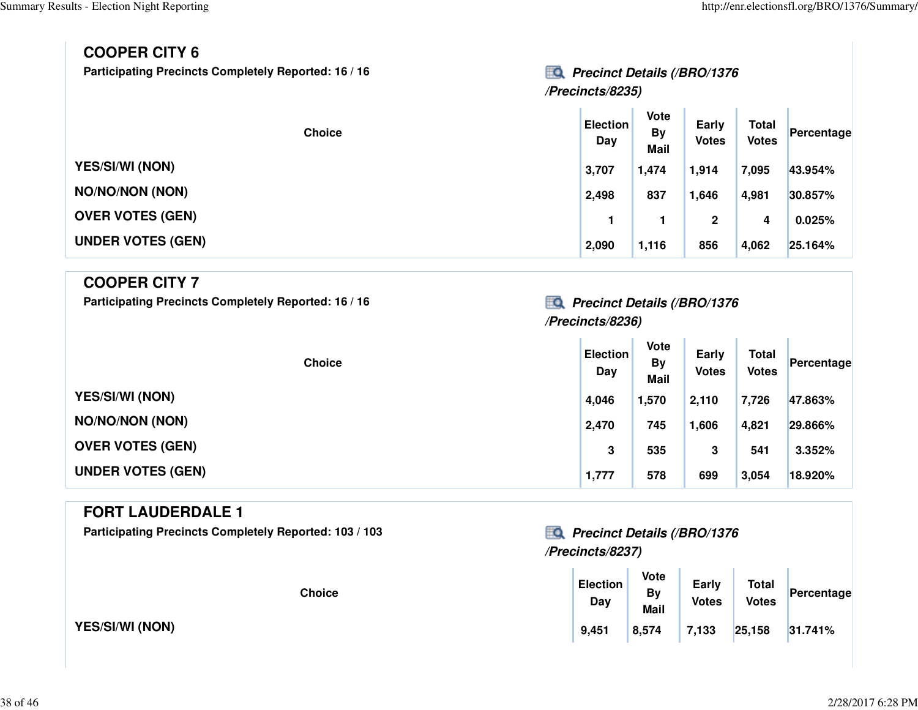**Early Votes Total Votes Percentage**

| <b>COOPER CITY 6</b><br><b>Participating Precincts Completely Reported: 16 / 16</b> | <b>Precinct Details (/BRO/1376</b><br>/Precincts/8235) |                                  |                              |
|-------------------------------------------------------------------------------------|--------------------------------------------------------|----------------------------------|------------------------------|
| <b>Choice</b>                                                                       | <b>Election</b><br>Day                                 | Vote<br><b>By</b><br><b>Mail</b> | <b>Early</b><br><b>Votes</b> |
| <b>YES/SI/WI (NON)</b>                                                              | 3,707                                                  | 1,474                            | 1,914                        |

|                          |       | wan   |       |       |         |
|--------------------------|-------|-------|-------|-------|---------|
| <b>YES/SI/WI (NON)</b>   | 3,707 | 1,474 | 1,914 | 7,095 | 43.954% |
| <b>NO/NO/NON (NON)</b>   | 2,498 | 837   | 1,646 | 4,981 | 30.857% |
| <b>OVER VOTES (GEN)</b>  |       |       | 2     | 4     | 0.025%  |
| <b>UNDER VOTES (GEN)</b> | 2,090 | 1,116 | 856   | 4,062 | 25.164% |

### **COOPER CITY 7**

Participating Precincts Completely Reported: 16 / 16 *Precinct Details (/BRO/1376* 

# **/Precincts/8236)**

| <b>Choice</b>            | <b>Election</b><br>Day | Vote<br><b>By</b><br><b>Mail</b> | Early<br><b>Votes</b> | <b>Total</b><br><b>Votes</b> | Percentage |
|--------------------------|------------------------|----------------------------------|-----------------------|------------------------------|------------|
| <b>YES/SI/WI (NON)</b>   | 4,046                  | 1,570                            | 2.110                 | 7,726                        | 47.863%    |
| <b>NO/NO/NON (NON)</b>   | 2,470                  | 745                              | 1,606                 | 4,821                        | 29.866%    |
| <b>OVER VOTES (GEN)</b>  | 3                      | 535                              | 3                     | 541                          | 3.352%     |
| <b>UNDER VOTES (GEN)</b> | 1,777                  | 578                              | 699                   | 3,054                        | 18.920%    |

#### **FORT LAUDERDALE 1**

Participating Precincts Completely Reported: 103 / 103 *Precinct Details (/BRO/1376* 

**YES/SI/WI (NON)**

# **/Precincts/8237)**

| <b>Choice</b> | <b>Election</b><br>Day | Vote<br>By<br><b>Mail</b> | Early<br><b>Votes</b> | <b>Total</b><br><b>Votes</b> | Percentage |
|---------------|------------------------|---------------------------|-----------------------|------------------------------|------------|
|               | 9,451                  | 8,574                     | 7,133                 | 25,158                       | 31.741%    |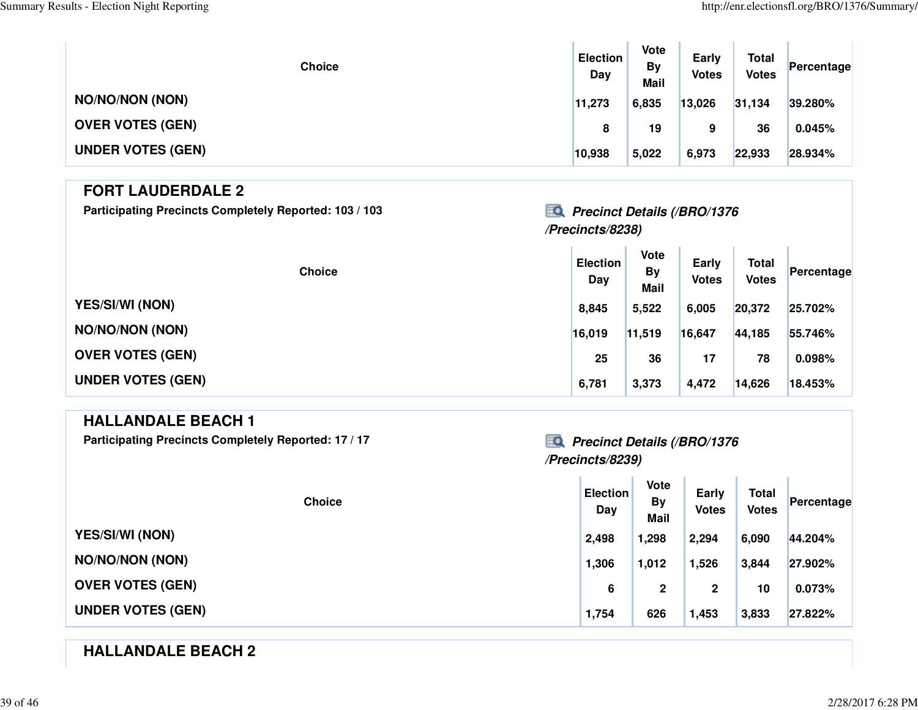| <b>Choice</b>            | <b>Election</b><br>Day | <b>Vote</b><br><b>By</b><br><b>Mail</b> | Early<br><b>Votes</b> | <b>Total</b><br><b>Votes</b> | Percentage |
|--------------------------|------------------------|-----------------------------------------|-----------------------|------------------------------|------------|
| <b>NO/NO/NON (NON)</b>   | 11,273                 | 6,835                                   | 13,026                | 31,134                       | 39.280%    |
| <b>OVER VOTES (GEN)</b>  | 8                      | 19                                      | 9                     | 36                           | 0.045%     |
| <b>UNDER VOTES (GEN)</b> | 10,938                 | 5,022                                   | 6,973                 | 22,933                       | 28.934%    |

#### **FORT LAUDERDALE 2**

Participating Precincts Completely Reported: 103 / 103 *Precinct Details (/BRO/1376* 

### **/Precincts/8238)**

 $\mathcal{L}^{\mathrm{c}}$ 

| <b>Choice</b>            | <b>Election</b><br>Day | <b>Vote</b><br><b>By</b><br><b>Mail</b> | Early<br><b>Votes</b> | <b>Total</b><br><b>Votes</b> | Percentage |
|--------------------------|------------------------|-----------------------------------------|-----------------------|------------------------------|------------|
| <b>YES/SI/WI (NON)</b>   | 8,845                  | 5,522                                   | 6,005                 | 20,372                       | 25.702%    |
| <b>NO/NO/NON (NON)</b>   | 16,019                 | 11,519                                  | 16,647                | 44,185                       | 55.746%    |
| <b>OVER VOTES (GEN)</b>  | 25                     | 36                                      | 17                    | 78                           | 0.098%     |
| <b>UNDER VOTES (GEN)</b> | 6,781                  | 3,373                                   | 4,472                 | 14,626                       | 18.453%    |

#### **HALLANDALE BEACH 1**

Participating Precincts Completely Reported: 17 / 17 *Precinct Details (/BRO/1376* 

# **/Precincts/8239)**

| <b>Choice</b>            | <b>Election</b><br>Day | <b>Vote</b><br><b>By</b><br><b>Mail</b> | <b>Early</b><br><b>Votes</b> | <b>Total</b><br><b>Votes</b> | Percentage |
|--------------------------|------------------------|-----------------------------------------|------------------------------|------------------------------|------------|
| <b>YES/SI/WI (NON)</b>   | 2,498                  | 1,298                                   | 2,294                        | 6,090                        | 44.204%    |
| <b>NO/NO/NON (NON)</b>   | 1,306                  | 1,012                                   | 1,526                        | 3,844                        | 27.902%    |
| <b>OVER VOTES (GEN)</b>  | 6                      | $\mathbf{2}$                            | $\mathbf{2}$                 | 10                           | 0.073%     |
| <b>UNDER VOTES (GEN)</b> | 1,754                  | 626                                     | 1,453                        | 3,833                        | 27.822%    |

### **HALLANDALE BEACH 2**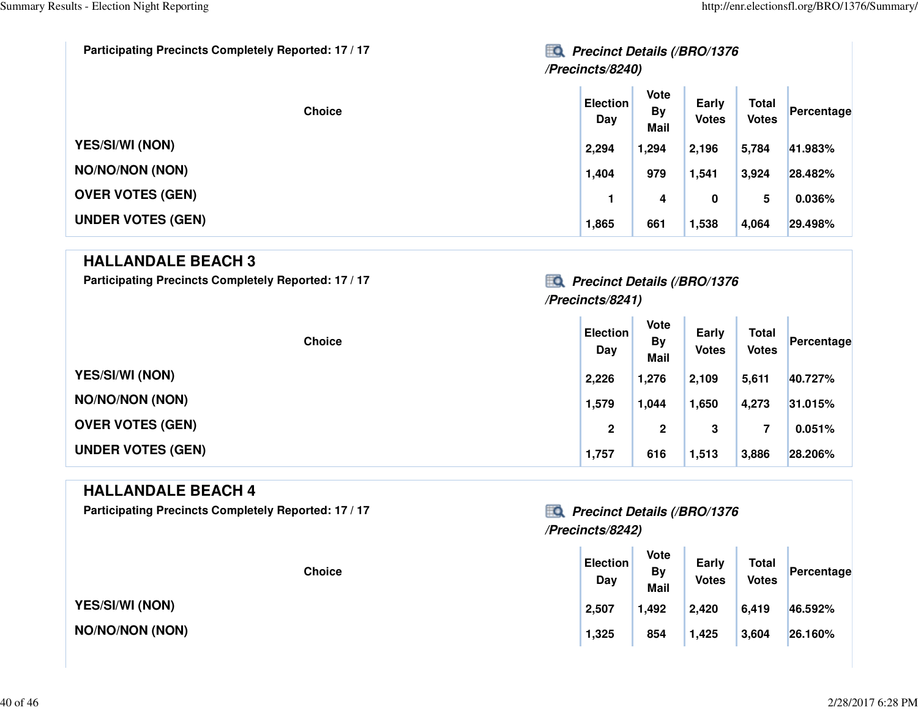| Participating Precincts Completely Reported: 17 / 17 | EQ<br><b>Precinct Details (/BRO/1376</b><br>/Precincts/8240) |                                  |                       |                              |            |
|------------------------------------------------------|--------------------------------------------------------------|----------------------------------|-----------------------|------------------------------|------------|
| <b>Choice</b>                                        | <b>Election</b><br>Day                                       | Vote<br><b>By</b><br><b>Mail</b> | Early<br><b>Votes</b> | <b>Total</b><br><b>Votes</b> | Percentage |
| <b>YES/SI/WI (NON)</b>                               | 2,294                                                        | 1,294                            | 2,196                 | 5,784                        | 41.983%    |
| <b>NO/NO/NON (NON)</b>                               | 1,404                                                        | 979                              | 1,541                 | 3,924                        | 28.482%    |
| <b>OVER VOTES (GEN)</b>                              |                                                              | 4                                | 0                     | 5                            | 0.036%     |
| <b>UNDER VOTES (GEN)</b>                             | 1,865                                                        | 661                              | 1,538                 | 4,064                        | 29.498%    |

### **HALLANDALE BEACH 3**

Participating Precincts Completely Reported: 17 / 17 *Precinct Details (/BRO/1376* 

### **/Precincts/8241)**

| <b>Choice</b>            | <b>Election</b><br>Day | <b>Vote</b><br><b>By</b><br><b>Mail</b> | Early<br><b>Votes</b> | <b>Total</b><br><b>Votes</b> | Percentage |
|--------------------------|------------------------|-----------------------------------------|-----------------------|------------------------------|------------|
| <b>YES/SI/WI (NON)</b>   | 2,226                  | 1,276                                   | 2,109                 | 5,611                        | 40.727%    |
| <b>NO/NO/NON (NON)</b>   | 1,579                  | 1,044                                   | 1,650                 | 4,273                        | 31.015%    |
| <b>OVER VOTES (GEN)</b>  | $\mathbf{2}$           | 2                                       | 3                     |                              | 0.051%     |
| <b>UNDER VOTES (GEN)</b> | 1,757                  | 616                                     | 1,513                 | 3,886                        | 28.206%    |

#### **HALLANDALE BEACH 4**

Participating Precincts Completely Reported: 17 / 17 *Precinct Details (/BRO/1376* 

#### **Choice**

**YES/SI/WI (NON)**

**NO/NO/NON (NON)**

# **/Precincts/8242)**

| <b>Choice</b> | <b>Election</b><br>Day | <b>Vote</b><br><b>By</b><br><b>Mail</b> | Early<br><b>Votes</b> | <b>Total</b><br><b>Votes</b> | Percentage |  |
|---------------|------------------------|-----------------------------------------|-----------------------|------------------------------|------------|--|
|               | 2,507                  | 1,492                                   | 2,420                 | 6,419                        | 46.592%    |  |
| X)            | 1,325                  | 854                                     | 1,425                 | 3,604                        | 26.160%    |  |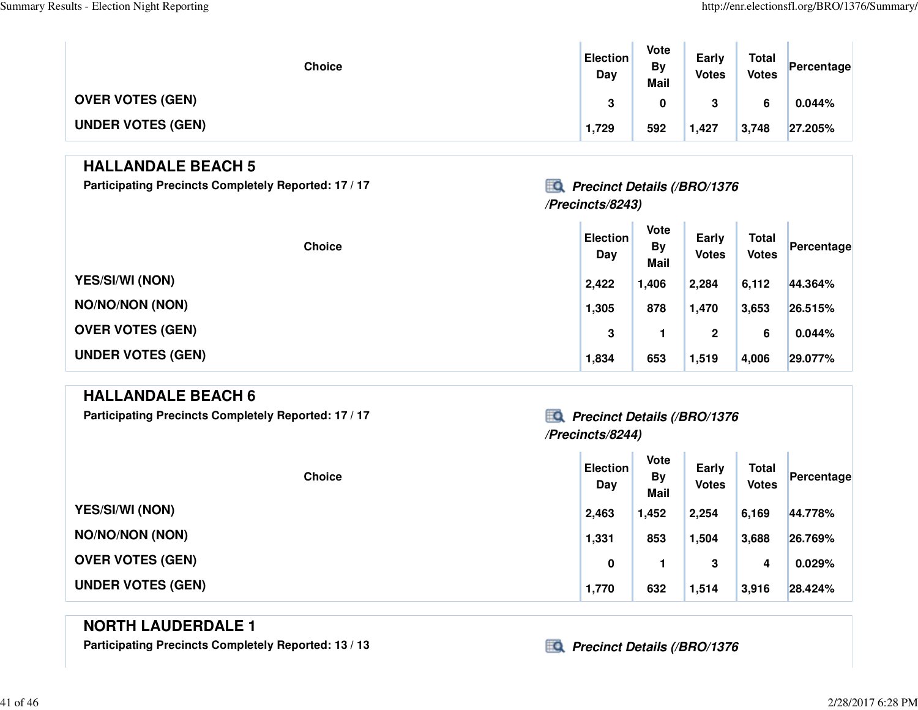| <b>Choice</b>            | <b>Election</b><br>Day | Vote<br><b>By</b><br><b>Mail</b> | Early<br><b>Votes</b> | <b>Total</b><br><b>Votes</b> | Percentage |
|--------------------------|------------------------|----------------------------------|-----------------------|------------------------------|------------|
| <b>OVER VOTES (GEN)</b>  | 3                      |                                  | ≏<br>J                | 6                            | 0.044%     |
| <b>UNDER VOTES (GEN)</b> | 1,729                  | 592                              | 1,427                 | 3,748                        | 27.205%    |

### **HALLANDALE BEACH 5**

Participating Precincts Completely Reported: 17 / 17 *Precinct Details (/BRO/1376* 

### **/Precincts/8243)**

| <b>Choice</b>            | <b>Election</b><br>Day | Vote<br><b>By</b><br><b>Mail</b> | Early<br><b>Votes</b> | <b>Total</b><br><b>Votes</b> | Percentage |
|--------------------------|------------------------|----------------------------------|-----------------------|------------------------------|------------|
| <b>YES/SI/WI (NON)</b>   | 2,422                  | 1,406                            | 2,284                 | 6,112                        | 44.364%    |
| <b>NO/NO/NON (NON)</b>   | 1,305                  | 878                              | 1,470                 | 3,653                        | 26.515%    |
| <b>OVER VOTES (GEN)</b>  | 3                      |                                  | $\mathbf{2}$          | 6                            | 0.044%     |
| <b>UNDER VOTES (GEN)</b> | 1,834                  | 653                              | 1,519                 | 4,006                        | 29.077%    |

### **HALLANDALE BEACH 6**

Participating Precincts Completely Reported: 17 / 17 *Precinct Details (/BRO/1376* 

# **/Precincts/8244)**

| <b>Choice</b>            | <b>Election</b><br>Day | Vote<br><b>By</b><br><b>Mail</b> | Early<br><b>Votes</b> | <b>Total</b><br><b>Votes</b> | Percentage |
|--------------------------|------------------------|----------------------------------|-----------------------|------------------------------|------------|
| <b>YES/SI/WI (NON)</b>   | 2,463                  | 1,452                            | 2,254                 | 6,169                        | 44.778%    |
| <b>NO/NO/NON (NON)</b>   | 1,331                  | 853                              | 1,504                 | 3,688                        | 26.769%    |
| <b>OVER VOTES (GEN)</b>  | 0                      |                                  | 3                     | 4                            | 0.029%     |
| <b>UNDER VOTES (GEN)</b> | 1,770                  | 632                              | 1,514                 | 3,916                        | 28.424%    |

### **NORTH LAUDERDALE 1**

Participating Precincts Completely Reported: 13 / 13 *Precinct Details (/BRO/1376*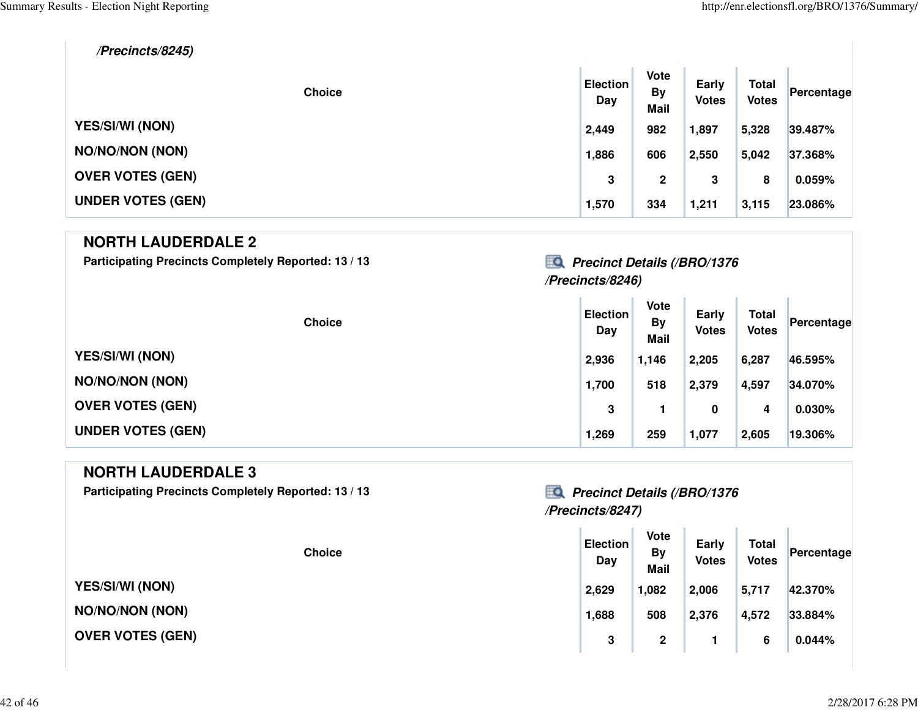#### **/Precincts/8245)**

| <b>Choice</b>            | <b>Election</b><br>Day | Vote<br><b>By</b><br><b>Mail</b> | Early<br><b>Votes</b> | <b>Total</b><br><b>Votes</b> | Percentage |
|--------------------------|------------------------|----------------------------------|-----------------------|------------------------------|------------|
| <b>YES/SI/WI (NON)</b>   | 2,449                  | 982                              | 1,897                 | 5,328                        | 39.487%    |
| <b>NO/NO/NON (NON)</b>   | 1,886                  | 606                              | 2,550                 | 5,042                        | 37.368%    |
| <b>OVER VOTES (GEN)</b>  | 3                      | $\mathbf{2}$                     | 3                     | 8                            | 0.059%     |
| <b>UNDER VOTES (GEN)</b> | 1,570                  | 334                              | 1,211                 | 3,115                        | 23.086%    |

#### **NORTH LAUDERDALE 2**

Participating Precincts Completely Reported: 13 / 13 *Precinct Details (/BRO/1376* 

### **/Precincts/8246)**

| <b>Choice</b>            | <b>Election</b><br>Day | Vote<br><b>By</b><br><b>Mail</b> | Early<br><b>Votes</b> | <b>Total</b><br><b>Votes</b> | Percentage |
|--------------------------|------------------------|----------------------------------|-----------------------|------------------------------|------------|
| <b>YES/SI/WI (NON)</b>   | 2,936                  | 1,146                            | 2,205                 | 6,287                        | 46.595%    |
| <b>NO/NO/NON (NON)</b>   | 1,700                  | 518                              | 2,379                 | 4,597                        | 34.070%    |
| <b>OVER VOTES (GEN)</b>  | 3                      |                                  | 0                     | 4                            | 0.030%     |
| <b>UNDER VOTES (GEN)</b> | 1,269                  | 259                              | 1,077                 | 2,605                        | 19.306%    |

#### **NORTH LAUDERDALE 3**

Participating Precincts Completely Reported: 13 / 13 *Precinct Details (/BRO/1376* 

### **/Precincts/8247)**

| <b>Choice</b> | <b>Election</b><br>Day | Vote<br>By<br><b>Mail</b> | <b>Early</b><br><b>Votes</b> | <b>Total</b><br><b>Votes</b> | Percentage |
|---------------|------------------------|---------------------------|------------------------------|------------------------------|------------|
|               | 2,629                  | 1,082                     | 2,006                        | 5,717                        | 42.370%    |
| )N)           | 1,688                  | 508                       | 2,376                        | 4,572                        | 33.884%    |
| <b>GEN)</b>   | 3                      | $\mathbf 2$               |                              | 6                            | 0.044%     |

**YES/SI/WI (NON)**

**NO/NO/NON (NON)**

**OVER VOTES (GEN)**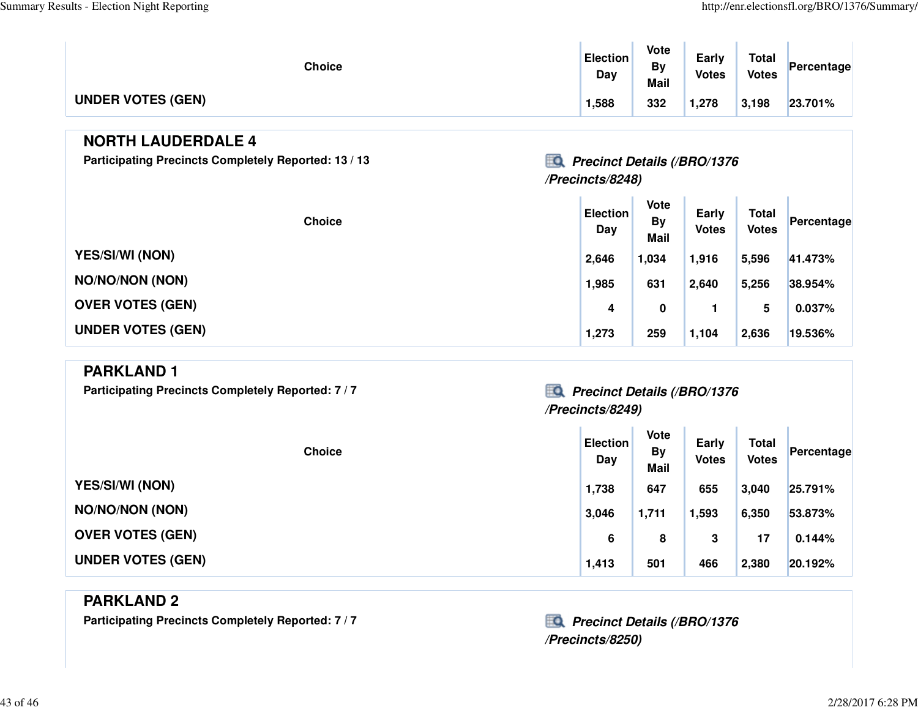T.

| <b>Choice</b>            | <b>Election</b><br>Day | Vote<br>B٧<br><b>Mail</b> | Early<br><b>Votes</b> | <b>Total</b><br><b>Votes</b> | Percentage |
|--------------------------|------------------------|---------------------------|-----------------------|------------------------------|------------|
| <b>UNDER VOTES (GEN)</b> | 1,588                  | 332                       | 1,278                 | 3,198                        | 23.701%    |

#### **NORTH LAUDERDALE 4**

Participating Precincts Completely Reported: 13 / 13 *Precinct Details (/BRO/1376* 

### **/Precincts/8248)**

| <b>Choice</b>            | <b>Election</b><br>Day | <b>Vote</b><br>By<br><b>Mail</b> | Early<br><b>Votes</b> | <b>Total</b><br><b>Votes</b> | Percentage |
|--------------------------|------------------------|----------------------------------|-----------------------|------------------------------|------------|
| <b>YES/SI/WI (NON)</b>   | 2,646                  | 1,034                            | 1,916                 | 5,596                        | 41.473%    |
| <b>NO/NO/NON (NON)</b>   | 1,985                  | 631                              | 2,640                 | 5,256                        | 38.954%    |
| <b>OVER VOTES (GEN)</b>  | 4                      | 0                                |                       | 5                            | 0.037%     |
| <b>UNDER VOTES (GEN)</b> | 1,273                  | 259                              | 1,104                 | 2,636                        | 19.536%    |

#### **PARKLAND 1**

Participating Precincts Completely Reported: 7 / 7 *Precinct Details (/BRO/1376* 

## **/Precincts/8249)**

| <b>Choice</b>            | <b>Election</b><br>Day | <b>Vote</b><br><b>By</b><br><b>Mail</b> | Early<br><b>Votes</b> | <b>Total</b><br><b>Votes</b> | Percentage |
|--------------------------|------------------------|-----------------------------------------|-----------------------|------------------------------|------------|
| <b>YES/SI/WI (NON)</b>   | 1,738                  | 647                                     | 655                   | 3,040                        | 25.791%    |
| <b>NO/NO/NON (NON)</b>   | 3,046                  | 1,711                                   | 1,593                 | 6,350                        | 53.873%    |
| <b>OVER VOTES (GEN)</b>  | 6                      | 8                                       | 3                     | 17                           | 0.144%     |
| <b>UNDER VOTES (GEN)</b> | 1,413                  | 501                                     | 466                   | 2,380                        | 20.192%    |

#### **PARKLAND 2**

Participating Precincts Completely Reported: 7 / 7 *Precinct Details (/BRO/1376* 

**/Precincts/8250)**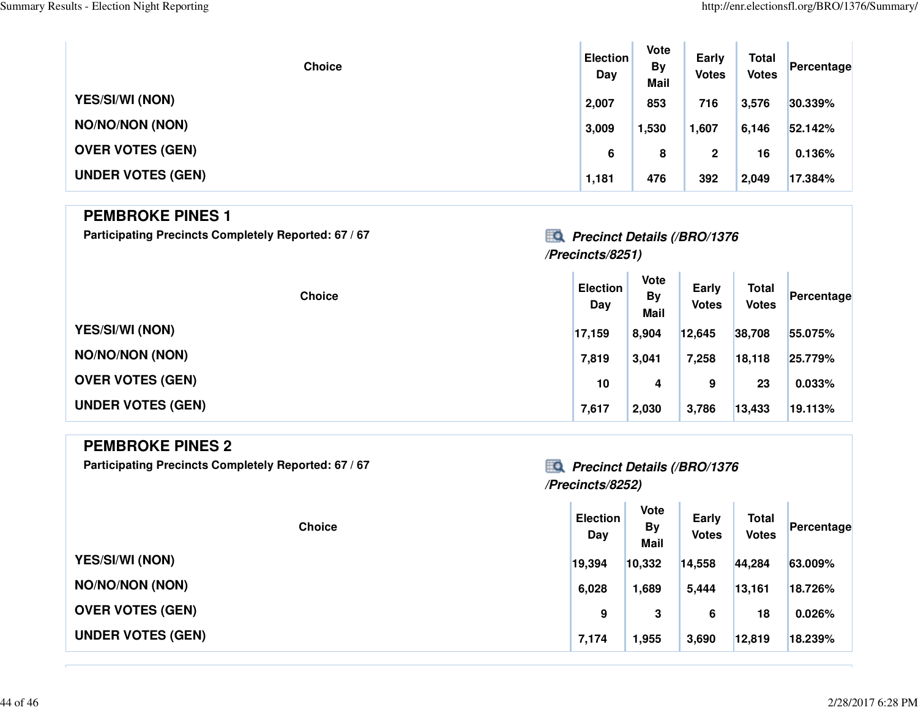| <b>Choice</b>            | <b>Election</b><br>Day | Vote<br><b>By</b><br><b>Mail</b> | Early<br><b>Votes</b> | <b>Total</b><br><b>Votes</b> | Percentage |
|--------------------------|------------------------|----------------------------------|-----------------------|------------------------------|------------|
| <b>YES/SI/WI (NON)</b>   | 2,007                  | 853                              | 716                   | 3,576                        | 30.339%    |
| <b>NO/NO/NON (NON)</b>   | 3,009                  | 1,530                            | 1,607                 | 6,146                        | 52.142%    |
| <b>OVER VOTES (GEN)</b>  | 6                      | 8                                | $\mathbf{2}$          | 16                           | 0.136%     |
| <b>UNDER VOTES (GEN)</b> | 1,181                  | 476                              | 392                   | 2,049                        | 17.384%    |

#### **PEMBROKE PINES 1**

Participating Precincts Completely Reported: 67 / 67 *Precinct Details (/BRO/1376* 

# **/Precincts/8251)**

| <b>Choice</b>            | <b>Election</b><br>Day | <b>Vote</b><br><b>By</b><br><b>Mail</b> | Early<br><b>Votes</b> | <b>Total</b><br><b>Votes</b> | Percentage |
|--------------------------|------------------------|-----------------------------------------|-----------------------|------------------------------|------------|
| <b>YES/SI/WI (NON)</b>   | 17,159                 | 8,904                                   | 12,645                | 38,708                       | 55.075%    |
| <b>NO/NO/NON (NON)</b>   | 7,819                  | 3,041                                   | 7,258                 | 18,118                       | 25.779%    |
| <b>OVER VOTES (GEN)</b>  | 10                     | 4                                       | 9                     | 23                           | 0.033%     |
| <b>UNDER VOTES (GEN)</b> | 7,617                  | 2,030                                   | 3,786                 | 13,433                       | 19.113%    |

| <b>PEMBROKE PINES 2</b><br>Participating Precincts Completely Reported: 67 / 67 | ĦО.<br><b>Precinct Details (/BRO/1376</b><br>/Precincts/8252) |                                  |                       |                              |            |  |  |  |
|---------------------------------------------------------------------------------|---------------------------------------------------------------|----------------------------------|-----------------------|------------------------------|------------|--|--|--|
| <b>Choice</b>                                                                   | <b>Election</b><br>Day                                        | <b>Vote</b><br><b>By</b><br>Mail | Early<br><b>Votes</b> | <b>Total</b><br><b>Votes</b> | Percentage |  |  |  |
| <b>YES/SI/WI (NON)</b>                                                          | 19,394                                                        | 10,332                           | 14,558                | 44,284                       | 63.009%    |  |  |  |
| <b>NO/NO/NON (NON)</b>                                                          | 6,028                                                         | 1,689                            | 5,444                 | 13,161                       | 18.726%    |  |  |  |
| <b>OVER VOTES (GEN)</b>                                                         | 9                                                             | 3                                | 6                     | 18                           | 0.026%     |  |  |  |
| <b>UNDER VOTES (GEN)</b>                                                        | 7,174                                                         | 1,955                            | 3,690                 | 12,819                       | 18.239%    |  |  |  |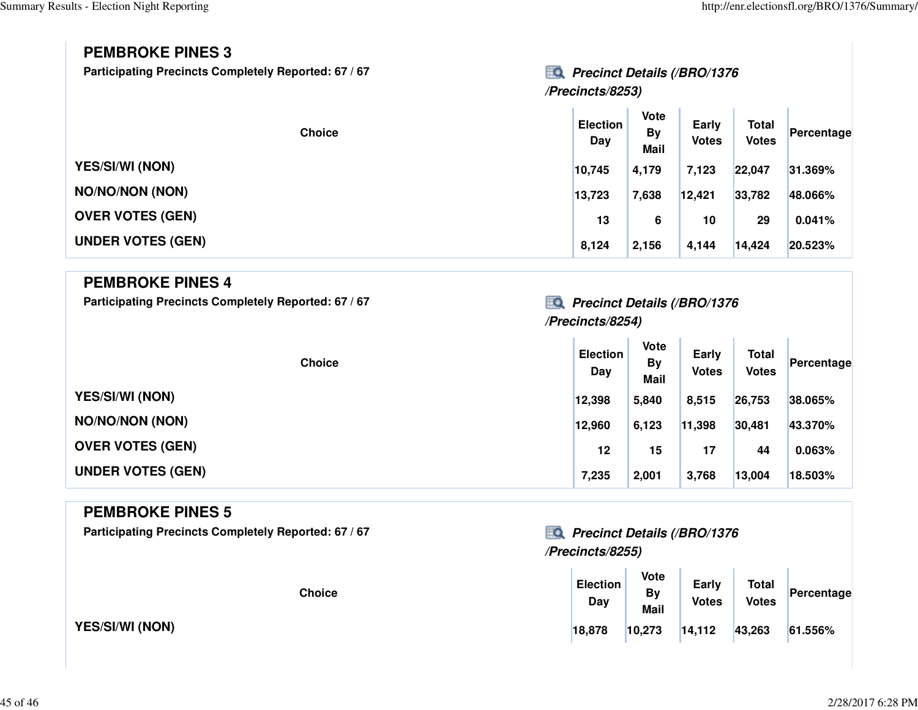### **PEMBROKE PINES 3**

Participating Precincts Completely Reported: 67 / 67 *Precinct Details (/BRO/1376* 

# **/Precincts/8253)**

| <b>Choice</b>            | <b>Election</b><br>Day | Vote<br>By<br><b>Mail</b> | Early<br><b>Votes</b> | <b>Total</b><br><b>Votes</b> | Percentage |
|--------------------------|------------------------|---------------------------|-----------------------|------------------------------|------------|
| <b>YES/SI/WI (NON)</b>   | 10,745                 | 4,179                     | 7,123                 | 22,047                       | 31.369%    |
| <b>NO/NO/NON (NON)</b>   | 13,723                 | 7,638                     | 12,421                | 33,782                       | 48.066%    |
| <b>OVER VOTES (GEN)</b>  | 13                     | 6                         | 10                    | 29                           | 0.041%     |
| <b>UNDER VOTES (GEN)</b> | 8,124                  | 2,156                     | 4,144                 | 14,424                       | 20.523%    |

### **PEMBROKE PINES 4**

Participating Precincts Completely Reported: 67 / 67 *Precinct Details (/BRO/1376* 

# **/Precincts/8254)**

**The Contract** 

| <b>Choice</b>            | <b>Election</b><br>Day | Vote<br><b>By</b><br><b>Mail</b> | Early<br><b>Votes</b> | <b>Total</b><br><b>Votes</b> | Percentage |
|--------------------------|------------------------|----------------------------------|-----------------------|------------------------------|------------|
| <b>YES/SI/WI (NON)</b>   | 12,398                 | 5,840                            | 8,515                 | 26,753                       | 38.065%    |
| <b>NO/NO/NON (NON)</b>   | 12,960                 | 6,123                            | 11,398                | 30,481                       | 43.370%    |
| <b>OVER VOTES (GEN)</b>  | 12                     | 15                               | 17                    | 44                           | 0.063%     |
| <b>UNDER VOTES (GEN)</b> | 7,235                  | 2,001                            | 3,768                 | 13,004                       | 18.503%    |

#### **PEMBROKE PINES 5**

Participating Precincts Completely Reported: 67 / 67 *Precinct Details (/BRO/1376* 

**YES/SI/WI (NON)**

# **/Precincts/8255)**

| <b>Choice</b> | <b>Election</b><br>Day | <b>Vote</b><br>By<br><b>Mail</b> | Early<br><b>Votes</b> | <b>Total</b><br><b>Votes</b> | Percentage |
|---------------|------------------------|----------------------------------|-----------------------|------------------------------|------------|
|               | 18,878                 | 10,273                           | 14,112                | 43,263                       | 61.556%    |